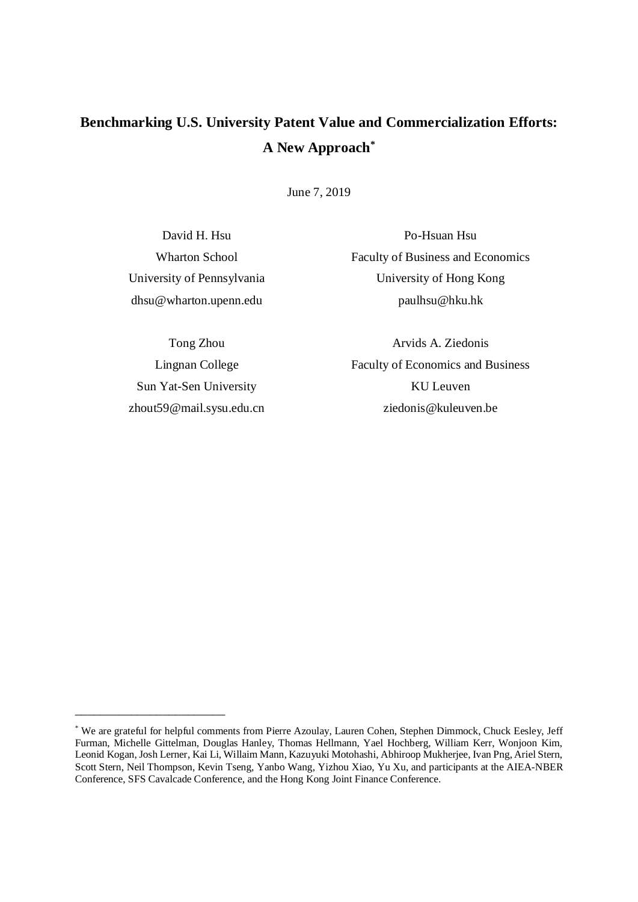# **Benchmarking U.S. University Patent Value and Commercialization Efforts: A New Approach\***

June 7, 2019

David H. Hsu Wharton School University of Pennsylvania dhsu@wharton.upenn.edu

Po-Hsuan Hsu Faculty of Business and Economics University of Hong Kong paulhsu@hku.hk

Tong Zhou Lingnan College Sun Yat-Sen University zhout59@mail.sysu.edu.cn

\_\_\_\_\_\_\_\_\_\_\_\_\_\_\_\_\_\_\_\_\_\_\_\_

Arvids A. Ziedonis Faculty of Economics and Business KU Leuven ziedonis@kuleuven.be

<sup>\*</sup> We are grateful for helpful comments from Pierre Azoulay, Lauren Cohen, Stephen Dimmock, Chuck Eesley, Jeff Furman, Michelle Gittelman, Douglas Hanley, Thomas Hellmann, Yael Hochberg, William Kerr, Wonjoon Kim, Leonid Kogan, Josh Lerner, Kai Li, Willaim Mann, Kazuyuki Motohashi, Abhiroop Mukherjee, Ivan Png, Ariel Stern, Scott Stern, Neil Thompson, Kevin Tseng, Yanbo Wang, Yizhou Xiao, Yu Xu, and participants at the AIEA-NBER Conference, SFS Cavalcade Conference, and the Hong Kong Joint Finance Conference.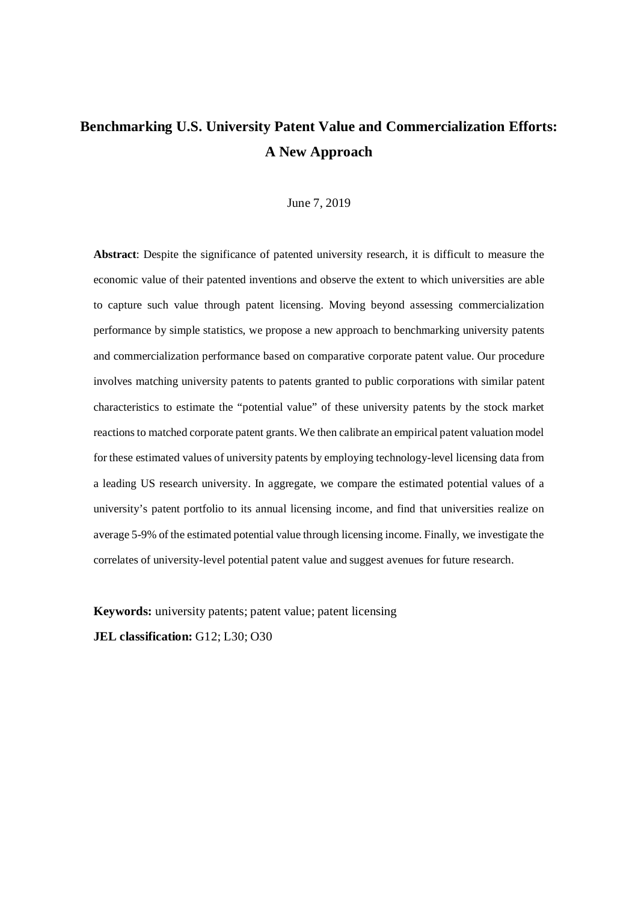# **Benchmarking U.S. University Patent Value and Commercialization Efforts: A New Approach**

### June 7, 2019

**Abstract**: Despite the significance of patented university research, it is difficult to measure the economic value of their patented inventions and observe the extent to which universities are able to capture such value through patent licensing. Moving beyond assessing commercialization performance by simple statistics, we propose a new approach to benchmarking university patents and commercialization performance based on comparative corporate patent value. Our procedure involves matching university patents to patents granted to public corporations with similar patent characteristics to estimate the "potential value" of these university patents by the stock market reactions to matched corporate patent grants. We then calibrate an empirical patent valuation model for these estimated values of university patents by employing technology-level licensing data from a leading US research university. In aggregate, we compare the estimated potential values of a university's patent portfolio to its annual licensing income, and find that universities realize on average 5-9% of the estimated potential value through licensing income. Finally, we investigate the correlates of university-level potential patent value and suggest avenues for future research.

**Keywords:** university patents; patent value; patent licensing

**JEL classification:** G12; L30; O30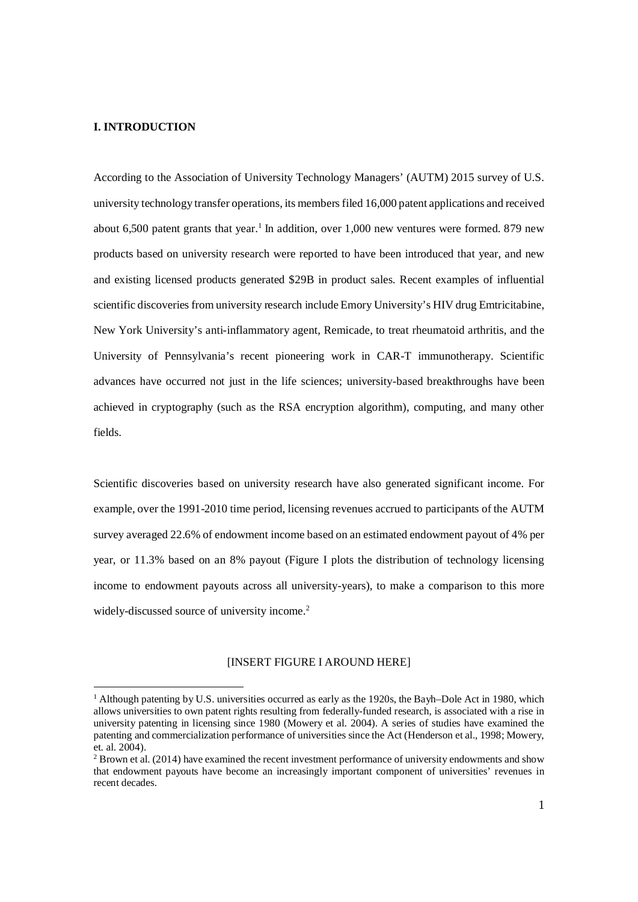## **I. INTRODUCTION**

According to the Association of University Technology Managers' (AUTM) 2015 survey of U.S. university technology transfer operations, its members filed 16,000 patent applications and received about 6,500 patent grants that year.<sup>1</sup> In addition, over 1,000 new ventures were formed. 879 new products based on university research were reported to have been introduced that year, and new and existing licensed products generated \$29B in product sales. Recent examples of influential scientific discoveries from university research include Emory University's HIV drug Emtricitabine, New York University's anti-inflammatory agent, Remicade, to treat rheumatoid arthritis, and the University of Pennsylvania's recent pioneering work in CAR-T immunotherapy. Scientific advances have occurred not just in the life sciences; university-based breakthroughs have been achieved in cryptography (such as the RSA encryption algorithm), computing, and many other fields.

Scientific discoveries based on university research have also generated significant income. For example, over the 1991-2010 time period, licensing revenues accrued to participants of the AUTM survey averaged 22.6% of endowment income based on an estimated endowment payout of 4% per year, or 11.3% based on an 8% payout (Figure I plots the distribution of technology licensing income to endowment payouts across all university-years), to make a comparison to this more widely-discussed source of university income.<sup>2</sup>

## [INSERT FIGURE I AROUND HERE]

<sup>&</sup>lt;sup>1</sup> Although patenting by U.S. universities occurred as early as the 1920s, the Bayh–Dole Act in 1980, which allows universities to own patent rights resulting from federally-funded research, is associated with a rise in university patenting in licensing since 1980 (Mowery et al. 2004). A series of studies have examined the patenting and commercialization performance of universities since the Act (Henderson et al., 1998; Mowery, et. al. 2004).

 $2$  Brown et al. (2014) have examined the recent investment performance of university endowments and show that endowment payouts have become an increasingly important component of universities' revenues in recent decades.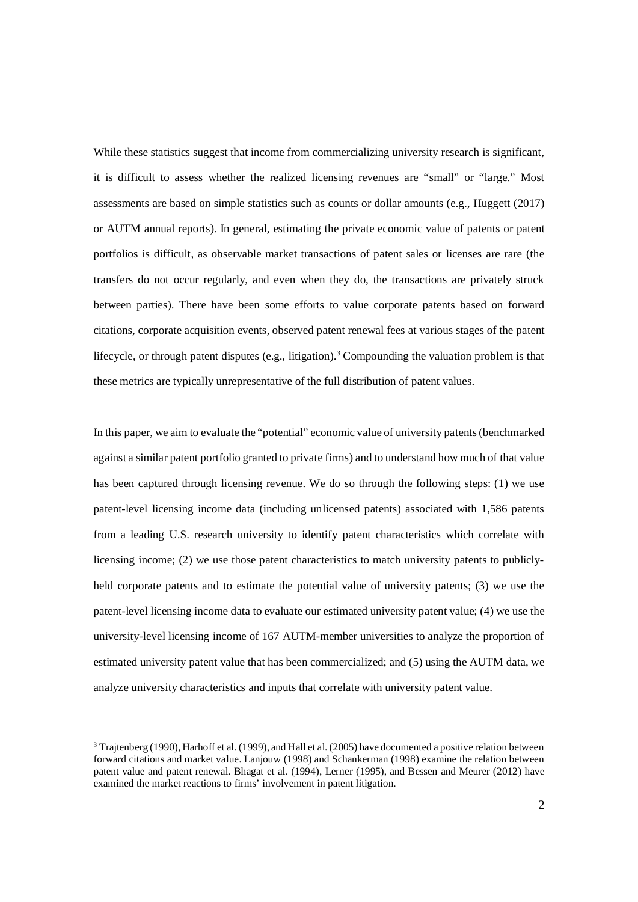While these statistics suggest that income from commercializing university research is significant, it is difficult to assess whether the realized licensing revenues are "small" or "large." Most assessments are based on simple statistics such as counts or dollar amounts (e.g., Huggett (2017) or AUTM annual reports). In general, estimating the private economic value of patents or patent portfolios is difficult, as observable market transactions of patent sales or licenses are rare (the transfers do not occur regularly, and even when they do, the transactions are privately struck between parties). There have been some efforts to value corporate patents based on forward citations, corporate acquisition events, observed patent renewal fees at various stages of the patent lifecycle, or through patent disputes (e.g., litigation).<sup>3</sup> Compounding the valuation problem is that these metrics are typically unrepresentative of the full distribution of patent values.

In this paper, we aim to evaluate the "potential" economic value of university patents (benchmarked against a similar patent portfolio granted to private firms) and to understand how much of that value has been captured through licensing revenue. We do so through the following steps: (1) we use patent-level licensing income data (including unlicensed patents) associated with 1,586 patents from a leading U.S. research university to identify patent characteristics which correlate with licensing income; (2) we use those patent characteristics to match university patents to publiclyheld corporate patents and to estimate the potential value of university patents; (3) we use the patent-level licensing income data to evaluate our estimated university patent value; (4) we use the university-level licensing income of 167 AUTM-member universities to analyze the proportion of estimated university patent value that has been commercialized; and (5) using the AUTM data, we analyze university characteristics and inputs that correlate with university patent value.

 $3$  Trajtenberg (1990), Harhoff et al. (1999), and Hall et al. (2005) have documented a positive relation between forward citations and market value. Lanjouw (1998) and Schankerman (1998) examine the relation between patent value and patent renewal. Bhagat et al. (1994), Lerner (1995), and Bessen and Meurer (2012) have examined the market reactions to firms' involvement in patent litigation.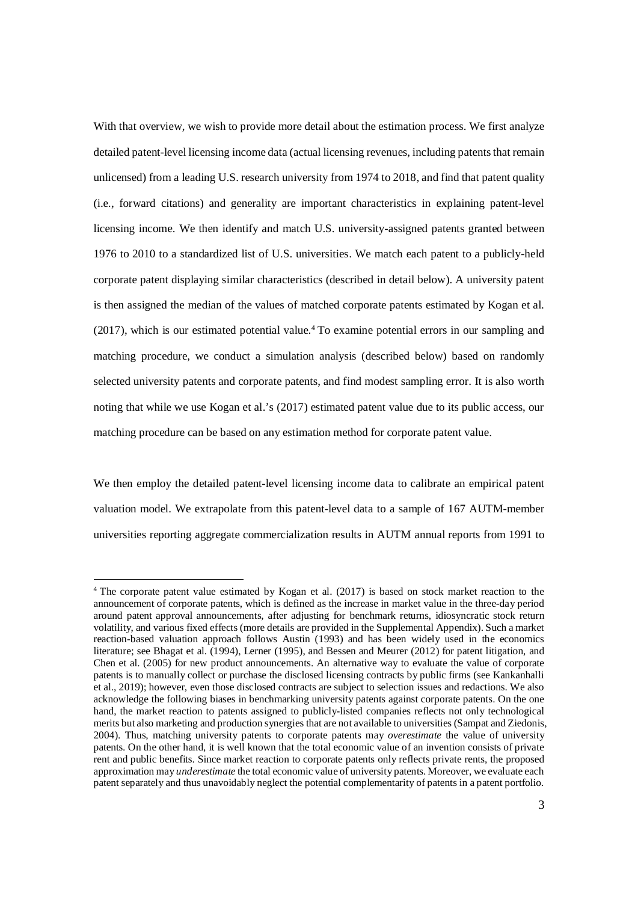With that overview, we wish to provide more detail about the estimation process. We first analyze detailed patent-level licensing income data (actual licensing revenues, including patents that remain unlicensed) from a leading U.S. research university from 1974 to 2018, and find that patent quality (i.e., forward citations) and generality are important characteristics in explaining patent-level licensing income. We then identify and match U.S. university-assigned patents granted between 1976 to 2010 to a standardized list of U.S. universities. We match each patent to a publicly-held corporate patent displaying similar characteristics (described in detail below). A university patent is then assigned the median of the values of matched corporate patents estimated by Kogan et al. (2017), which is our estimated potential value.<sup>4</sup> To examine potential errors in our sampling and matching procedure, we conduct a simulation analysis (described below) based on randomly selected university patents and corporate patents, and find modest sampling error. It is also worth noting that while we use Kogan et al.'s (2017) estimated patent value due to its public access, our matching procedure can be based on any estimation method for corporate patent value.

We then employ the detailed patent-level licensing income data to calibrate an empirical patent valuation model. We extrapolate from this patent-level data to a sample of 167 AUTM-member universities reporting aggregate commercialization results in AUTM annual reports from 1991 to

<sup>&</sup>lt;sup>4</sup> The corporate patent value estimated by Kogan et al. (2017) is based on stock market reaction to the announcement of corporate patents, which is defined as the increase in market value in the three-day period around patent approval announcements, after adjusting for benchmark returns, idiosyncratic stock return volatility, and various fixed effects (more details are provided in the Supplemental Appendix). Such a market reaction-based valuation approach follows Austin (1993) and has been widely used in the economics literature; see Bhagat et al. (1994), Lerner (1995), and Bessen and Meurer (2012) for patent litigation, and Chen et al. (2005) for new product announcements. An alternative way to evaluate the value of corporate patents is to manually collect or purchase the disclosed licensing contracts by public firms (see Kankanhalli et al., 2019); however, even those disclosed contracts are subject to selection issues and redactions. We also acknowledge the following biases in benchmarking university patents against corporate patents. On the one hand, the market reaction to patents assigned to publicly-listed companies reflects not only technological merits but also marketing and production synergies that are not available to universities (Sampat and Ziedonis, 2004). Thus, matching university patents to corporate patents may *overestimate* the value of university patents. On the other hand, it is well known that the total economic value of an invention consists of private rent and public benefits. Since market reaction to corporate patents only reflects private rents, the proposed approximation may *underestimate* the total economic value of university patents. Moreover, we evaluate each patent separately and thus unavoidably neglect the potential complementarity of patents in a patent portfolio.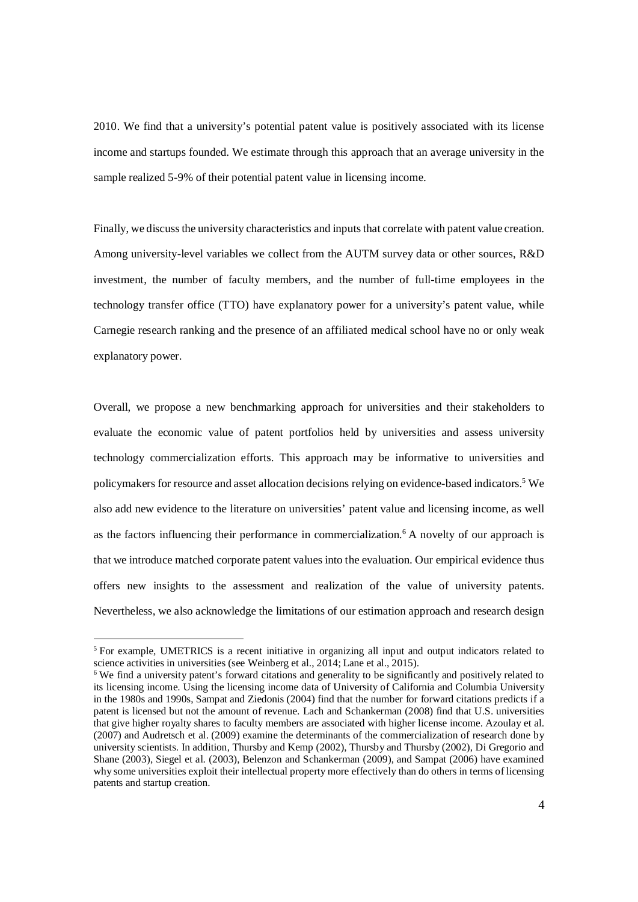2010. We find that a university's potential patent value is positively associated with its license income and startups founded. We estimate through this approach that an average university in the sample realized 5-9% of their potential patent value in licensing income.

Finally, we discuss the university characteristics and inputs that correlate with patent value creation. Among university-level variables we collect from the AUTM survey data or other sources, R&D investment, the number of faculty members, and the number of full-time employees in the technology transfer office (TTO) have explanatory power for a university's patent value, while Carnegie research ranking and the presence of an affiliated medical school have no or only weak explanatory power.

Overall, we propose a new benchmarking approach for universities and their stakeholders to evaluate the economic value of patent portfolios held by universities and assess university technology commercialization efforts. This approach may be informative to universities and policymakers for resource and asset allocation decisions relying on evidence-based indicators.<sup>5</sup> We also add new evidence to the literature on universities' patent value and licensing income, as well as the factors influencing their performance in commercialization.<sup>6</sup> A novelty of our approach is that we introduce matched corporate patent values into the evaluation. Our empirical evidence thus offers new insights to the assessment and realization of the value of university patents. Nevertheless, we also acknowledge the limitations of our estimation approach and research design

<sup>&</sup>lt;sup>5</sup> For example, UMETRICS is a recent initiative in organizing all input and output indicators related to science activities in universities (see Weinberg et al., 2014; Lane et al., 2015).

<sup>&</sup>lt;sup>6</sup> We find a university patent's forward citations and generality to be significantly and positively related to its licensing income. Using the licensing income data of University of California and Columbia University in the 1980s and 1990s, Sampat and Ziedonis (2004) find that the number for forward citations predicts if a patent is licensed but not the amount of revenue. Lach and Schankerman (2008) find that U.S. universities that give higher royalty shares to faculty members are associated with higher license income. Azoulay et al. (2007) and Audretsch et al. (2009) examine the determinants of the commercialization of research done by university scientists. In addition, Thursby and Kemp (2002), Thursby and Thursby (2002), Di Gregorio and Shane (2003), Siegel et al. (2003), Belenzon and Schankerman (2009), and Sampat (2006) have examined why some universities exploit their intellectual property more effectively than do others in terms of licensing patents and startup creation.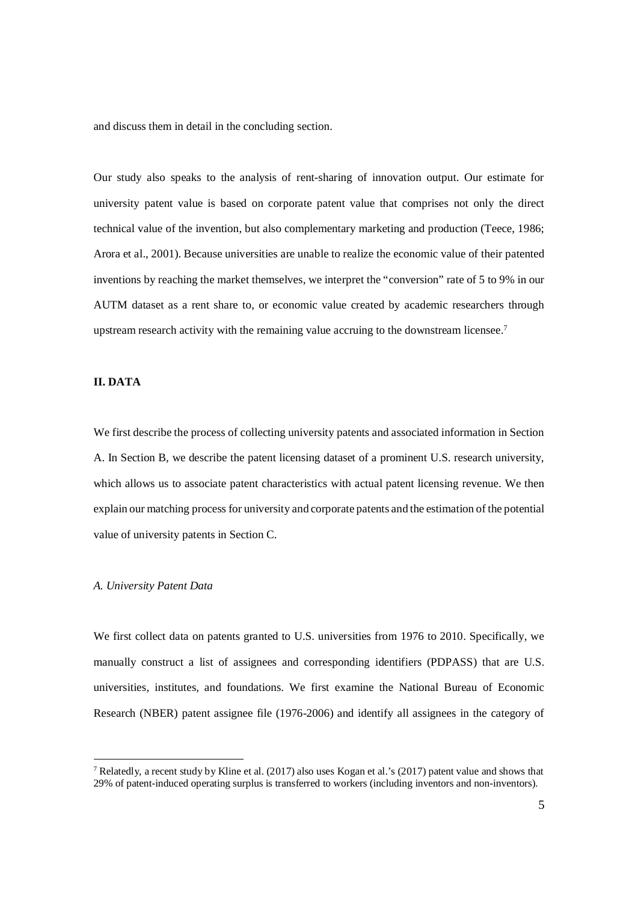and discuss them in detail in the concluding section.

Our study also speaks to the analysis of rent-sharing of innovation output. Our estimate for university patent value is based on corporate patent value that comprises not only the direct technical value of the invention, but also complementary marketing and production (Teece, 1986; Arora et al., 2001). Because universities are unable to realize the economic value of their patented inventions by reaching the market themselves, we interpret the "conversion" rate of 5 to 9% in our AUTM dataset as a rent share to, or economic value created by academic researchers through upstream research activity with the remaining value accruing to the downstream licensee.<sup>7</sup>

## **II. DATA**

We first describe the process of collecting university patents and associated information in Section A. In Section B, we describe the patent licensing dataset of a prominent U.S. research university, which allows us to associate patent characteristics with actual patent licensing revenue. We then explain our matching process for university and corporate patents and the estimation of the potential value of university patents in Section C.

#### *A. University Patent Data*

We first collect data on patents granted to U.S. universities from 1976 to 2010. Specifically, we manually construct a list of assignees and corresponding identifiers (PDPASS) that are U.S. universities, institutes, and foundations. We first examine the National Bureau of Economic Research (NBER) patent assignee file (1976-2006) and identify all assignees in the category of

<sup>&</sup>lt;sup>7</sup> Relatedly, a recent study by Kline et al. (2017) also uses Kogan et al.'s (2017) patent value and shows that 29% of patent-induced operating surplus is transferred to workers (including inventors and non-inventors).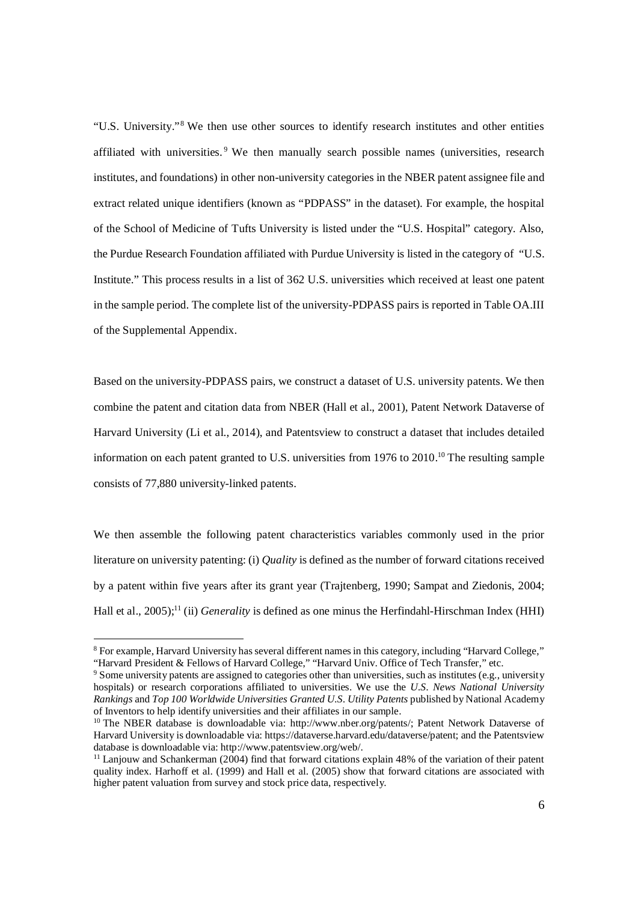"U.S. University."<sup>8</sup> We then use other sources to identify research institutes and other entities affiliated with universities.<sup>9</sup> We then manually search possible names (universities, research institutes, and foundations) in other non-university categories in the NBER patent assignee file and extract related unique identifiers (known as "PDPASS" in the dataset). For example, the hospital of the School of Medicine of Tufts University is listed under the "U.S. Hospital" category. Also, the Purdue Research Foundation affiliated with Purdue University is listed in the category of "U.S. Institute." This process results in a list of 362 U.S. universities which received at least one patent in the sample period. The complete list of the university-PDPASS pairs is reported in Table OA.III of the Supplemental Appendix.

Based on the university-PDPASS pairs, we construct a dataset of U.S. university patents. We then combine the patent and citation data from NBER (Hall et al., 2001), Patent Network Dataverse of Harvard University (Li et al., 2014), and Patentsview to construct a dataset that includes detailed information on each patent granted to U.S. universities from 1976 to 2010.<sup>10</sup> The resulting sample consists of 77,880 university-linked patents.

We then assemble the following patent characteristics variables commonly used in the prior literature on university patenting: (i) *Quality* is defined as the number of forward citations received by a patent within five years after its grant year (Trajtenberg, 1990; Sampat and Ziedonis, 2004; Hall et al., 2005);<sup>11</sup> (ii) *Generality* is defined as one minus the Herfindahl-Hirschman Index (HHI)

<sup>&</sup>lt;sup>8</sup> For example, Harvard University has several different names in this category, including "Harvard College," "Harvard President & Fellows of Harvard College," "Harvard Univ. Office of Tech Transfer," etc.

<sup>&</sup>lt;sup>9</sup> Some university patents are assigned to categories other than universities, such as institutes (e.g., university hospitals) or research corporations affiliated to universities. We use the *U.S. News National University Rankings* and *Top 100 Worldwide Universities Granted U.S. Utility Patents* published by National Academy of Inventors to help identify universities and their affiliates in our sample.

<sup>&</sup>lt;sup>10</sup> The NBER database is downloadable via: http://www.nber.org/patents/; Patent Network Dataverse of Harvard University is downloadable via: https://dataverse.harvard.edu/dataverse/patent; and the Patentsview database is downloadable via: http://www.patentsview.org/web/.

<sup>&</sup>lt;sup>11</sup> Lanjouw and Schankerman (2004) find that forward citations explain 48% of the variation of their patent quality index. Harhoff et al. (1999) and Hall et al. (2005) show that forward citations are associated with higher patent valuation from survey and stock price data, respectively.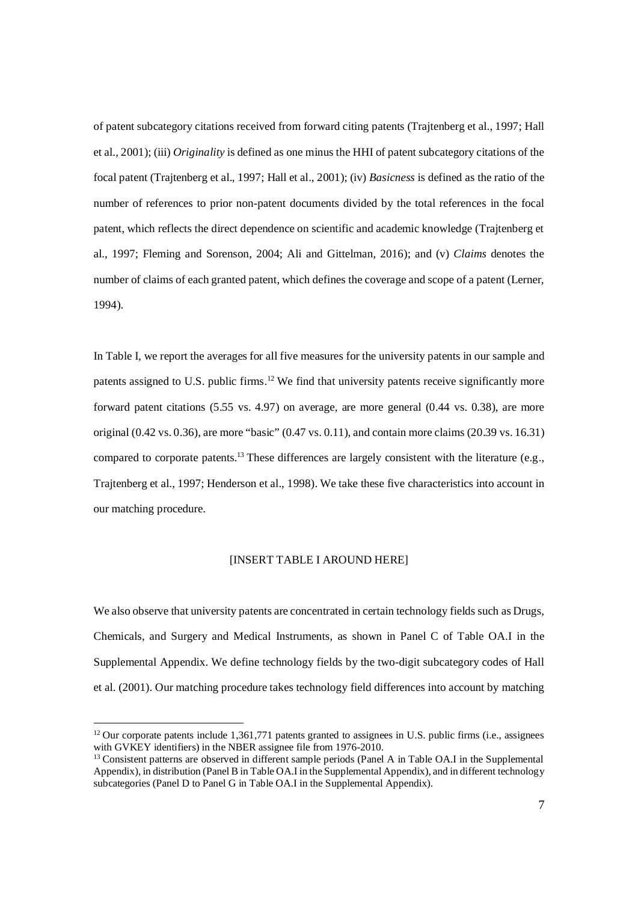of patent subcategory citations received from forward citing patents (Trajtenberg et al., 1997; Hall et al., 2001); (iii) *Originality* is defined as one minus the HHI of patent subcategory citations of the focal patent (Trajtenberg et al., 1997; Hall et al., 2001); (iv) *Basicness* is defined as the ratio of the number of references to prior non-patent documents divided by the total references in the focal patent, which reflects the direct dependence on scientific and academic knowledge (Trajtenberg et al., 1997; Fleming and Sorenson, 2004; Ali and Gittelman, 2016); and (v) *Claims* denotes the number of claims of each granted patent, which defines the coverage and scope of a patent (Lerner, 1994).

In Table I, we report the averages for all five measures for the university patents in our sample and patents assigned to U.S. public firms.<sup>12</sup> We find that university patents receive significantly more forward patent citations (5.55 vs. 4.97) on average, are more general (0.44 vs. 0.38), are more original (0.42 vs. 0.36), are more "basic" (0.47 vs. 0.11), and contain more claims (20.39 vs. 16.31) compared to corporate patents.<sup>13</sup> These differences are largely consistent with the literature (e.g., Trajtenberg et al., 1997; Henderson et al., 1998). We take these five characteristics into account in our matching procedure.

## [INSERT TABLE I AROUND HERE]

We also observe that university patents are concentrated in certain technology fields such as Drugs, Chemicals, and Surgery and Medical Instruments, as shown in Panel C of Table OA.I in the Supplemental Appendix. We define technology fields by the two-digit subcategory codes of Hall et al. (2001). Our matching procedure takes technology field differences into account by matching

<sup>&</sup>lt;sup>12</sup> Our corporate patents include 1,361,771 patents granted to assignees in U.S. public firms (i.e., assignees with GVKEY identifiers) in the NBER assignee file from 1976-2010.

<sup>&</sup>lt;sup>13</sup> Consistent patterns are observed in different sample periods (Panel A in Table OA.I in the Supplemental Appendix), in distribution (Panel B in Table OA.I in the Supplemental Appendix), and in different technology subcategories (Panel D to Panel G in Table OA.I in the Supplemental Appendix).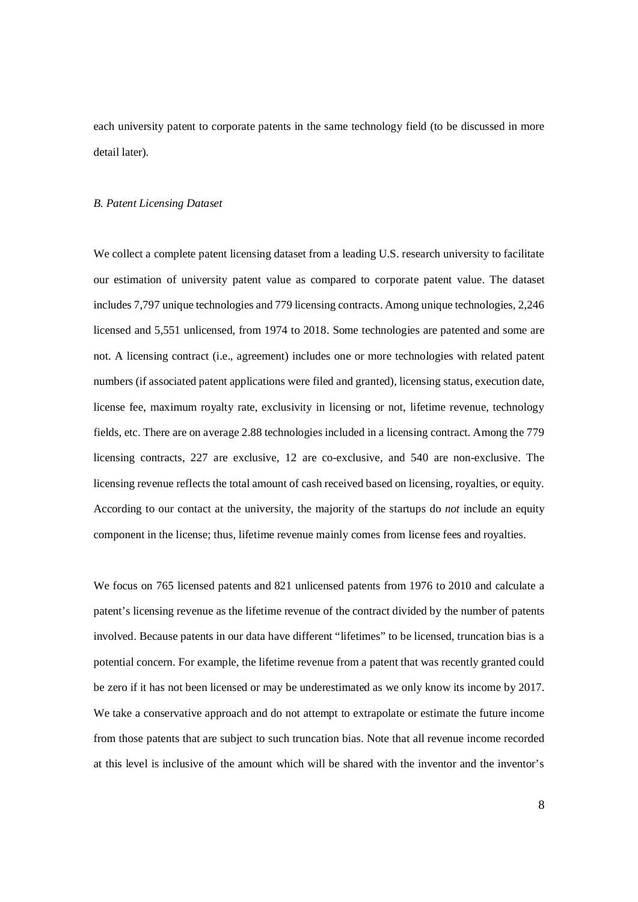each university patent to corporate patents in the same technology field (to be discussed in more detail later).

#### *B. Patent Licensing Dataset*

We collect a complete patent licensing dataset from a leading U.S. research university to facilitate our estimation of university patent value as compared to corporate patent value. The dataset includes 7,797 unique technologies and 779 licensing contracts. Among unique technologies, 2,246 licensed and 5,551 unlicensed, from 1974 to 2018. Some technologies are patented and some are not. A licensing contract (i.e., agreement) includes one or more technologies with related patent numbers (if associated patent applications were filed and granted), licensing status, execution date, license fee, maximum royalty rate, exclusivity in licensing or not, lifetime revenue, technology fields, etc. There are on average 2.88 technologies included in a licensing contract. Among the 779 licensing contracts, 227 are exclusive, 12 are co-exclusive, and 540 are non-exclusive. The licensing revenue reflects the total amount of cash received based on licensing, royalties, or equity. According to our contact at the university, the majority of the startups do *not* include an equity component in the license; thus, lifetime revenue mainly comes from license fees and royalties.

We focus on 765 licensed patents and 821 unlicensed patents from 1976 to 2010 and calculate a patent's licensing revenue as the lifetime revenue of the contract divided by the number of patents involved. Because patents in our data have different "lifetimes" to be licensed, truncation bias is a potential concern. For example, the lifetime revenue from a patent that was recently granted could be zero if it has not been licensed or may be underestimated as we only know its income by 2017. We take a conservative approach and do not attempt to extrapolate or estimate the future income from those patents that are subject to such truncation bias. Note that all revenue income recorded at this level is inclusive of the amount which will be shared with the inventor and the inventor's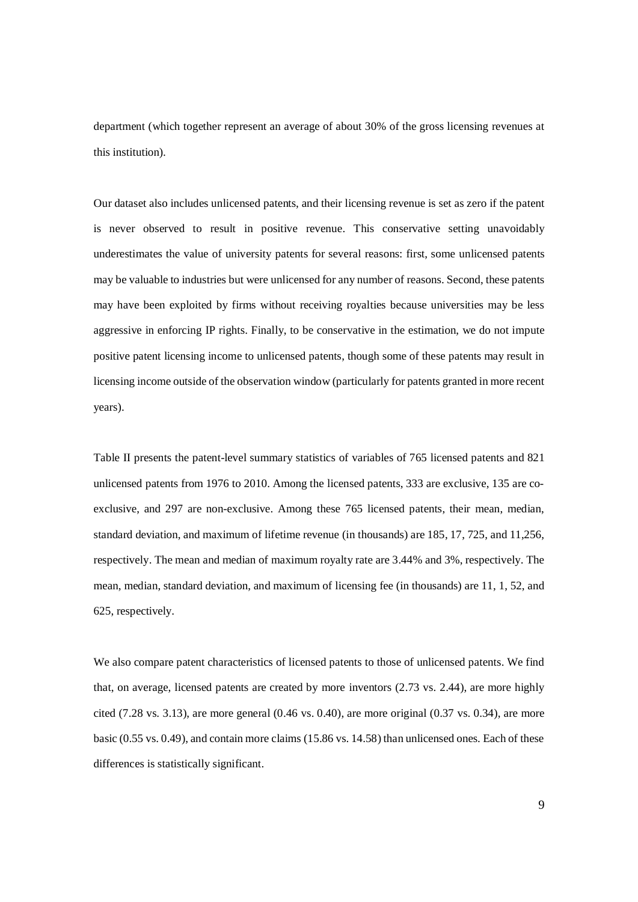department (which together represent an average of about 30% of the gross licensing revenues at this institution).

Our dataset also includes unlicensed patents, and their licensing revenue is set as zero if the patent is never observed to result in positive revenue. This conservative setting unavoidably underestimates the value of university patents for several reasons: first, some unlicensed patents may be valuable to industries but were unlicensed for any number of reasons. Second, these patents may have been exploited by firms without receiving royalties because universities may be less aggressive in enforcing IP rights. Finally, to be conservative in the estimation, we do not impute positive patent licensing income to unlicensed patents, though some of these patents may result in licensing income outside of the observation window (particularly for patents granted in more recent years).

Table II presents the patent-level summary statistics of variables of 765 licensed patents and 821 unlicensed patents from 1976 to 2010. Among the licensed patents, 333 are exclusive, 135 are coexclusive, and 297 are non-exclusive. Among these 765 licensed patents, their mean, median, standard deviation, and maximum of lifetime revenue (in thousands) are 185, 17, 725, and 11,256, respectively. The mean and median of maximum royalty rate are 3.44% and 3%, respectively. The mean, median, standard deviation, and maximum of licensing fee (in thousands) are 11, 1, 52, and 625, respectively.

We also compare patent characteristics of licensed patents to those of unlicensed patents. We find that, on average, licensed patents are created by more inventors (2.73 vs. 2.44), are more highly cited  $(7.28 \text{ vs. } 3.13)$ , are more general  $(0.46 \text{ vs. } 0.40)$ , are more original  $(0.37 \text{ vs. } 0.34)$ , are more basic (0.55 vs. 0.49), and contain more claims (15.86 vs. 14.58) than unlicensed ones. Each of these differences is statistically significant.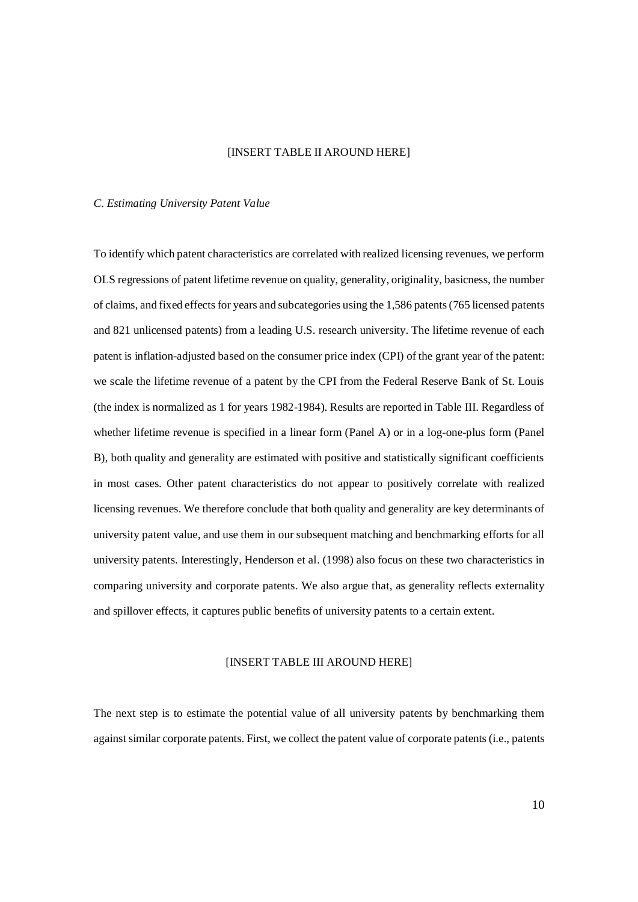# [INSERT TABLE II AROUND HERE]

#### *C. Estimating University Patent Value*

To identify which patent characteristics are correlated with realized licensing revenues, we perform OLS regressions of patent lifetime revenue on quality, generality, originality, basicness, the number of claims, and fixed effects for years and subcategories using the 1,586 patents (765 licensed patents and 821 unlicensed patents) from a leading U.S. research university. The lifetime revenue of each patent is inflation-adjusted based on the consumer price index (CPI) of the grant year of the patent: we scale the lifetime revenue of a patent by the CPI from the Federal Reserve Bank of St. Louis (the index is normalized as 1 for years 1982-1984). Results are reported in Table III. Regardless of whether lifetime revenue is specified in a linear form (Panel A) or in a log-one-plus form (Panel B), both quality and generality are estimated with positive and statistically significant coefficients in most cases. Other patent characteristics do not appear to positively correlate with realized licensing revenues. We therefore conclude that both quality and generality are key determinants of university patent value, and use them in our subsequent matching and benchmarking efforts for all university patents. Interestingly, Henderson et al. (1998) also focus on these two characteristics in comparing university and corporate patents. We also argue that, as generality reflects externality and spillover effects, it captures public benefits of university patents to a certain extent.

### [INSERT TABLE III AROUND HERE]

The next step is to estimate the potential value of all university patents by benchmarking them against similar corporate patents. First, we collect the patent value of corporate patents (i.e., patents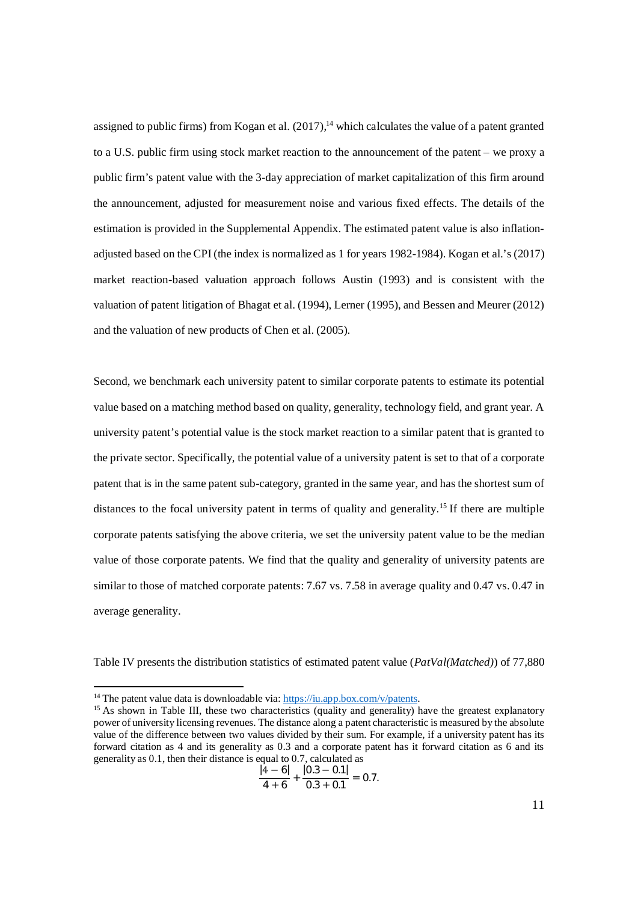assigned to public firms) from Kogan et al.  $(2017)$ ,<sup>14</sup> which calculates the value of a patent granted to a U.S. public firm using stock market reaction to the announcement of the patent – we proxy a public firm's patent value with the 3-day appreciation of market capitalization of this firm around the announcement, adjusted for measurement noise and various fixed effects. The details of the estimation is provided in the Supplemental Appendix. The estimated patent value is also inflationadjusted based on the CPI (the index is normalized as 1 for years 1982-1984). Kogan et al.'s (2017) market reaction-based valuation approach follows Austin (1993) and is consistent with the valuation of patent litigation of Bhagat et al. (1994), Lerner (1995), and Bessen and Meurer (2012) and the valuation of new products of Chen et al. (2005).

Second, we benchmark each university patent to similar corporate patents to estimate its potential value based on a matching method based on quality, generality, technology field, and grant year. A university patent's potential value is the stock market reaction to a similar patent that is granted to the private sector. Specifically, the potential value of a university patent is set to that of a corporate patent that is in the same patent sub-category, granted in the same year, and has the shortest sum of distances to the focal university patent in terms of quality and generality.<sup>15</sup> If there are multiple corporate patents satisfying the above criteria, we set the university patent value to be the median value of those corporate patents. We find that the quality and generality of university patents are similar to those of matched corporate patents: 7.67 vs. 7.58 in average quality and 0.47 vs. 0.47 in average generality.

Table IV presents the distribution statistics of estimated patent value (*PatVal(Matched)*) of 77,880

$$
\frac{|4-6|}{4+6}+\frac{|0.3-0.1|}{0.3+0.1}=0.7.
$$

<sup>&</sup>lt;sup>14</sup> The patent value data is downloadable via: https://iu.app.box.com/v/patents.

<sup>&</sup>lt;sup>15</sup> As shown in Table III, these two characteristics (quality and generality) have the greatest explanatory power of university licensing revenues. The distance along a patent characteristic is measured by the absolute value of the difference between two values divided by their sum. For example, if a university patent has its forward citation as 4 and its generality as 0.3 and a corporate patent has it forward citation as 6 and its generality as 0.1, then their distance is equal to 0.7, calculated as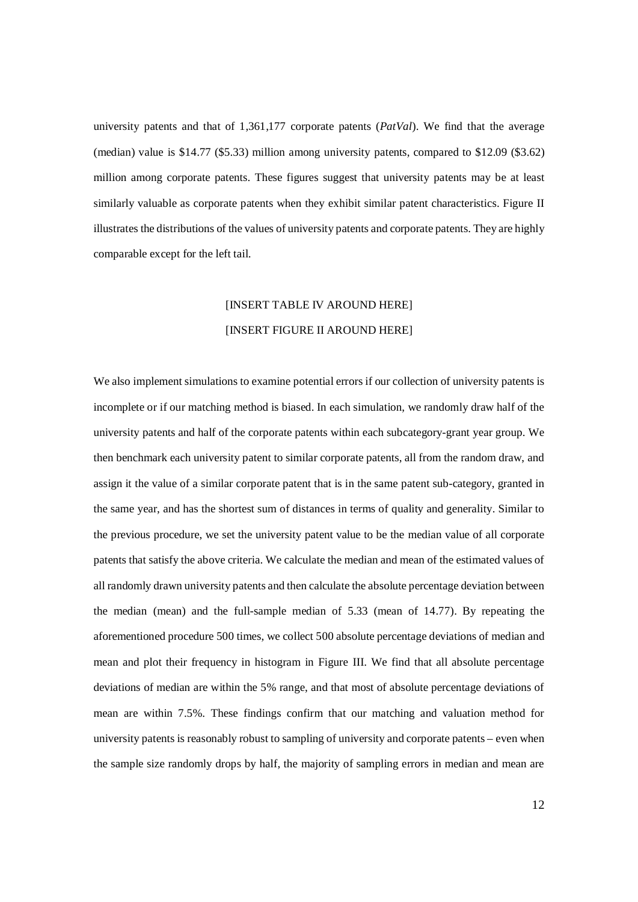university patents and that of 1,361,177 corporate patents (*PatVal*). We find that the average (median) value is \$14.77 (\$5.33) million among university patents, compared to \$12.09 (\$3.62) million among corporate patents. These figures suggest that university patents may be at least similarly valuable as corporate patents when they exhibit similar patent characteristics. Figure II illustrates the distributions of the values of university patents and corporate patents. They are highly comparable except for the left tail.

# [INSERT TABLE IV AROUND HERE] [INSERT FIGURE II AROUND HERE]

We also implement simulations to examine potential errors if our collection of university patents is incomplete or if our matching method is biased. In each simulation, we randomly draw half of the university patents and half of the corporate patents within each subcategory-grant year group. We then benchmark each university patent to similar corporate patents, all from the random draw, and assign it the value of a similar corporate patent that is in the same patent sub-category, granted in the same year, and has the shortest sum of distances in terms of quality and generality. Similar to the previous procedure, we set the university patent value to be the median value of all corporate patents that satisfy the above criteria. We calculate the median and mean of the estimated values of all randomly drawn university patents and then calculate the absolute percentage deviation between the median (mean) and the full-sample median of 5.33 (mean of 14.77). By repeating the aforementioned procedure 500 times, we collect 500 absolute percentage deviations of median and mean and plot their frequency in histogram in Figure III. We find that all absolute percentage deviations of median are within the 5% range, and that most of absolute percentage deviations of mean are within 7.5%. These findings confirm that our matching and valuation method for university patents is reasonably robust to sampling of university and corporate patents – even when the sample size randomly drops by half, the majority of sampling errors in median and mean are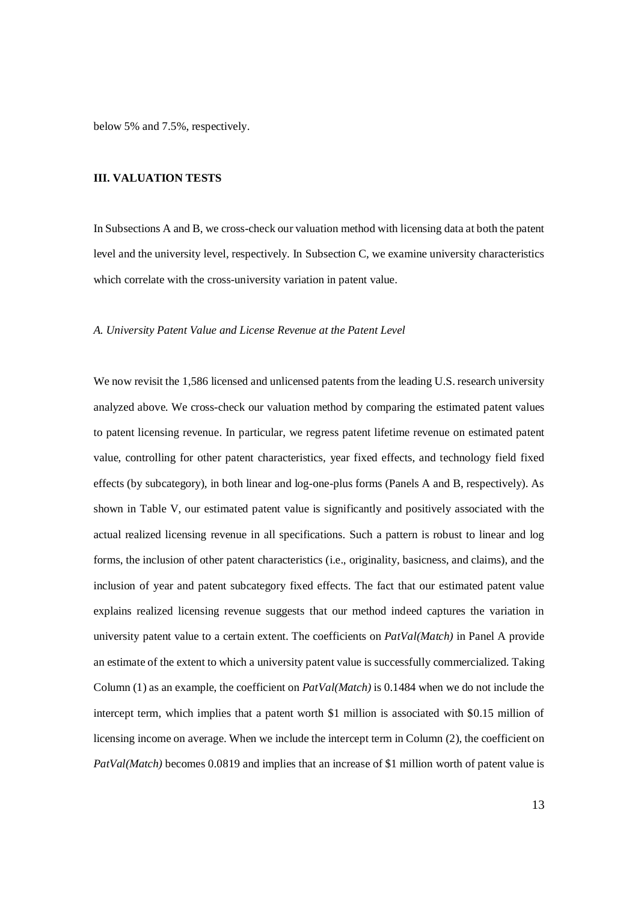below 5% and 7.5%, respectively.

#### **III. VALUATION TESTS**

In Subsections A and B, we cross-check our valuation method with licensing data at both the patent level and the university level, respectively. In Subsection C, we examine university characteristics which correlate with the cross-university variation in patent value.

#### *A. University Patent Value and License Revenue at the Patent Level*

We now revisit the 1,586 licensed and unlicensed patents from the leading U.S. research university analyzed above. We cross-check our valuation method by comparing the estimated patent values to patent licensing revenue. In particular, we regress patent lifetime revenue on estimated patent value, controlling for other patent characteristics, year fixed effects, and technology field fixed effects (by subcategory), in both linear and log-one-plus forms (Panels A and B, respectively). As shown in Table V, our estimated patent value is significantly and positively associated with the actual realized licensing revenue in all specifications. Such a pattern is robust to linear and log forms, the inclusion of other patent characteristics (i.e., originality, basicness, and claims), and the inclusion of year and patent subcategory fixed effects. The fact that our estimated patent value explains realized licensing revenue suggests that our method indeed captures the variation in university patent value to a certain extent. The coefficients on *PatVal(Match)* in Panel A provide an estimate of the extent to which a university patent value is successfully commercialized. Taking Column (1) as an example, the coefficient on *PatVal(Match)* is 0.1484 when we do not include the intercept term, which implies that a patent worth \$1 million is associated with \$0.15 million of licensing income on average. When we include the intercept term in Column (2), the coefficient on *PatVal(Match)* becomes 0.0819 and implies that an increase of \$1 million worth of patent value is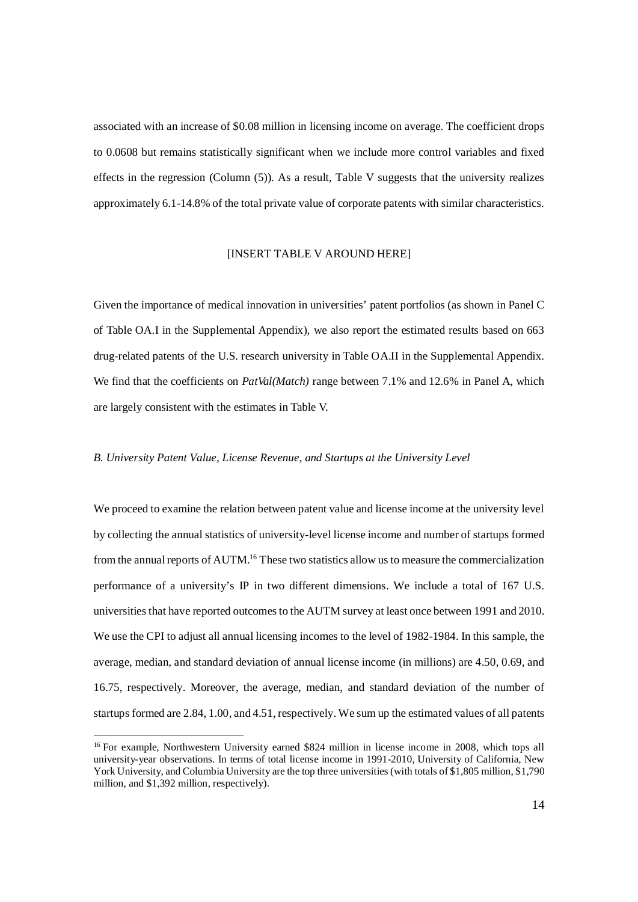associated with an increase of \$0.08 million in licensing income on average. The coefficient drops to 0.0608 but remains statistically significant when we include more control variables and fixed effects in the regression (Column (5)). As a result, Table V suggests that the university realizes approximately 6.1-14.8% of the total private value of corporate patents with similar characteristics.

## [INSERT TABLE V AROUND HERE]

Given the importance of medical innovation in universities' patent portfolios (as shown in Panel C of Table OA.I in the Supplemental Appendix), we also report the estimated results based on 663 drug-related patents of the U.S. research university in Table OA.II in the Supplemental Appendix. We find that the coefficients on *PatVal(Match)* range between 7.1% and 12.6% in Panel A, which are largely consistent with the estimates in Table V.

#### *B. University Patent Value, License Revenue, and Startups at the University Level*

We proceed to examine the relation between patent value and license income at the university level by collecting the annual statistics of university-level license income and number of startups formed from the annual reports of AUTM.<sup>16</sup> These two statistics allow us to measure the commercialization performance of a university's IP in two different dimensions. We include a total of 167 U.S. universities that have reported outcomes to the AUTM survey at least once between 1991 and 2010. We use the CPI to adjust all annual licensing incomes to the level of 1982-1984. In this sample, the average, median, and standard deviation of annual license income (in millions) are 4.50, 0.69, and 16.75, respectively. Moreover, the average, median, and standard deviation of the number of startups formed are 2.84, 1.00, and 4.51, respectively. We sum up the estimated values of all patents

<sup>&</sup>lt;sup>16</sup> For example, Northwestern University earned \$824 million in license income in 2008, which tops all university-year observations. In terms of total license income in 1991-2010, University of California, New York University, and Columbia University are the top three universities (with totals of \$1,805 million, \$1,790 million, and \$1,392 million, respectively).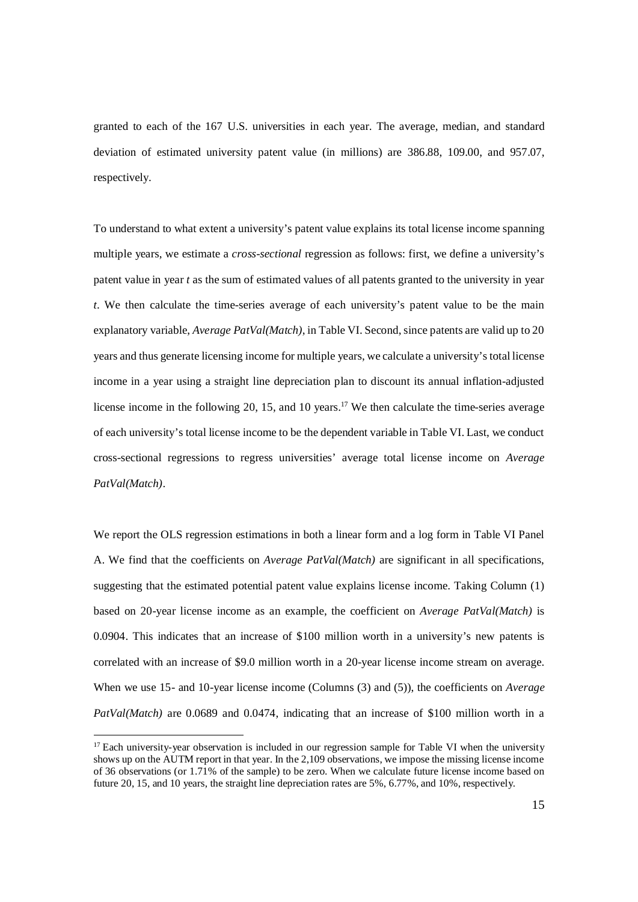granted to each of the 167 U.S. universities in each year. The average, median, and standard deviation of estimated university patent value (in millions) are 386.88, 109.00, and 957.07, respectively.

To understand to what extent a university's patent value explains its total license income spanning multiple years, we estimate a *cross-sectional* regression as follows: first, we define a university's patent value in year *t* as the sum of estimated values of all patents granted to the university in year *t*. We then calculate the time-series average of each university's patent value to be the main explanatory variable, *Average PatVal(Match)*, in Table VI. Second, since patents are valid up to 20 years and thus generate licensing income for multiple years, we calculate a university's total license income in a year using a straight line depreciation plan to discount its annual inflation-adjusted license income in the following 20, 15, and 10 years.<sup>17</sup> We then calculate the time-series average of each university's total license income to be the dependent variable in Table VI. Last, we conduct cross-sectional regressions to regress universities' average total license income on *Average PatVal(Match)*.

We report the OLS regression estimations in both a linear form and a log form in Table VI Panel A. We find that the coefficients on *Average PatVal(Match)* are significant in all specifications, suggesting that the estimated potential patent value explains license income. Taking Column (1) based on 20-year license income as an example, the coefficient on *Average PatVal(Match)* is 0.0904. This indicates that an increase of \$100 million worth in a university's new patents is correlated with an increase of \$9.0 million worth in a 20-year license income stream on average. When we use 15- and 10-year license income (Columns (3) and (5)), the coefficients on *Average PatVal(Match)* are 0.0689 and 0.0474, indicating that an increase of \$100 million worth in a

 $17$  Each university-year observation is included in our regression sample for Table VI when the university shows up on the AUTM report in that year. In the 2,109 observations, we impose the missing license income of 36 observations (or 1.71% of the sample) to be zero. When we calculate future license income based on future 20, 15, and 10 years, the straight line depreciation rates are 5%, 6.77%, and 10%, respectively.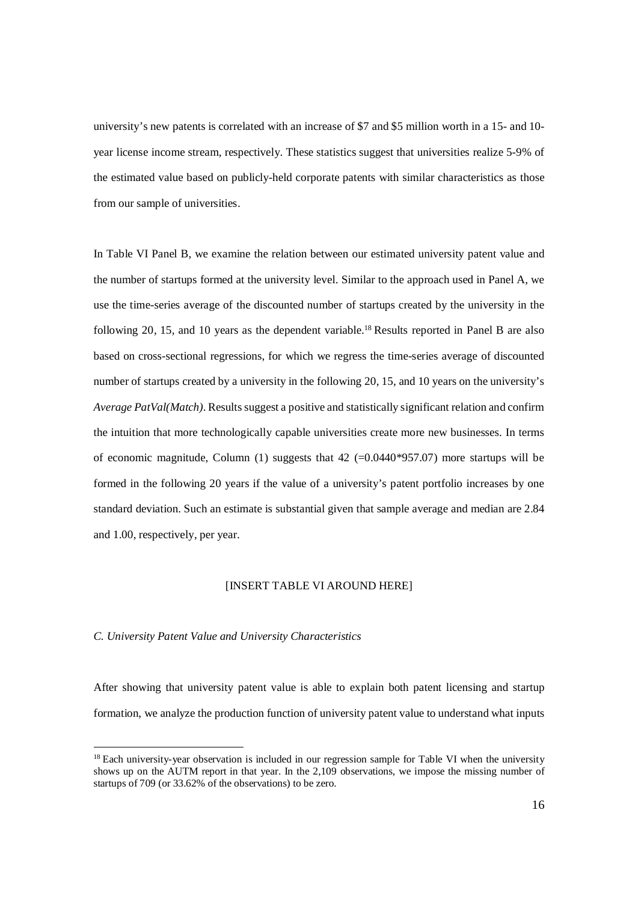university's new patents is correlated with an increase of \$7 and \$5 million worth in a 15- and 10 year license income stream, respectively. These statistics suggest that universities realize 5-9% of the estimated value based on publicly-held corporate patents with similar characteristics as those from our sample of universities.

In Table VI Panel B, we examine the relation between our estimated university patent value and the number of startups formed at the university level. Similar to the approach used in Panel A, we use the time-series average of the discounted number of startups created by the university in the following 20, 15, and 10 years as the dependent variable.<sup>18</sup> Results reported in Panel B are also based on cross-sectional regressions, for which we regress the time-series average of discounted number of startups created by a university in the following 20, 15, and 10 years on the university's *Average PatVal(Match)*. Results suggest a positive and statistically significant relation and confirm the intuition that more technologically capable universities create more new businesses. In terms of economic magnitude, Column  $(1)$  suggests that  $42$  (=0.0440\*957.07) more startups will be formed in the following 20 years if the value of a university's patent portfolio increases by one standard deviation. Such an estimate is substantial given that sample average and median are 2.84 and 1.00, respectively, per year.

#### [INSERT TABLE VI AROUND HERE]

#### *C. University Patent Value and University Characteristics*

After showing that university patent value is able to explain both patent licensing and startup formation, we analyze the production function of university patent value to understand what inputs

<sup>&</sup>lt;sup>18</sup> Each university-year observation is included in our regression sample for Table VI when the university shows up on the AUTM report in that year. In the 2,109 observations, we impose the missing number of startups of 709 (or 33.62% of the observations) to be zero.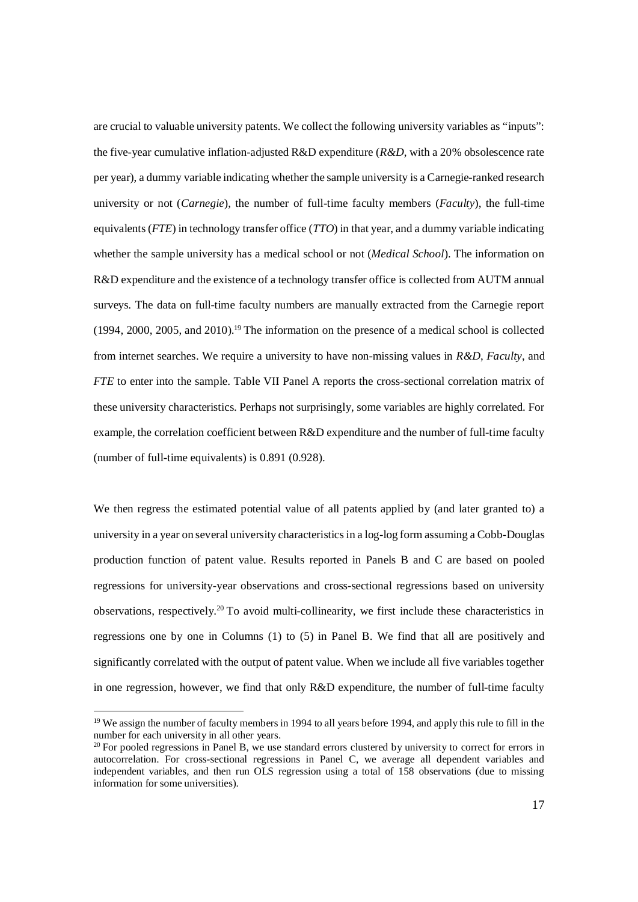are crucial to valuable university patents. We collect the following university variables as "inputs": the five-year cumulative inflation-adjusted R&D expenditure (*R&D*, with a 20% obsolescence rate per year), a dummy variable indicating whether the sample university is a Carnegie-ranked research university or not (*Carnegie*), the number of full-time faculty members (*Faculty*), the full-time equivalents (*FTE*) in technology transfer office (*TTO*) in that year, and a dummy variable indicating whether the sample university has a medical school or not (*Medical School*). The information on R&D expenditure and the existence of a technology transfer office is collected from AUTM annual surveys. The data on full-time faculty numbers are manually extracted from the Carnegie report (1994, 2000, 2005, and 2010).<sup>19</sup> The information on the presence of a medical school is collected from internet searches. We require a university to have non-missing values in *R&D*, *Faculty*, and *FTE* to enter into the sample. Table VII Panel A reports the cross-sectional correlation matrix of these university characteristics. Perhaps not surprisingly, some variables are highly correlated. For example, the correlation coefficient between R&D expenditure and the number of full-time faculty (number of full-time equivalents) is 0.891 (0.928).

We then regress the estimated potential value of all patents applied by (and later granted to) a university in a year on several university characteristics in a log-log form assuming a Cobb-Douglas production function of patent value. Results reported in Panels B and C are based on pooled regressions for university-year observations and cross-sectional regressions based on university observations, respectively.<sup>20</sup> To avoid multi-collinearity, we first include these characteristics in regressions one by one in Columns (1) to (5) in Panel B. We find that all are positively and significantly correlated with the output of patent value. When we include all five variables together in one regression, however, we find that only R&D expenditure, the number of full-time faculty

<sup>&</sup>lt;sup>19</sup> We assign the number of faculty members in 1994 to all years before 1994, and apply this rule to fill in the number for each university in all other years.

<sup>&</sup>lt;sup>20</sup> For pooled regressions in Panel B, we use standard errors clustered by university to correct for errors in autocorrelation. For cross-sectional regressions in Panel C, we average all dependent variables and independent variables, and then run OLS regression using a total of 158 observations (due to missing information for some universities).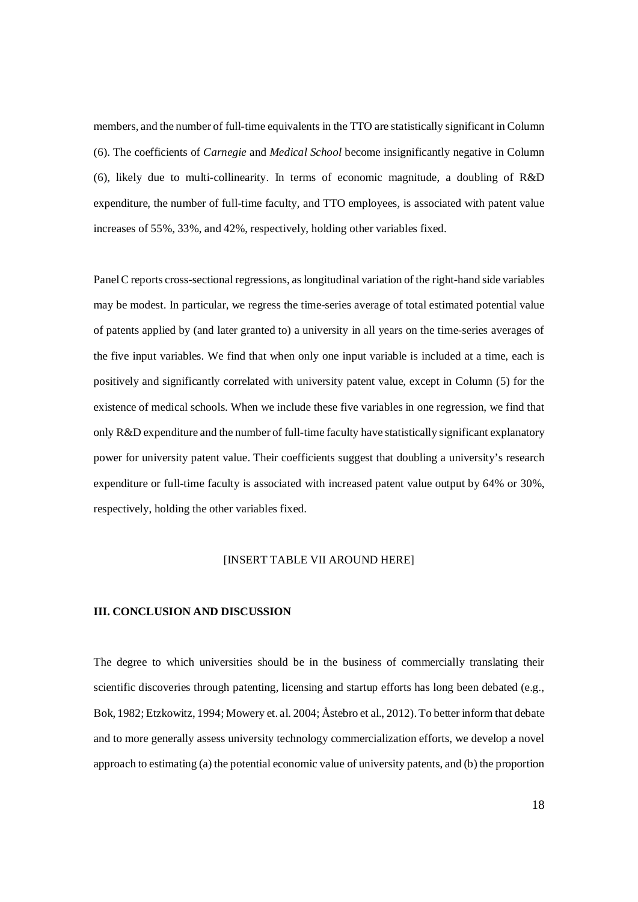members, and the number of full-time equivalents in the TTO are statistically significant in Column (6). The coefficients of *Carnegie* and *Medical School* become insignificantly negative in Column (6), likely due to multi-collinearity. In terms of economic magnitude, a doubling of R&D expenditure, the number of full-time faculty, and TTO employees, is associated with patent value increases of 55%, 33%, and 42%, respectively, holding other variables fixed.

Panel C reports cross-sectional regressions, as longitudinal variation of the right-hand side variables may be modest. In particular, we regress the time-series average of total estimated potential value of patents applied by (and later granted to) a university in all years on the time-series averages of the five input variables. We find that when only one input variable is included at a time, each is positively and significantly correlated with university patent value, except in Column (5) for the existence of medical schools. When we include these five variables in one regression, we find that only R&D expenditure and the number of full-time faculty have statistically significant explanatory power for university patent value. Their coefficients suggest that doubling a university's research expenditure or full-time faculty is associated with increased patent value output by 64% or 30%, respectively, holding the other variables fixed.

## [INSERT TABLE VII AROUND HERE]

#### **III. CONCLUSION AND DISCUSSION**

The degree to which universities should be in the business of commercially translating their scientific discoveries through patenting, licensing and startup efforts has long been debated (e.g., Bok, 1982; Etzkowitz, 1994; Mowery et. al. 2004; Åstebro et al., 2012). To better inform that debate and to more generally assess university technology commercialization efforts, we develop a novel approach to estimating (a) the potential economic value of university patents, and (b) the proportion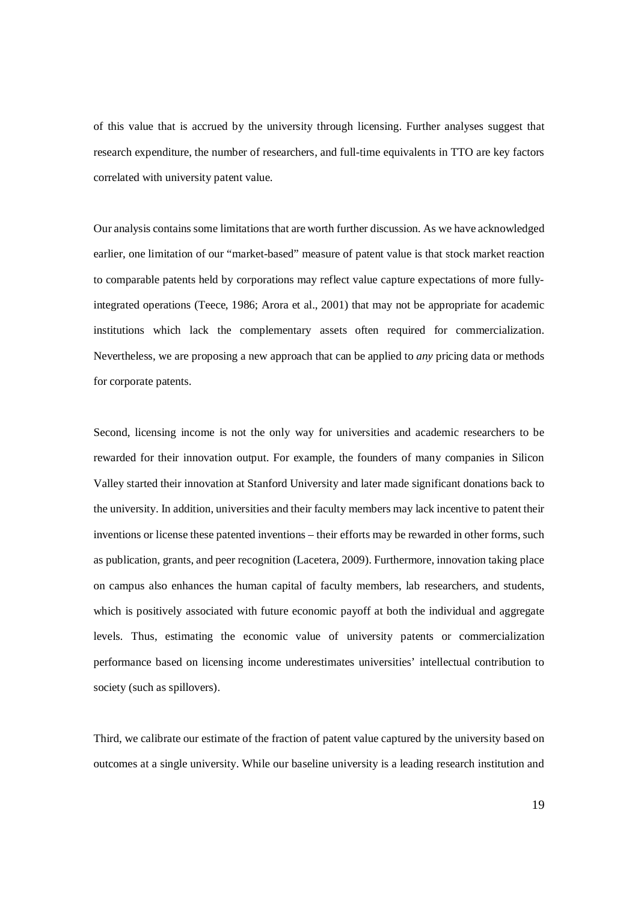of this value that is accrued by the university through licensing. Further analyses suggest that research expenditure, the number of researchers, and full-time equivalents in TTO are key factors correlated with university patent value.

Our analysis contains some limitations that are worth further discussion. As we have acknowledged earlier, one limitation of our "market-based" measure of patent value is that stock market reaction to comparable patents held by corporations may reflect value capture expectations of more fullyintegrated operations (Teece, 1986; Arora et al., 2001) that may not be appropriate for academic institutions which lack the complementary assets often required for commercialization. Nevertheless, we are proposing a new approach that can be applied to *any* pricing data or methods for corporate patents.

Second, licensing income is not the only way for universities and academic researchers to be rewarded for their innovation output. For example, the founders of many companies in Silicon Valley started their innovation at Stanford University and later made significant donations back to the university. In addition, universities and their faculty members may lack incentive to patent their inventions or license these patented inventions – their efforts may be rewarded in other forms, such as publication, grants, and peer recognition (Lacetera, 2009). Furthermore, innovation taking place on campus also enhances the human capital of faculty members, lab researchers, and students, which is positively associated with future economic payoff at both the individual and aggregate levels. Thus, estimating the economic value of university patents or commercialization performance based on licensing income underestimates universities' intellectual contribution to society (such as spillovers).

Third, we calibrate our estimate of the fraction of patent value captured by the university based on outcomes at a single university. While our baseline university is a leading research institution and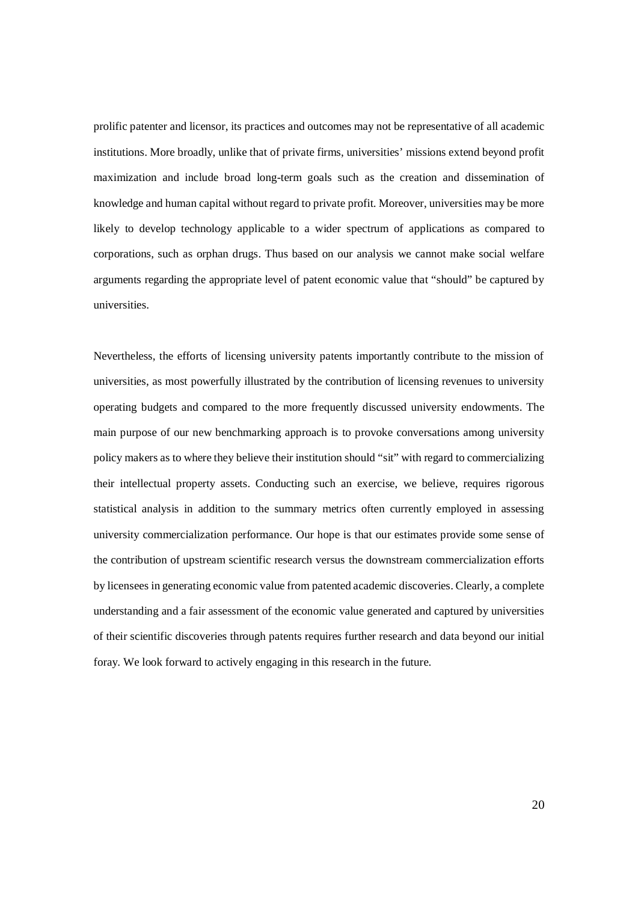prolific patenter and licensor, its practices and outcomes may not be representative of all academic institutions. More broadly, unlike that of private firms, universities' missions extend beyond profit maximization and include broad long-term goals such as the creation and dissemination of knowledge and human capital without regard to private profit. Moreover, universities may be more likely to develop technology applicable to a wider spectrum of applications as compared to corporations, such as orphan drugs. Thus based on our analysis we cannot make social welfare arguments regarding the appropriate level of patent economic value that "should" be captured by universities.

Nevertheless, the efforts of licensing university patents importantly contribute to the mission of universities, as most powerfully illustrated by the contribution of licensing revenues to university operating budgets and compared to the more frequently discussed university endowments. The main purpose of our new benchmarking approach is to provoke conversations among university policy makers as to where they believe their institution should "sit" with regard to commercializing their intellectual property assets. Conducting such an exercise, we believe, requires rigorous statistical analysis in addition to the summary metrics often currently employed in assessing university commercialization performance. Our hope is that our estimates provide some sense of the contribution of upstream scientific research versus the downstream commercialization efforts by licensees in generating economic value from patented academic discoveries. Clearly, a complete understanding and a fair assessment of the economic value generated and captured by universities of their scientific discoveries through patents requires further research and data beyond our initial foray. We look forward to actively engaging in this research in the future.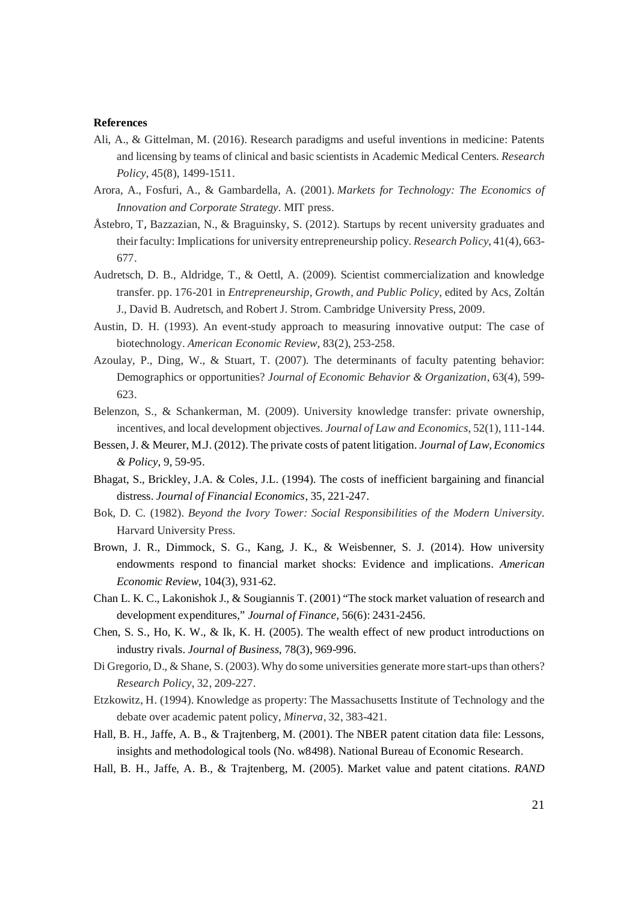#### **References**

- Ali, A., & Gittelman, M. (2016). Research paradigms and useful inventions in medicine: Patents and licensing by teams of clinical and basic scientists in Academic Medical Centers. *Research Policy*, 45(8), 1499-1511.
- Arora, A., Fosfuri, A., & Gambardella, A. (2001). *Markets for Technology: The Economics of Innovation and Corporate Strategy*. MIT press.
- Åstebro, T, Bazzazian, N., & Braguinsky, S. (2012). Startups by recent university graduates and their faculty: Implications for university entrepreneurship policy. *Research Policy*, 41(4), 663- 677.
- Audretsch, D. B., Aldridge, T., & Oettl, A. (2009). Scientist commercialization and knowledge transfer. pp. 176-201 in *Entrepreneurship, Growth, and Public Policy*, edited by Acs, Zoltán J., David B. Audretsch, and Robert J. Strom. Cambridge University Press, 2009.
- Austin, D. H. (1993). An event-study approach to measuring innovative output: The case of biotechnology. *American Economic Review*, 83(2), 253-258.
- Azoulay, P., Ding, W., & Stuart, T. (2007). The determinants of faculty patenting behavior: Demographics or opportunities? *Journal of Economic Behavior & Organization*, 63(4), 599- 623.
- Belenzon, S., & Schankerman, M. (2009). University knowledge transfer: private ownership, incentives, and local development objectives. *Journal of Law and Economics*, 52(1), 111-144.
- Bessen, J. & Meurer, M.J. (2012). The private costs of patent litigation. *Journal of Law, Economics & Policy*, 9, 59-95.
- Bhagat, S., Brickley, J.A. & Coles, J.L. (1994). The costs of inefficient bargaining and financial distress. *Journal of Financial Economics*, 35, 221-247.
- Bok, D. C. (1982). *Beyond the Ivory Tower: Social Responsibilities of the Modern University*. Harvard University Press.
- Brown, J. R., Dimmock, S. G., Kang, J. K., & Weisbenner, S. J. (2014). How university endowments respond to financial market shocks: Evidence and implications. *American Economic Review*, 104(3), 931-62.
- Chan L. K. C., Lakonishok J., & Sougiannis T. (2001) "The stock market valuation of research and development expenditures," *Journal of Finance*, 56(6): 2431-2456.
- Chen, S. S., Ho, K. W., & Ik, K. H. (2005). The wealth effect of new product introductions on industry rivals. *Journal of Business*, 78(3), 969-996.
- Di Gregorio, D., & Shane, S. (2003). Why do some universities generate more start-ups than others? *Research Policy*, 32, 209-227.
- Etzkowitz, H. (1994). Knowledge as property: The Massachusetts Institute of Technology and the debate over academic patent policy, *Minerva*, 32, 383-421.
- Hall, B. H., Jaffe, A. B., & Trajtenberg, M. (2001). The NBER patent citation data file: Lessons, insights and methodological tools (No. w8498). National Bureau of Economic Research.
- Hall, B. H., Jaffe, A. B., & Trajtenberg, M. (2005). Market value and patent citations. *RAND*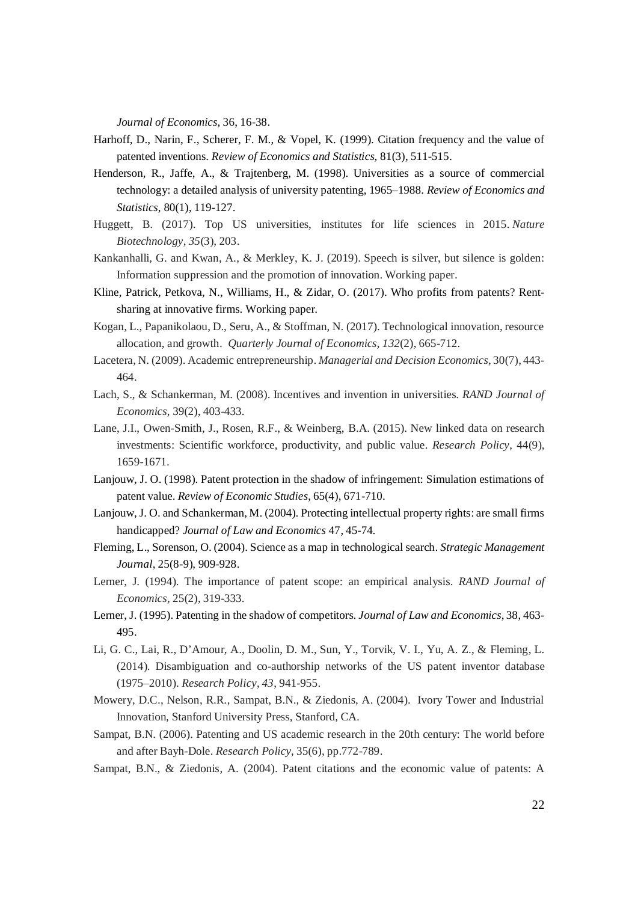*Journal of Economics*, 36, 16-38.

- Harhoff, D., Narin, F., Scherer, F. M., & Vopel, K. (1999). Citation frequency and the value of patented inventions. *Review of Economics and Statistics*, 81(3), 511-515.
- Henderson, R., Jaffe, A., & Trajtenberg, M. (1998). Universities as a source of commercial technology: a detailed analysis of university patenting, 1965–1988. *Review of Economics and Statistics*, 80(1), 119-127.
- Huggett, B. (2017). Top US universities, institutes for life sciences in 2015. *Nature Biotechnology*, *35*(3), 203.
- Kankanhalli, G. and Kwan, A., & Merkley, K. J. (2019). Speech is silver, but silence is golden: Information suppression and the promotion of innovation. Working paper.
- Kline, Patrick, Petkova, N., Williams, H., & Zidar, O. (2017). Who profits from patents? Rentsharing at innovative firms. Working paper.
- Kogan, L., Papanikolaou, D., Seru, A., & Stoffman, N. (2017). Technological innovation, resource allocation, and growth. *Quarterly Journal of Economics*, *132*(2), 665-712.
- Lacetera, N. (2009). Academic entrepreneurship. *Managerial and Decision Economics*, 30(7), 443- 464.
- Lach, S., & Schankerman, M. (2008). Incentives and invention in universities. *RAND Journal of Economics*, 39(2), 403-433.
- Lane, J.I., Owen-Smith, J., Rosen, R.F., & Weinberg, B.A. (2015). New linked data on research investments: Scientific workforce, productivity, and public value. *Research Policy*, 44(9), 1659-1671.
- Lanjouw, J. O. (1998). Patent protection in the shadow of infringement: Simulation estimations of patent value. *Review of Economic Studies*, 65(4), 671-710.
- Lanjouw, J. O. and Schankerman, M. (2004). Protecting intellectual property rights: are small firms handicapped? *Journal of Law and Economics* 47, 45-74.
- Fleming, L., Sorenson, O. (2004). Science as a map in technological search. *Strategic Management Journal*, 25(8-9), 909-928.
- Lerner, J. (1994). The importance of patent scope: an empirical analysis. *RAND Journal of Economics,* 25(2), 319-333.
- Lerner, J. (1995). Patenting in the shadow of competitors. *Journal of Law and Economics*, 38, 463- 495.
- Li, G. C., Lai, R., D'Amour, A., Doolin, D. M., Sun, Y., Torvik, V. I., Yu, A. Z., & Fleming, L. (2014). Disambiguation and co-authorship networks of the US patent inventor database (1975–2010). *Research Policy*, *43*, 941-955.
- Mowery, D.C., Nelson, R.R., Sampat, B.N., & Ziedonis, A. (2004). Ivory Tower and Industrial Innovation, Stanford University Press, Stanford, CA.
- Sampat, B.N. (2006). Patenting and US academic research in the 20th century: The world before and after Bayh-Dole. *Research Policy*, 35(6), pp.772-789.
- Sampat, B.N., & Ziedonis, A. (2004). Patent citations and the economic value of patents: A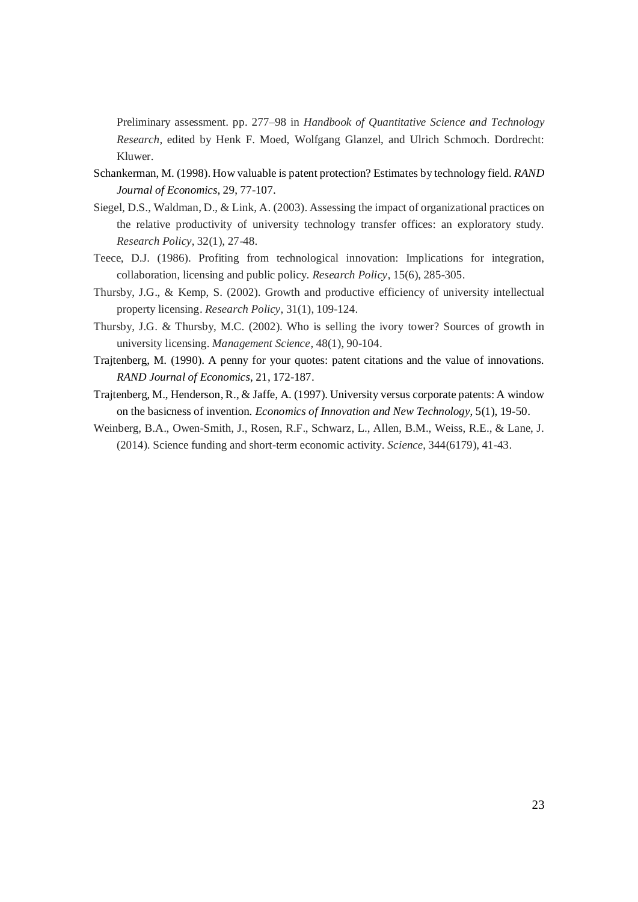Preliminary assessment. pp. 277–98 in *Handbook of Quantitative Science and Technology Research*, edited by Henk F. Moed, Wolfgang Glanzel, and Ulrich Schmoch. Dordrecht: Kluwer.

- Schankerman, M. (1998). How valuable is patent protection? Estimates by technology field. *RAND Journal of Economics*, 29, 77-107.
- Siegel, D.S., Waldman, D., & Link, A. (2003). Assessing the impact of organizational practices on the relative productivity of university technology transfer offices: an exploratory study. *Research Policy*, 32(1), 27-48.
- Teece, D.J. (1986). Profiting from technological innovation: Implications for integration, collaboration, licensing and public policy. *Research Policy*, 15(6), 285-305.
- Thursby, J.G., & Kemp, S. (2002). Growth and productive efficiency of university intellectual property licensing. *Research Policy*, 31(1), 109-124.
- Thursby, J.G. & Thursby, M.C. (2002). Who is selling the ivory tower? Sources of growth in university licensing. *Management Science*, 48(1), 90-104.
- Trajtenberg, M. (1990). A penny for your quotes: patent citations and the value of innovations. *RAND Journal of Economics*, 21, 172-187.
- Trajtenberg, M., Henderson, R., & Jaffe, A. (1997). University versus corporate patents: A window on the basicness of invention. *Economics of Innovation and New Technology*, 5(1), 19-50.
- Weinberg, B.A., Owen-Smith, J., Rosen, R.F., Schwarz, L., Allen, B.M., Weiss, R.E., & Lane, J. (2014). Science funding and short-term economic activity. *Science*, 344(6179), 41-43.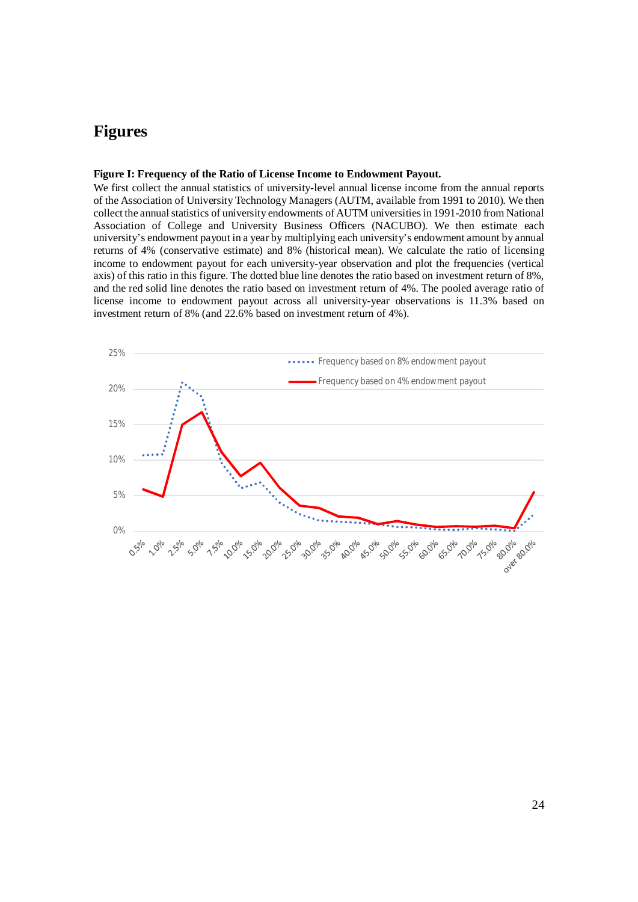# **Figures**

#### **Figure I: Frequency of the Ratio of License Income to Endowment Payout.**

We first collect the annual statistics of university-level annual license income from the annual reports of the Association of University Technology Managers (AUTM, available from 1991 to 2010). We then collect the annual statistics of university endowments of AUTM universities in 1991-2010 from National Association of College and University Business Officers (NACUBO). We then estimate each university's endowment payout in a year by multiplying each university's endowment amount by annual returns of 4% (conservative estimate) and 8% (historical mean). We calculate the ratio of licensing income to endowment payout for each university-year observation and plot the frequencies (vertical axis) of this ratio in this figure. The dotted blue line denotes the ratio based on investment return of 8%, and the red solid line denotes the ratio based on investment return of 4%. The pooled average ratio of license income to endowment payout across all university-year observations is 11.3% based on investment return of 8% (and 22.6% based on investment return of 4%).

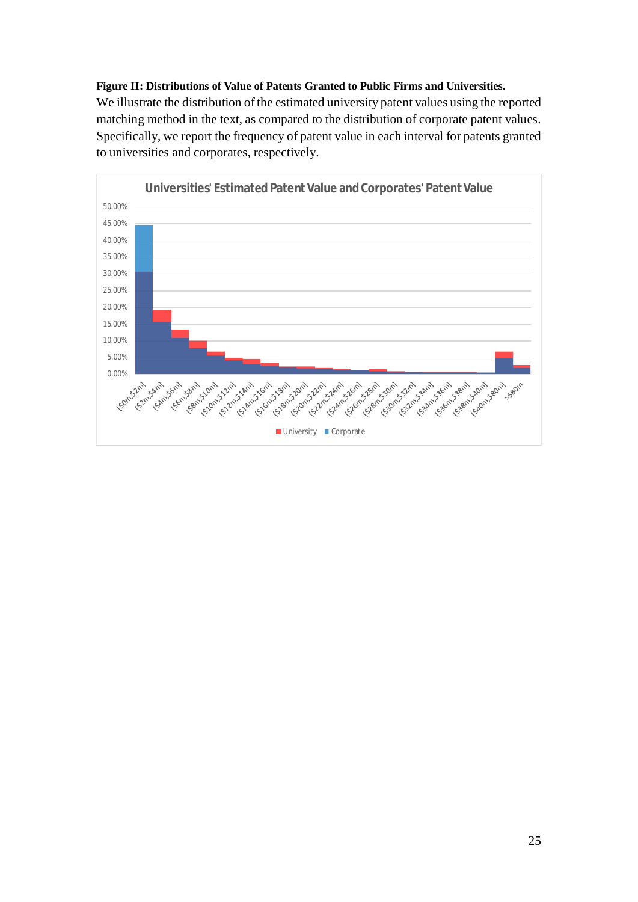**Figure II: Distributions of Value of Patents Granted to Public Firms and Universities.** We illustrate the distribution of the estimated university patent values using the reported matching method in the text, as compared to the distribution of corporate patent values. Specifically, we report the frequency of patent value in each interval for patents granted to universities and corporates, respectively.

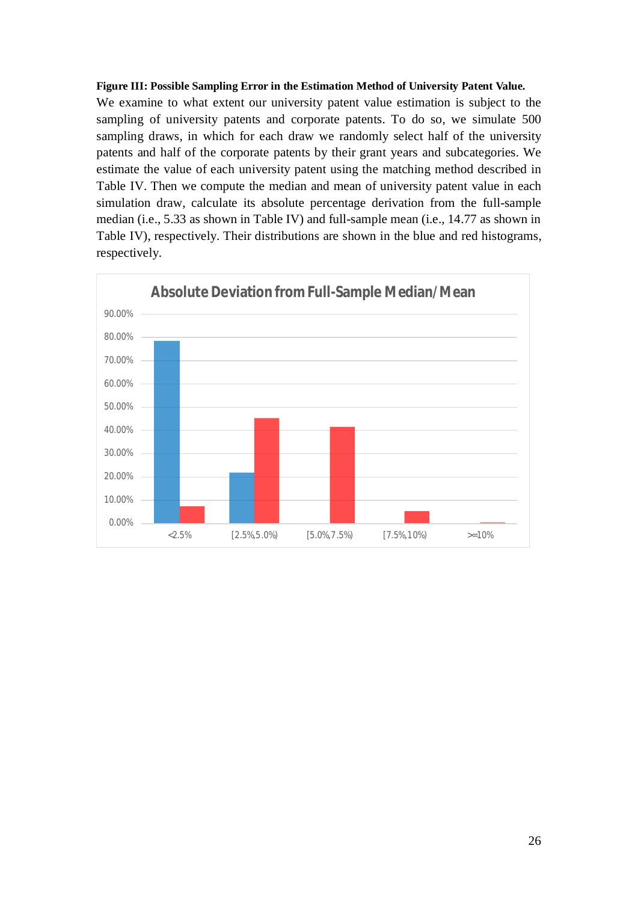# **Figure III: Possible Sampling Error in the Estimation Method of University Patent Value.**

We examine to what extent our university patent value estimation is subject to the sampling of university patents and corporate patents. To do so, we simulate 500 sampling draws, in which for each draw we randomly select half of the university patents and half of the corporate patents by their grant years and subcategories. We estimate the value of each university patent using the matching method described in Table IV. Then we compute the median and mean of university patent value in each simulation draw, calculate its absolute percentage derivation from the full-sample median (i.e., 5.33 as shown in Table IV) and full-sample mean (i.e., 14.77 as shown in Table IV), respectively. Their distributions are shown in the blue and red histograms, respectively.

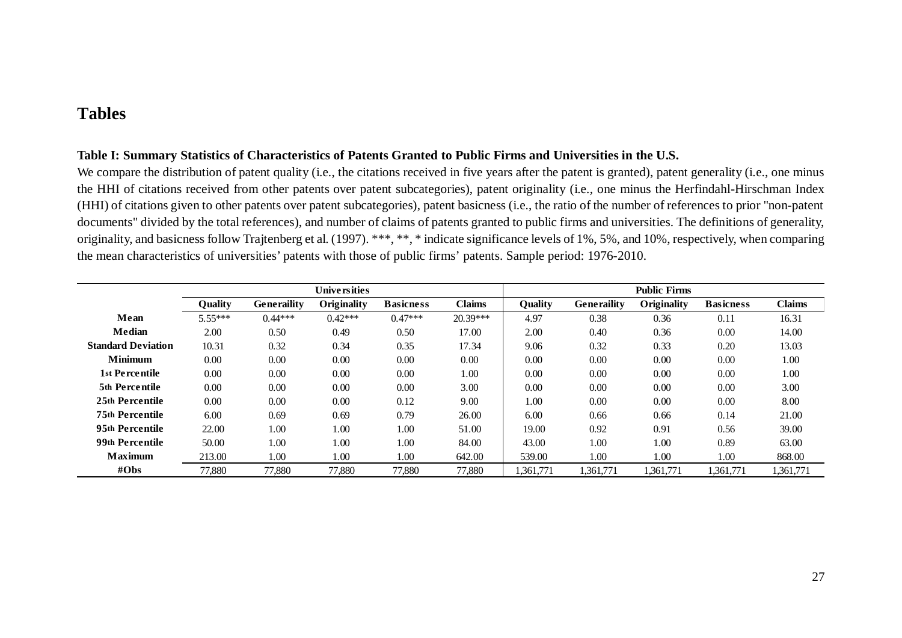# **Tables**

# **Table I: Summary Statistics of Characteristics of Patents Granted to Public Firms and Universities in the U.S.**

We compare the distribution of patent quality (i.e., the citations received in five years after the patent is granted), patent generality (i.e., one minus the HHI of citations received from other patents over patent subcategories), patent originality (i.e., one minus the Herfindahl-Hirschman Index (HHI) of citations given to other patents over patent subcategories), patent basicness (i.e., the ratio of the number of references to prior "non-patent documents" divided by the total references), and number of claims of patents granted to public firms and universities. The definitions of generality, originality, and basicness follow Trajtenberg et al. (1997). \*\*\*, \*\*, \* indicate significance levels of 1%, 5%, and 10%, respectively, when comparing the mean characteristics of universities' patents with those of public firms' patents. Sample period: 1976-2010.

|                           |                |                    | Universities |                  |               |                |                    | <b>Public Firms</b> |                  |               |
|---------------------------|----------------|--------------------|--------------|------------------|---------------|----------------|--------------------|---------------------|------------------|---------------|
|                           | <b>Ouality</b> | <b>Generaility</b> | Originality  | <b>Basicness</b> | <b>Claims</b> | <b>Ouality</b> | <b>Generaility</b> | Originality         | <b>Basicness</b> | <b>Claims</b> |
| Mean                      | 5.55***        | $0.44***$          | $0.42***$    | $0.47***$        | $20.39***$    | 4.97           | 0.38               | 0.36                | 0.11             | 16.31         |
| <b>Median</b>             | 2.00           | 0.50               | 0.49         | 0.50             | 17.00         | 2.00           | 0.40               | 0.36                | 0.00             | 14.00         |
| <b>Standard Deviation</b> | 10.31          | 0.32               | 0.34         | 0.35             | 17.34         | 9.06           | 0.32               | 0.33                | 0.20             | 13.03         |
| <b>Minimum</b>            | 0.00           | 0.00               | 0.00         | 0.00             | 0.00          | 0.00           | 0.00               | 0.00                | 0.00             | 1.00          |
| 1st Percentile            | 0.00           | 0.00               | 0.00         | 0.00             | 1.00          | 0.00           | 0.00               | 0.00                | 0.00             | 1.00          |
| 5th Percentile            | 0.00           | 0.00               | 0.00         | 0.00             | 3.00          | 0.00           | 0.00               | 0.00                | 0.00             | 3.00          |
| 25th Percentile           | 0.00           | 0.00               | 0.00         | 0.12             | 9.00          | 1.00           | 0.00               | 0.00                | 0.00             | 8.00          |
| <b>75th Percentile</b>    | 6.00           | 0.69               | 0.69         | 0.79             | 26.00         | 6.00           | 0.66               | 0.66                | 0.14             | 21.00         |
| 95th Percentile           | 22.00          | 1.00               | 1.00         | 1.00             | 51.00         | 19.00          | 0.92               | 0.91                | 0.56             | 39.00         |
| 99th Percentile           | 50.00          | 1.00               | 1.00         | 1.00             | 84.00         | 43.00          | 1.00               | 1.00                | 0.89             | 63.00         |
| <b>Maximum</b>            | 213.00         | 1.00               | 1.00         | 1.00             | 642.00        | 539.00         | 1.00               | 1.00                | 1.00             | 868.00        |
| $\#Obs$                   | 77,880         | 77.880             | 77,880       | 77,880           | 77,880        | 1,361,771      | 1,361,771          | 1.361.771           | 1.361.771        | 1,361,771     |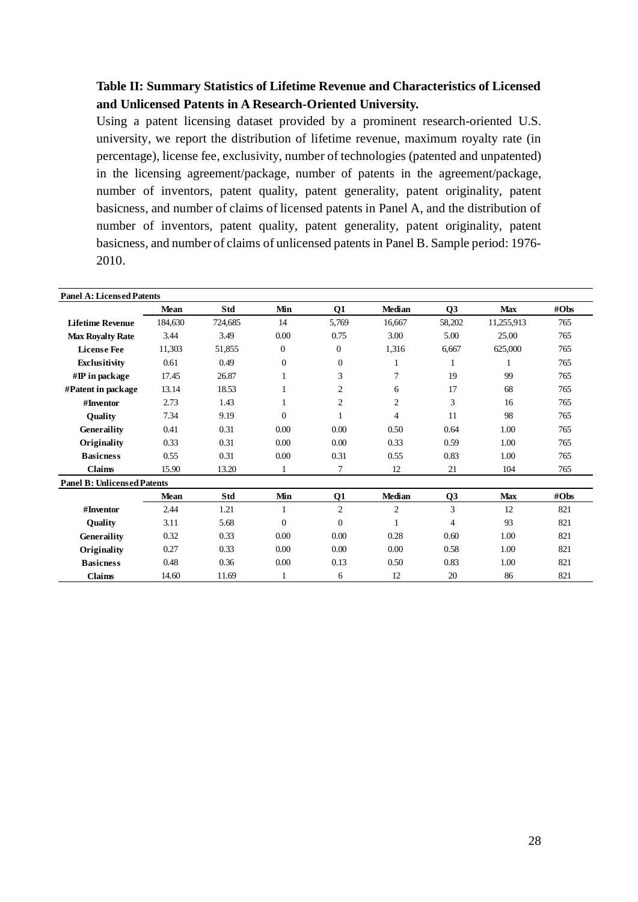# **Table II: Summary Statistics of Lifetime Revenue and Characteristics of Licensed and Unlicensed Patents in A Research-Oriented University.**

Using a patent licensing dataset provided by a prominent research-oriented U.S. university, we report the distribution of lifetime revenue, maximum royalty rate (in percentage), license fee, exclusivity, number of technologies (patented and unpatented) in the licensing agreement/package, number of patents in the agreement/package, number of inventors, patent quality, patent generality, patent originality, patent basicness, and number of claims of licensed patents in Panel A, and the distribution of number of inventors, patent quality, patent generality, patent originality, patent basicness, and number of claims of unlicensed patents in Panel B. Sample period: 1976- 2010.

| <b>Panel A: Licensed Patents</b>   |             |         |              |                |                |                |            |      |
|------------------------------------|-------------|---------|--------------|----------------|----------------|----------------|------------|------|
|                                    | <b>Mean</b> | Std     | Min          | 01             | <b>Median</b>  | <b>O3</b>      | <b>Max</b> | #Obs |
| <b>Lifetime Revenue</b>            | 184,630     | 724,685 | 14           | 5,769          | 16,667         | 58,202         | 11,255,913 | 765  |
| <b>Max Royalty Rate</b>            | 3.44        | 3.49    | 0.00         | 0.75           | 3.00           | 5.00           | 25.00      | 765  |
| <b>License Fee</b>                 | 11,303      | 51,855  | $\mathbf{0}$ | $\overline{0}$ | 1,316          | 6,667          | 625,000    | 765  |
| Exclusitivity                      | 0.61        | 0.49    | $\Omega$     | $\Omega$       | 1              |                |            | 765  |
| $\#\mathbf{IP}$ in package         | 17.45       | 26.87   |              | 3              | 7              | 19             | 99         | 765  |
| #Patent in package                 | 13.14       | 18.53   |              | $\overline{2}$ | 6              | 17             | 68         | 765  |
| #Inventor                          | 2.73        | 1.43    | 1            | $\overline{2}$ | 2              | 3              | 16         | 765  |
| Quality                            | 7.34        | 9.19    | $\Omega$     |                | $\overline{4}$ | 11             | 98         | 765  |
| <b>Generaility</b>                 | 0.41        | 0.31    | 0.00         | 0.00           | 0.50           | 0.64           | 1.00       | 765  |
| Originality                        | 0.33        | 0.31    | 0.00         | 0.00           | 0.33           | 0.59           | 1.00       | 765  |
| <b>Basicness</b>                   | 0.55        | 0.31    | 0.00         | 0.31           | 0.55           | 0.83           | 1.00       | 765  |
| <b>Claims</b>                      | 15.90       | 13.20   | 1            | 7              | 12             | 21             | 104        | 765  |
| <b>Panel B: Unlicensed Patents</b> |             |         |              |                |                |                |            |      |
|                                    | <b>Mean</b> | Std     | Min          | Q1             | <b>Median</b>  | Q <sub>3</sub> | <b>Max</b> | #Obs |
| #Inventor                          | 2.44        | 1.21    | 1            | $\overline{2}$ | $\overline{2}$ | 3              | 12         | 821  |
| Quality                            | 3.11        | 5.68    | $\Omega$     | $\overline{0}$ |                | 4              | 93         | 821  |
| <b>Generaility</b>                 | 0.32        | 0.33    | 0.00         | 0.00           | 0.28           | 0.60           | 1.00       | 821  |
| Originality                        | 0.27        | 0.33    | 0.00         | 0.00           | 0.00           | 0.58           | 1.00       | 821  |
| <b>Basicness</b>                   | 0.48        | 0.36    | $0.00\,$     | 0.13           | 0.50           | 0.83           | 1.00       | 821  |
| <b>Claims</b>                      | 14.60       | 11.69   | 1            | 6              | 12             | 20             | 86         | 821  |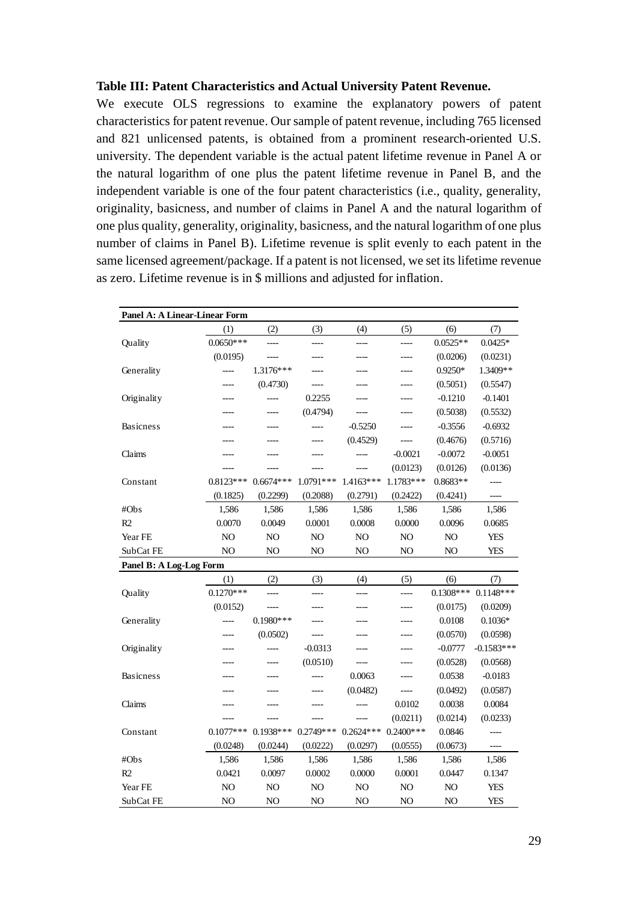## **Table III: Patent Characteristics and Actual University Patent Revenue.**

We execute OLS regressions to examine the explanatory powers of patent characteristics for patent revenue. Our sample of patent revenue, including 765 licensed and 821 unlicensed patents, is obtained from a prominent research-oriented U.S. university. The dependent variable is the actual patent lifetime revenue in Panel A or the natural logarithm of one plus the patent lifetime revenue in Panel B, and the independent variable is one of the four patent characteristics (i.e., quality, generality, originality, basicness, and number of claims in Panel A and the natural logarithm of one plus quality, generality, originality, basicness, and the natural logarithm of one plus number of claims in Panel B). Lifetime revenue is split evenly to each patent in the same licensed agreement/package. If a patent is not licensed, we set its lifetime revenue as zero. Lifetime revenue is in \$ millions and adjusted for inflation.

| Panel A: A Linear-Linear Form |                |                |                          |                |             |             |              |
|-------------------------------|----------------|----------------|--------------------------|----------------|-------------|-------------|--------------|
|                               | (1)            | (2)            | (3)                      | (4)            | (5)         | (6)         | (7)          |
| Quality                       | $0.0650***$    |                | $\overline{\phantom{a}}$ | ----           | $---$       | $0.0525**$  | $0.0425*$    |
|                               | (0.0195)       | ----           | ----                     | ----           | ----        | (0.0206)    | (0.0231)     |
| Generality                    | ----           | $1.3176***$    | ----                     | ----           | ----        | $0.9250*$   | 1.3409**     |
|                               | ----           | (0.4730)       | ----                     | ----           | ----        | (0.5051)    | (0.5547)     |
| Originality                   | ----           | ----           | 0.2255                   | ----           | ----        | $-0.1210$   | $-0.1401$    |
|                               |                | ----           | (0.4794)                 | ----           |             | (0.5038)    | (0.5532)     |
| <b>Basicness</b>              | ----           | $---$          |                          | $-0.5250$      | ----        | $-0.3556$   | $-0.6932$    |
|                               | ----           |                | ----                     | (0.4529)       | $---$       | (0.4676)    | (0.5716)     |
| Claims                        | ----           |                |                          | ----           | $-0.0021$   | $-0.0072$   | $-0.0051$    |
|                               | ----           | ----           | ----                     | ----           | (0.0123)    | (0.0126)    | (0.0136)     |
| Constant                      | $0.8123***$    | $0.6674***$    | 1.0791***                | $1.4163***$    | 1.1783***   | $0.8683**$  | ----         |
|                               | (0.1825)       | (0.2299)       | (0.2088)                 | (0.2791)       | (0.2422)    | (0.4241)    | ----         |
| #Obs                          | 1,586          | 1,586          | 1,586                    | 1,586          | 1,586       | 1,586       | 1,586        |
| R <sub>2</sub>                | 0.0070         | 0.0049         | 0.0001                   | 0.0008         | 0.0000      | 0.0096      | 0.0685       |
| Year FE                       | NO             | NO             | NO                       | NO             | NO          | NO          | <b>YES</b>   |
| SubCat FE                     | N <sub>O</sub> | N <sub>O</sub> | NO                       | N <sub>O</sub> | NO          | NO          | <b>YES</b>   |
| Panel B: A Log-Log Form       |                |                |                          |                |             |             |              |
|                               | (1)            | (2)            | (3)                      | (4)            | (5)         | (6)         | (7)          |
| Quality                       | $0.1270***$    | ----           | $---$                    | ----           | ----        | $0.1308***$ | $0.1148***$  |
|                               | (0.0152)       |                |                          |                |             | (0.0175)    | (0.0209)     |
| Generality                    |                | $0.1980$ ***   |                          |                |             | 0.0108      | $0.1036*$    |
|                               | ----           | (0.0502)       | $---$                    | ----           |             | (0.0570)    | (0.0598)     |
| Originality                   |                |                | $-0.0313$                | ----           |             | $-0.0777$   | $-0.1583***$ |
|                               |                | ----           | (0.0510)                 |                | ----        | (0.0528)    | (0.0568)     |
| <b>Basicness</b>              |                | ----           | ----                     | 0.0063         | ----        | 0.0538      | $-0.0183$    |
|                               |                |                |                          | (0.0482)       |             | (0.0492)    | (0.0587)     |
| Claims                        | ----           |                | ----                     | ----           | 0.0102      | 0.0038      | 0.0084       |
|                               |                |                |                          |                | (0.0211)    | (0.0214)    | (0.0233)     |
| Constant                      | $0.1077***$    | $0.1938***$    | $0.2749***$              | $0.2624***$    | $0.2400***$ | 0.0846      | ----         |
|                               | (0.0248)       | (0.0244)       | (0.0222)                 | (0.0297)       | (0.0555)    | (0.0673)    | ----         |
| #Obs                          | 1,586          | 1,586          | 1,586                    | 1,586          | 1,586       | 1,586       | 1,586        |
| R2                            | 0.0421         | 0.0097         | 0.0002                   | 0.0000         | 0.0001      | 0.0447      | 0.1347       |
| Year FE                       | NO             | NO             | NO                       | NO             | NO          | NO          | YES          |
| SubCat FE                     | NO             | N <sub>O</sub> | NO                       | NO             | NO          | NO          | YES          |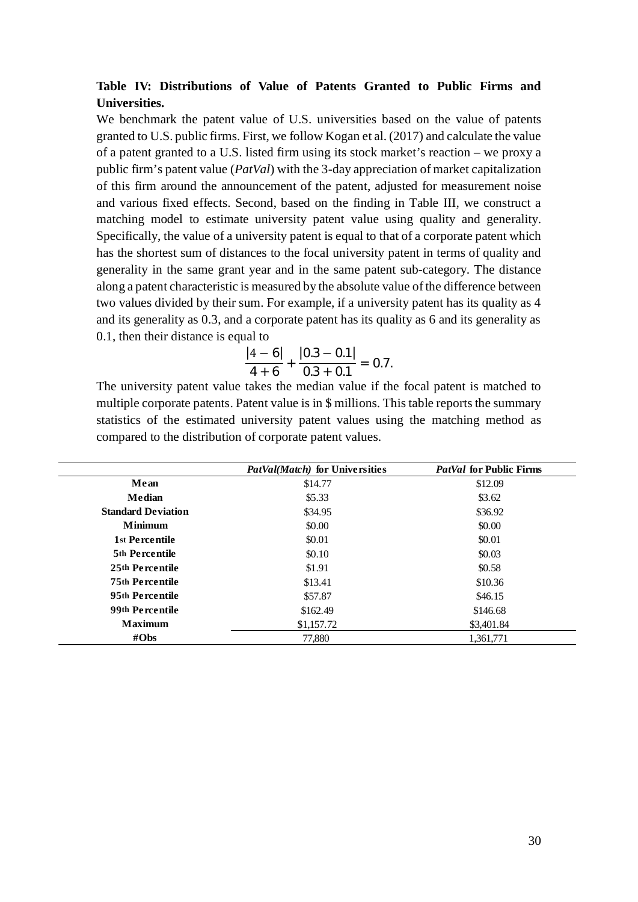# **Table IV: Distributions of Value of Patents Granted to Public Firms and Universities.**

We benchmark the patent value of U.S. universities based on the value of patents granted to U.S. public firms. First, we follow Kogan et al. (2017) and calculate the value of a patent granted to a U.S. listed firm using its stock market's reaction – we proxy a public firm's patent value (*PatVal*) with the 3-day appreciation of market capitalization of this firm around the announcement of the patent, adjusted for measurement noise and various fixed effects. Second, based on the finding in Table III, we construct a matching model to estimate university patent value using quality and generality. Specifically, the value of a university patent is equal to that of a corporate patent which has the shortest sum of distances to the focal university patent in terms of quality and generality in the same grant year and in the same patent sub-category. The distance along a patent characteristic is measured by the absolute value of the difference between two values divided by their sum. For example, if a university patent has its quality as 4 and its generality as 0.3, and a corporate patent has its quality as 6 and its generality as 0.1, then their distance is equal to

$$
\frac{|4-6|}{4+6}+\frac{|0.3-0.1|}{0.3+0.1}=0.7.
$$

The university patent value takes the median value if the focal patent is matched to multiple corporate patents. Patent value is in \$ millions. This table reports the summary statistics of the estimated university patent values using the matching method as compared to the distribution of corporate patent values.

|                           | PatVal(Match) for Universities | <i>PatVal</i> for Public Firms |
|---------------------------|--------------------------------|--------------------------------|
| Mean                      | \$14.77                        | \$12.09                        |
| Median                    | \$5.33                         | \$3.62                         |
| <b>Standard Deviation</b> | \$34.95                        | \$36.92                        |
| <b>Minimum</b>            | \$0.00                         | \$0.00                         |
| 1st Percentile            | \$0.01                         | \$0.01                         |
| <b>5th Percentile</b>     | \$0.10                         | \$0.03                         |
| 25th Percentile           | \$1.91                         | \$0.58                         |
| <b>75th Percentile</b>    | \$13.41                        | \$10.36                        |
| 95th Percentile           | \$57.87                        | \$46.15                        |
| 99th Percentile           | \$162.49                       | \$146.68                       |
| <b>Maximum</b>            | \$1,157.72                     | \$3,401.84                     |
| #Obs                      | 77,880                         | 1,361,771                      |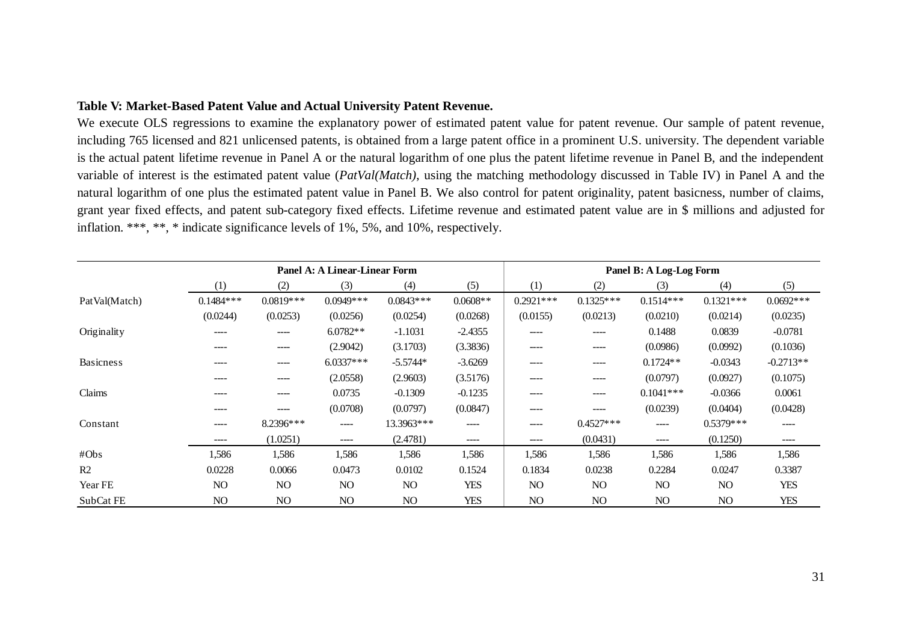# **Table V: Market-Based Patent Value and Actual University Patent Revenue.**

We execute OLS regressions to examine the explanatory power of estimated patent value for patent revenue. Our sample of patent revenue, including 765 licensed and 821 unlicensed patents, is obtained from a large patent office in a prominent U.S. university. The dependent variable is the actual patent lifetime revenue in Panel A or the natural logarithm of one plus the patent lifetime revenue in Panel B, and the independent variable of interest is the estimated patent value (*PatVal(Match)*, using the matching methodology discussed in Table IV) in Panel A and the natural logarithm of one plus the estimated patent value in Panel B. We also control for patent originality, patent basicness, number of claims, grant year fixed effects, and patent sub-category fixed effects. Lifetime revenue and estimated patent value are in \$ millions and adjusted for inflation. \*\*\*, \*\*, \* indicate significance levels of 1%, 5%, and 10%, respectively.

|                  |             |             | Panel A: A Linear-Linear Form |             |            |                |             | Panel B: A Log-Log Form |             |             |
|------------------|-------------|-------------|-------------------------------|-------------|------------|----------------|-------------|-------------------------|-------------|-------------|
|                  | (1)         | (2)         | (3)                           | (4)         | (5)        | (1)            | (2)         | (3)                     | (4)         | (5)         |
| PatVal(Match)    | $0.1484***$ | $0.0819***$ | $0.0949***$                   | $0.0843***$ | $0.0608**$ | $0.2921$ ***   | $0.1325***$ | $0.1514***$             | $0.1321***$ | $0.0692***$ |
|                  | (0.0244)    | (0.0253)    | (0.0256)                      | (0.0254)    | (0.0268)   | (0.0155)       | (0.0213)    | (0.0210)                | (0.0214)    | (0.0235)    |
| Originality      | $\cdots$    | ----        | $6.0782**$                    | $-1.1031$   | $-2.4355$  | ----           | ----        | 0.1488                  | 0.0839      | $-0.0781$   |
|                  | ----        | ----        | (2.9042)                      | (3.1703)    | (3.3836)   | ----           | ----        | (0.0986)                | (0.0992)    | (0.1036)    |
| <b>Basicness</b> | $\cdots$    | ----        | $6.0337***$                   | $-5.5744*$  | $-3.6269$  | ----           | $--- -$     | $0.1724**$              | $-0.0343$   | $-0.2713**$ |
|                  | $\cdots$    | ----        | (2.0558)                      | (2.9603)    | (3.5176)   | ----           | $--- -$     | (0.0797)                | (0.0927)    | (0.1075)    |
| Claims           | ----        | ----        | 0.0735                        | $-0.1309$   | $-0.1235$  | ----           | ----        | $0.1041***$             | $-0.0366$   | 0.0061      |
|                  | $\cdots$    | ----        | (0.0708)                      | (0.0797)    | (0.0847)   | ----           | ----        | (0.0239)                | (0.0404)    | (0.0428)    |
| Constant         | ----        | 8.2396***   | ----                          | 13.3963***  | ----       | ----           | $0.4527***$ | ----                    | $0.5379***$ | ----        |
|                  | ----        | (1.0251)    | ----                          | (2.4781)    | ----       | ----           | (0.0431)    | $---$                   | (0.1250)    | $- - - -$   |
| #Obs             | 1,586       | 1,586       | 1,586                         | 1,586       | 1,586      | 1,586          | 1,586       | 1,586                   | 1,586       | 1,586       |
| R2               | 0.0228      | 0.0066      | 0.0473                        | 0.0102      | 0.1524     | 0.1834         | 0.0238      | 0.2284                  | 0.0247      | 0.3387      |
| Year FE          | NO.         | NO.         | NO                            | NO          | YES        | N <sub>O</sub> | NO.         | NO                      | NO.         | <b>YES</b>  |
| SubCat FE        | NO.         | NO          | NO                            | NO          | <b>YES</b> | N <sub>O</sub> | NO.         | NO                      | NO.         | <b>YES</b>  |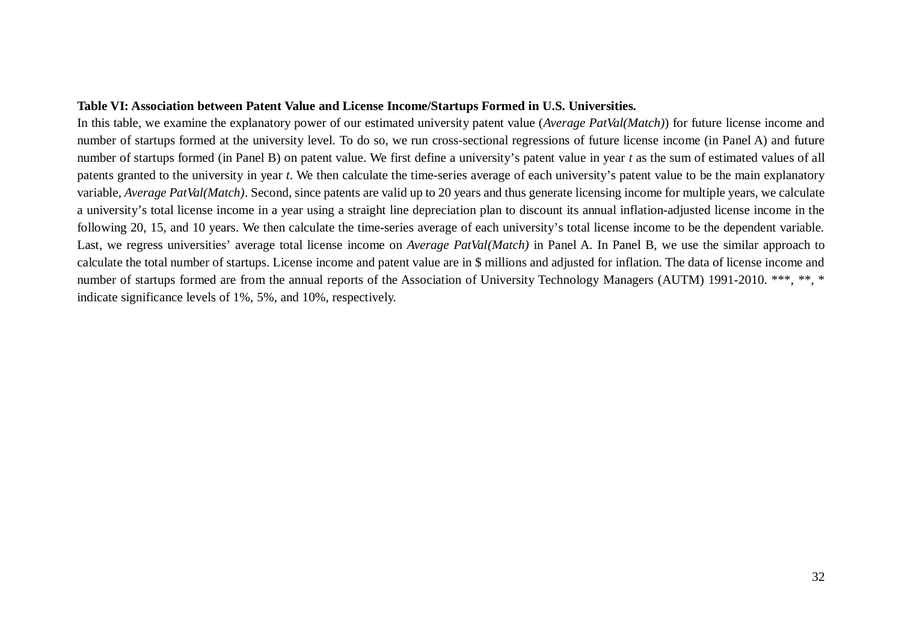# **Table VI: Association between Patent Value and License Income/Startups Formed in U.S. Universities.**

In this table, we examine the explanatory power of our estimated university patent value (*Average PatVal(Match)*) for future license income and number of startups formed at the university level. To do so, we run cross-sectional regressions of future license income (in Panel A) and future number of startups formed (in Panel B) on patent value. We first define a university's patent value in year *t* as the sum of estimated values of all patents granted to the university in year *t*. We then calculate the time-series average of each university's patent value to be the main explanatory variable, *Average PatVal(Match)*. Second, since patents are valid up to 20 years and thus generate licensing income for multiple years, we calculate a university's total license income in a year using a straight line depreciation plan to discount its annual inflation-adjusted license income in the following 20, 15, and 10 years. We then calculate the time-series average of each university's total license income to be the dependent variable. Last, we regress universities' average total license income on *Average PatVal(Match)* in Panel A. In Panel B, we use the similar approach to calculate the total number of startups. License income and patent value are in \$ millions and adjusted for inflation. The data of license income and number of startups formed are from the annual reports of the Association of University Technology Managers (AUTM) 1991-2010. \*\*\*, \*\*, \* indicate significance levels of 1%, 5%, and 10%, respectively.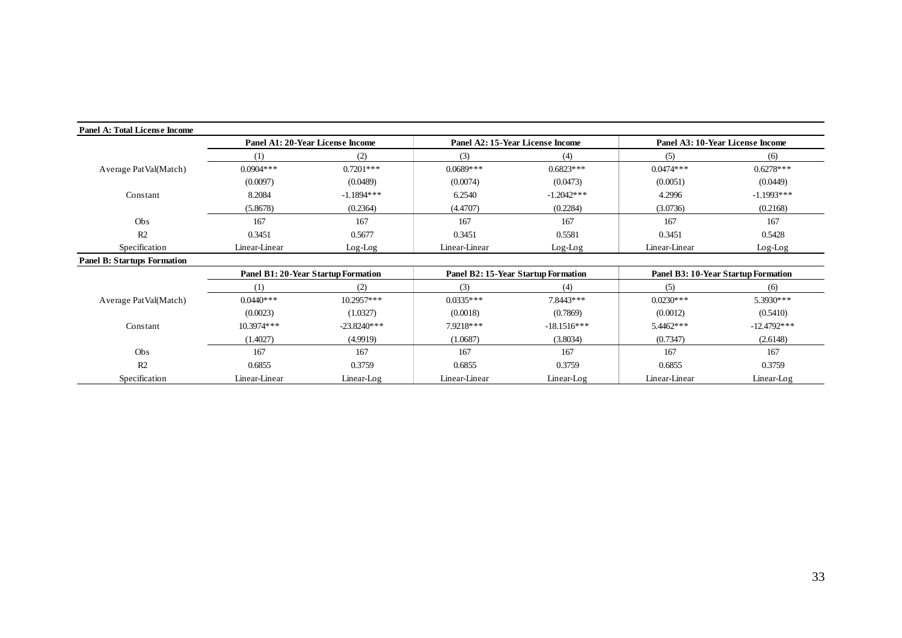| Panel A: Total License Income      |                                     |               |                                  |                                     |                                     |               |
|------------------------------------|-------------------------------------|---------------|----------------------------------|-------------------------------------|-------------------------------------|---------------|
|                                    | Panel A1: 20-Year License Income    |               | Panel A2: 15-Year License Income |                                     | Panel A3: 10-Year License Income    |               |
|                                    | (1)                                 | (2)           | (3)                              | (4)                                 | (5)                                 | (6)           |
| Average PatVal(Match)              | $0.0904***$                         | $0.7201***$   | $0.0689***$                      | $0.6823***$                         | $0.0474***$                         | $0.6278***$   |
|                                    | (0.0097)                            | (0.0489)      | (0.0074)                         | (0.0473)                            | (0.0051)                            | (0.0449)      |
| Constant                           | 8.2084                              | $-1.1894***$  | 6.2540                           | $-1.2042***$                        | 4.2996                              | $-1.1993$ *** |
|                                    | (5.8678)                            | (0.2364)      | (4.4707)                         | (0.2284)                            | (3.0736)                            | (0.2168)      |
| Obs                                | 167                                 | 167           | 167                              | 167                                 | 167                                 | 167           |
| R <sub>2</sub>                     | 0.3451                              | 0.5677        | 0.3451                           | 0.5581                              | 0.3451                              | 0.5428        |
| Specification                      | Linear-Linear                       | $Log-Log$     | Linear-Linear                    | $Log-Log$                           | Linear-Linear                       | $Log-Log$     |
| <b>Panel B: Startups Formation</b> |                                     |               |                                  |                                     |                                     |               |
|                                    | Panel B1: 20-Year Startup Formation |               |                                  | Panel B2: 15-Year Startup Formation | Panel B3: 10-Year Startup Formation |               |
|                                    | (1)                                 | (2)           | (3)                              | (4)                                 | (5)                                 | (6)           |
| Average PatVal(Match)              | $0.0440***$                         | $10.2957***$  | $0.0335***$                      | 7.8443***                           | $0.0230***$                         | $5.3930***$   |
|                                    | (0.0023)                            | (1.0327)      | (0.0018)                         | (0.7869)                            | (0.0012)                            | (0.5410)      |
| Constant                           | $10.3974***$                        | $-23.8240***$ | 7.9218***                        | $-18.1516***$                       | 5.4462***                           | $-12.4792***$ |
|                                    | (1.4027)                            | (4.9919)      | (1.0687)                         | (3.8034)                            | (0.7347)                            | (2.6148)      |
| Obs                                | 167                                 | 167           | 167                              | 167                                 | 167                                 | 167           |
| R2                                 | 0.6855                              | 0.3759        | 0.6855                           | 0.3759                              | 0.6855                              | 0.3759        |
| Specification                      | Linear-Linear                       | $Linear-Log$  | Linear-Linear                    | $Linear-Log$                        | Linear-Linear                       | $Linear-Log$  |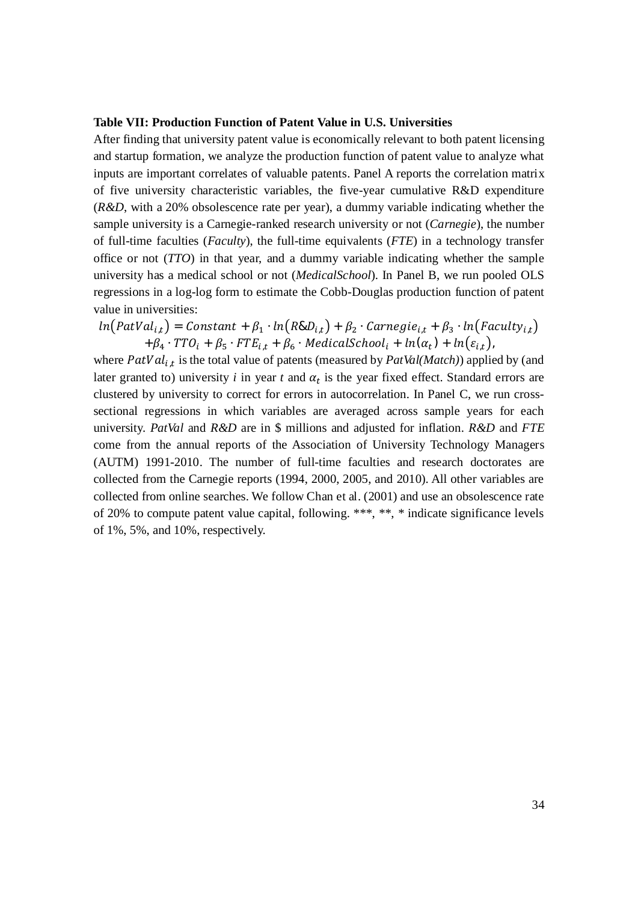#### **Table VII: Production Function of Patent Value in U.S. Universities**

After finding that university patent value is economically relevant to both patent licensing and startup formation, we analyze the production function of patent value to analyze what inputs are important correlates of valuable patents. Panel A reports the correlation matrix of five university characteristic variables, the five-year cumulative R&D expenditure (*R&D*, with a 20% obsolescence rate per year), a dummy variable indicating whether the sample university is a Carnegie-ranked research university or not (*Carnegie*), the number of full-time faculties (*Faculty*), the full-time equivalents (*FTE*) in a technology transfer office or not (*TTO*) in that year, and a dummy variable indicating whether the sample university has a medical school or not (*MedicalSchool*). In Panel B, we run pooled OLS regressions in a log-log form to estimate the Cobb-Douglas production function of patent value in universities:

 $ln(PatVal_{i,t}) = Constant + \beta_1 \cdot ln(Raul_{i,t}) + \beta_2 \cdot Carnegie_{i,t} + \beta_3 \cdot ln(Faculty_{i,t})$  $+ \beta_4 \cdot T T O_i + \beta_5 \cdot F T E_{i,t} + \beta_6 \cdot \text{Medical School}_i + \ln(\alpha_t) + \ln(\varepsilon_{i,t})$ 

where  $PatVal_{i,t}$  is the total value of patents (measured by  $PatVal(Match)$ ) applied by (and later granted to) university  $i$  in year  $t$  and  $\alpha_t$  is the year fixed effect. Standard errors are clustered by university to correct for errors in autocorrelation. In Panel C, we run crosssectional regressions in which variables are averaged across sample years for each university. *PatVal* and *R&D* are in \$ millions and adjusted for inflation. *R&D* and *FTE* come from the annual reports of the Association of University Technology Managers (AUTM) 1991-2010. The number of full-time faculties and research doctorates are collected from the Carnegie reports (1994, 2000, 2005, and 2010). All other variables are collected from online searches. We follow Chan et al. (2001) and use an obsolescence rate of 20% to compute patent value capital, following. \*\*\*, \*\*, \* indicate significance levels of 1%, 5%, and 10%, respectively.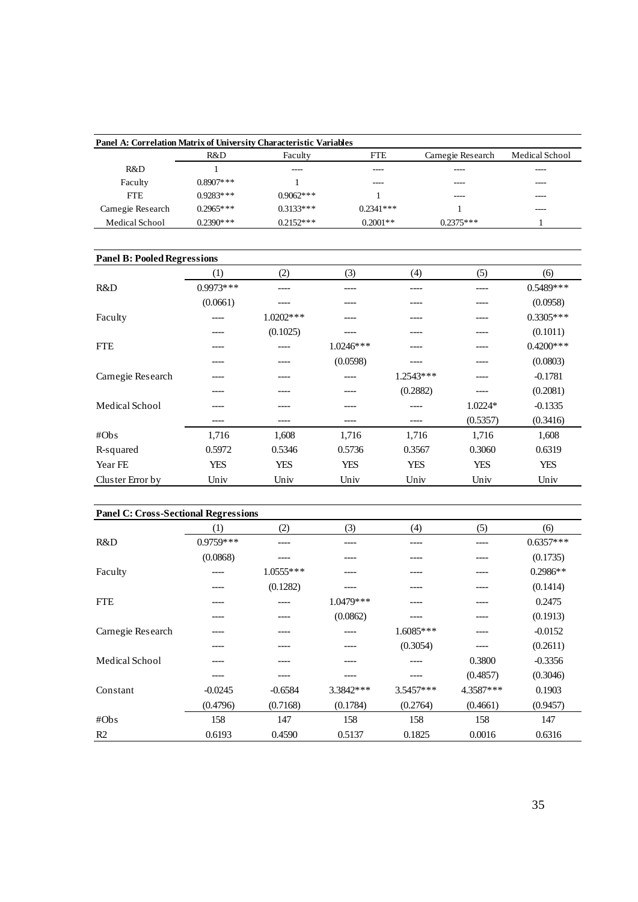| Panel A: Correlation Matrix of University Characteristic Variables |              |             |             |                   |                |
|--------------------------------------------------------------------|--------------|-------------|-------------|-------------------|----------------|
|                                                                    | R&D          | Faculty     | <b>FTE</b>  | Carnegie Research | Medical School |
| R&D                                                                |              | ----        | ----        | ----              | ----           |
| Faculty                                                            | $0.8907$ *** |             | ----        | ----              | ----           |
| <b>FTE</b>                                                         | $0.9283***$  | $0.9062***$ |             | ----              | ----           |
| Carnegie Research                                                  | $0.2965***$  | $0.3133***$ | $0.2341***$ |                   | ----           |
| Medical School                                                     | $0.2390***$  | $0.2152***$ | $0.2001**$  | $0.2375***$       |                |

| <b>Panel B: Pooled Regressions</b> |                  |              |             |             |           |              |
|------------------------------------|------------------|--------------|-------------|-------------|-----------|--------------|
|                                    | $\left(1\right)$ | (2)          | (3)         | (4)         | (5)       | (6)          |
| R&D                                | $0.9973***$      | ----         |             |             |           | $0.5489$ *** |
|                                    | (0.0661)         | $--- -$      |             | ----        | ----      | (0.0958)     |
| Faculty                            |                  | $1.0202$ *** |             |             |           | $0.3305***$  |
|                                    | ----             | (0.1025)     | ----        |             | ----      | (0.1011)     |
| <b>FTE</b>                         | ----             | ----         | $1.0246***$ |             | ----      | $0.4200$ *** |
|                                    |                  | ----         | (0.0598)    |             |           | (0.0803)     |
| Carnegie Research                  |                  | ----         | ----        | $1.2543***$ | ----      | $-0.1781$    |
|                                    |                  |              |             | (0.2882)    |           | (0.2081)     |
| Medical School                     |                  |              |             | ----        | $1.0224*$ | $-0.1335$    |
|                                    | ----             | ----         | ----        | ----        | (0.5357)  | (0.3416)     |
| #Obs                               | 1,716            | 1,608        | 1,716       | 1,716       | 1,716     | 1,608        |
| R-squared                          | 0.5972           | 0.5346       | 0.5736      | 0.3567      | 0.3060    | 0.6319       |
| Year FE                            | YES              | <b>YES</b>   | <b>YES</b>  | YES         | YES       | YES          |
| Cluster Error by                   | Univ             | Univ         | Univ        | Univ        | Univ      | Univ         |

|                   | <b>Panel C: Cross-Sectional Regressions</b> |             |            |             |           |             |  |  |  |  |
|-------------------|---------------------------------------------|-------------|------------|-------------|-----------|-------------|--|--|--|--|
|                   | (1)                                         | (2)         | (3)        | (4)         | (5)       | (6)         |  |  |  |  |
| R&D               | $0.9759***$                                 | ----        |            |             |           | $0.6357***$ |  |  |  |  |
|                   | (0.0868)                                    |             |            |             |           | (0.1735)    |  |  |  |  |
| Faculty           |                                             | $1.0555***$ |            |             |           | $0.2986**$  |  |  |  |  |
|                   | ----                                        | (0.1282)    | ----       |             |           | (0.1414)    |  |  |  |  |
| <b>FTE</b>        |                                             |             | 1.0479 *** |             |           | 0.2475      |  |  |  |  |
|                   |                                             |             | (0.0862)   |             |           | (0.1913)    |  |  |  |  |
| Carnegie Research |                                             |             |            | $1.6085***$ |           | $-0.0152$   |  |  |  |  |
|                   |                                             |             |            | (0.3054)    |           | (0.2611)    |  |  |  |  |
| Medical School    |                                             |             |            |             | 0.3800    | $-0.3356$   |  |  |  |  |
|                   |                                             |             |            |             | (0.4857)  | (0.3046)    |  |  |  |  |
| Constant          | $-0.0245$                                   | $-0.6584$   | 3.3842 *** | 3.5457***   | 4.3587*** | 0.1903      |  |  |  |  |
|                   | (0.4796)                                    | (0.7168)    | (0.1784)   | (0.2764)    | (0.4661)  | (0.9457)    |  |  |  |  |
| #Obs              | 158                                         | 147         | 158        | 158         | 158       | 147         |  |  |  |  |
| R <sub>2</sub>    | 0.6193                                      | 0.4590      | 0.5137     | 0.1825      | 0.0016    | 0.6316      |  |  |  |  |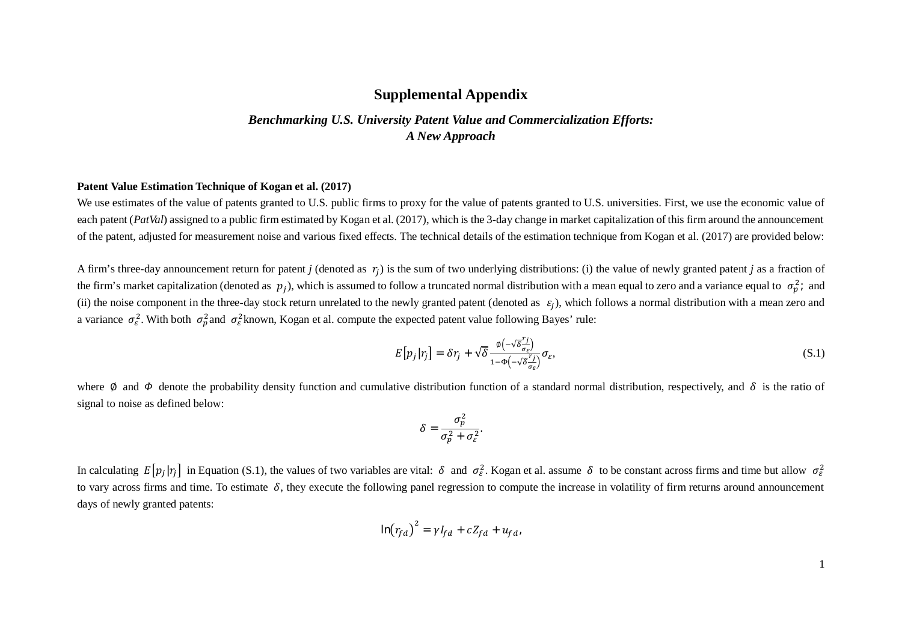# **Supplemental Appendix**

# *Benchmarking U.S. University Patent Value and Commercialization Efforts: A New Approach*

## **Patent Value Estimation Technique of Kogan et al. (2017)**

We use estimates of the value of patents granted to U.S. public firms to proxy for the value of patents granted to U.S. universities. First, we use the economic value of each patent (*PatVal*) assigned to a public firm estimated by Kogan et al. (2017), which is the 3-day change in market capitalization of this firm around the announcement of the patent, adjusted for measurement noise and various fixed effects. The technical details of the estimation technique from Kogan et al. (2017) are provided below:

A firm's three-day announcement return for patent *j* (denoted as  $r_j$ ) is the sum of two underlying distributions: (i) the value of newly granted patent *j* as a fraction of the firm's market capitalization (denoted as  $p_j$ ), which is assumed to follow a truncated normal distribution with a mean equal to zero and a variance equal to  $\sigma_p^2$ ; and (ii) the noise component in the three-day stock return unrelated to the newly granted patent (denoted as  $\varepsilon_j$ ), which follows a normal distribution with a mean zero and a variance  $\sigma_{\varepsilon}^2$ . With both  $\sigma_{p}^2$  and  $\sigma_{\varepsilon}^2$  known, Kogan et al. compute the expected patent value following Bayes' rule:

$$
E[p_j|r_j] = \delta r_j + \sqrt{\delta} \frac{\phi\left(-\sqrt{\delta} \frac{r_j}{\sigma_{\varepsilon}}\right)}{1 - \phi\left(-\sqrt{\delta} \frac{r_j}{\sigma_{\varepsilon}}\right)} \sigma_{\varepsilon},\tag{S.1}
$$

where  $\emptyset$  and  $\Phi$  denote the probability density function and cumulative distribution function of a standard normal distribution, respectively, and  $\delta$  is the ratio of signal to noise as defined below:

$$
\delta = \frac{\sigma_p^2}{\sigma_p^2 + \sigma_\varepsilon^2}.
$$

In calculating  $E[p_j|\mathbf{r}_j]$  in Equation (S.1), the values of two variables are vital:  $\delta$  and  $\sigma_{\varepsilon}^2$ . Kogan et al. assume  $\delta$  to be constant across firms and time but allow  $\sigma_{\varepsilon}^2$ to vary across firms and time. To estimate  $\delta$ , they execute the following panel regression to compute the increase in volatility of firm returns around announcement days of newly granted patents:

$$
\ln(r_{fd})^2 = \gamma I_{fd} + cZ_{fd} + u_{fd}
$$

1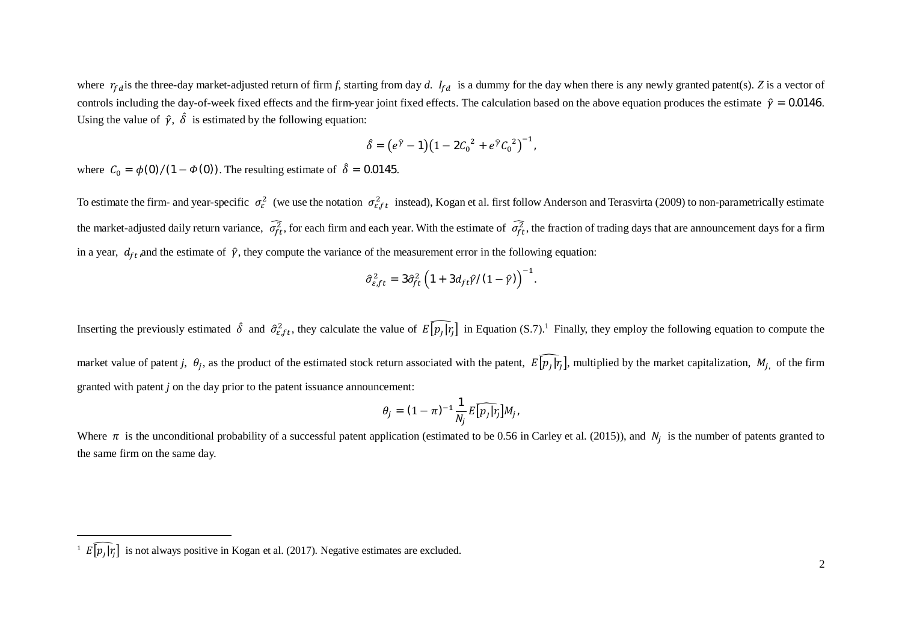where  $r_{fd}$  is the three-day market-adjusted return of firm *f*, starting from day *d*.  $I_{fd}$  is a dummy for the day when there is any newly granted patent(s). *Z* is a vector of controls including the day-of-week fixed effects and the firm-year joint fixed effects. The calculation based on the above equation produces the estimate  $\hat{v} = 0.0146$ . Using the value of  $\hat{\gamma}$ ,  $\delta$  is estimated by the following equation:

$$
\hat{\delta} = (e^{\hat{\gamma}} - \mathbf{1})(1 - 2C_0^2 + e^{\hat{\gamma}} C_0^2)^{-1},
$$

where  $C_0 = \phi(0) / (1 - \phi(0))$ . The resulting estimate of  $\hat{\delta} = 0.0145$ .

To estimate the firm- and year-specific  $\sigma_{\varepsilon}^2$  (we use the notation  $\sigma_{\varepsilon}^2$  instead), Kogan et al. first follow Anderson and Terasvirta (2009) to non-parametrically estimate the market-adjusted daily return variance,  $\sigma_{ft}^2$ , for each firm and each year. With the estimate of  $\sigma_{ft}^2$ , the fraction of trading days that are announcement days for a firm in a year,  $d_{ft}$ , and the estimate of  $\hat{\gamma}$ , they compute the variance of the measurement error in the following equation:

$$
\hat{\sigma}_{\varepsilon,ft}^2 = 3\hat{\sigma}_{ft}^2 \left(1 + 3d_{ft}\hat{\gamma}/(1 - \hat{\gamma})\right)^{-1}.
$$

Inserting the previously estimated  $\hat{\delta}$  and  $\hat{\sigma}^2_{\epsilon_0 f t}$ , they calculate the value of  $E[p_j|\eta]$  in Equation (S.7).<sup>1</sup> Finally, they employ the following equation to compute the market value of patent *j*,  $\theta_j$ , as the product of the estimated stock return associated with the patent,  $E[p_j|r_j]$ , multiplied by the market capitalization,  $M_{j}$ , of the firm granted with patent *j* on the day prior to the patent issuance announcement:

$$
\theta_j = (1 - \pi)^{-1} \frac{1}{N_j} E[\widehat{p_j} | r_j] M_j,
$$

Where  $\pi$  is the unconditional probability of a successful patent application (estimated to be 0.56 in Carley et al. (2015)), and  $N_j$  is the number of patents granted to the same firm on the same day.

 $\mathbb{E}[\mathbf{p}_j|\mathbf{r}_j]$  is not always positive in Kogan et al. (2017). Negative estimates are excluded.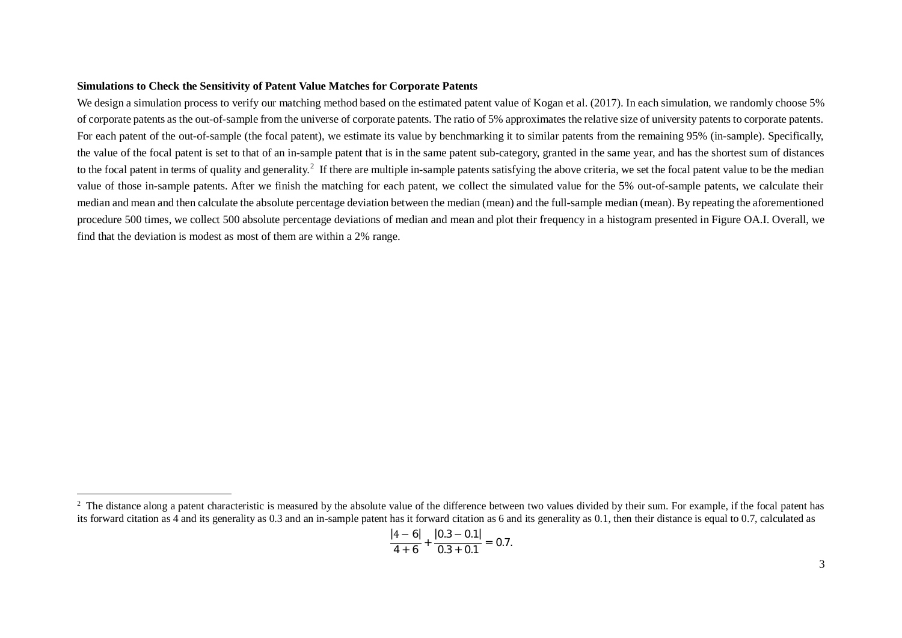## **Simulations to Check the Sensitivity of Patent Value Matches for Corporate Patents**

We design a simulation process to verify our matching method based on the estimated patent value of Kogan et al. (2017). In each simulation, we randomly choose 5% of corporate patents as the out-of-sample from the universe of corporate patents. The ratio of 5% approximates the relative size of university patents to corporate patents. For each patent of the out-of-sample (the focal patent), we estimate its value by benchmarking it to similar patents from the remaining 95% (in-sample). Specifically, the value of the focal patent is set to that of an in-sample patent that is in the same patent sub-category, granted in the same year, and has the shortest sum of distances to the focal patent in terms of quality and generality.<sup>2</sup> If there are multiple in-sample patents satisfying the above criteria, we set the focal patent value to be the median value of those in-sample patents. After we finish the matching for each patent, we collect the simulated value for the 5% out-of-sample patents, we calculate their median and mean and then calculate the absolute percentage deviation between the median (mean) and the full-sample median (mean). By repeating the aforementioned procedure 500 times, we collect 500 absolute percentage deviations of median and mean and plot their frequency in a histogram presented in Figure OA.I. Overall, we find that the deviation is modest as most of them are within a 2% range.

$$
\frac{|4-6|}{4+6}+\frac{|0.3-0.1|}{0.3+0.1}=0.7.
$$

<sup>&</sup>lt;sup>2</sup> The distance along a patent characteristic is measured by the absolute value of the difference between two values divided by their sum. For example, if the focal patent has its forward citation as 4 and its generality as 0.3 and an in-sample patent has it forward citation as 6 and its generality as 0.1, then their distance is equal to 0.7, calculated as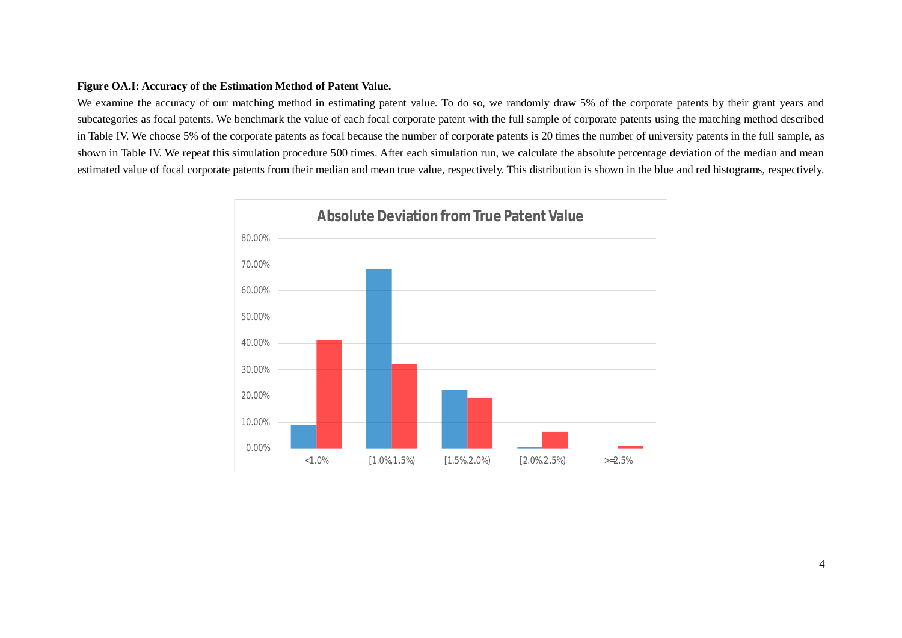## **Figure OA.I: Accuracy of the Estimation Method of Patent Value.**

We examine the accuracy of our matching method in estimating patent value. To do so, we randomly draw 5% of the corporate patents by their grant years and subcategories as focal patents. We benchmark the value of each focal corporate patent with the full sample of corporate patents using the matching method described in Table IV. We choose 5% of the corporate patents as focal because the number of corporate patents is 20 times the number of university patents in the full sample, as shown in Table IV. We repeat this simulation procedure 500 times. After each simulation run, we calculate the absolute percentage deviation of the median and mean estimated value of focal corporate patents from their median and mean true value, respectively. This distribution is shown in the blue and red histograms, respectively.

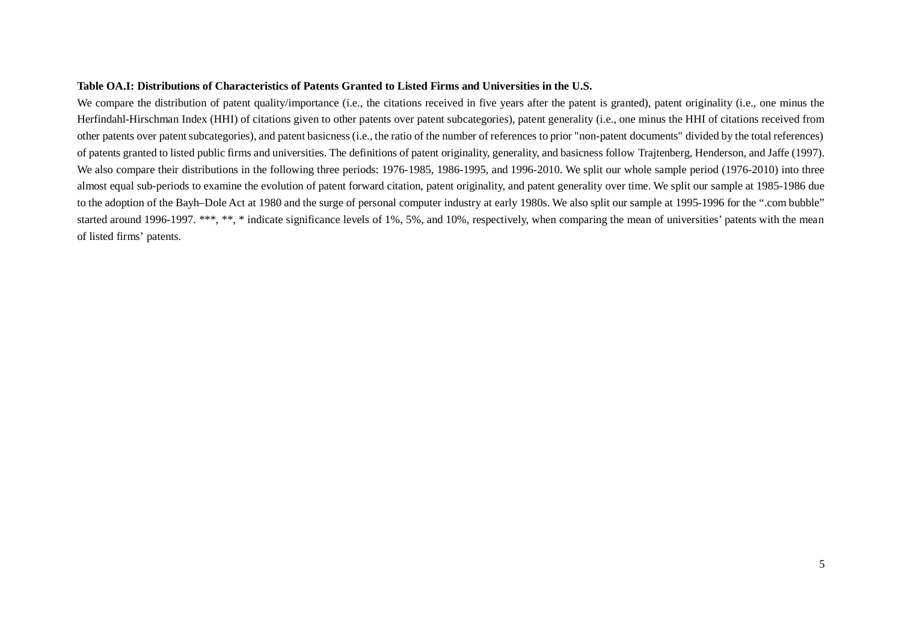## **Table OA.I: Distributions of Characteristics of Patents Granted to Listed Firms and Universities in the U.S.**

We compare the distribution of patent quality/importance (i.e., the citations received in five years after the patent is granted), patent originality (i.e., one minus the Herfindahl-Hirschman Index (HHI) of citations given to other patents over patent subcategories), patent generality (i.e., one minus the HHI of citations received from other patents over patent subcategories), and patent basicness (i.e., the ratio of the number of references to prior "non-patent documents" divided by the total references) of patents granted to listed public firms and universities. The definitions of patent originality, generality, and basicness follow Trajtenberg, Henderson, and Jaffe (1997). We also compare their distributions in the following three periods: 1976-1985, 1986-1995, and 1996-2010. We split our whole sample period (1976-2010) into three almost equal sub-periods to examine the evolution of patent forward citation, patent originality, and patent generality over time. We split our sample at 1985-1986 due to the adoption of the Bayh–Dole Act at 1980 and the surge of personal computer industry at early 1980s. We also split our sample at 1995-1996 for the ".com bubble" started around 1996-1997. \*\*\*, \*\*, \* indicate significance levels of 1%, 5%, and 10%, respectively, when comparing the mean of universities' patents with the mean of listed firms' patents.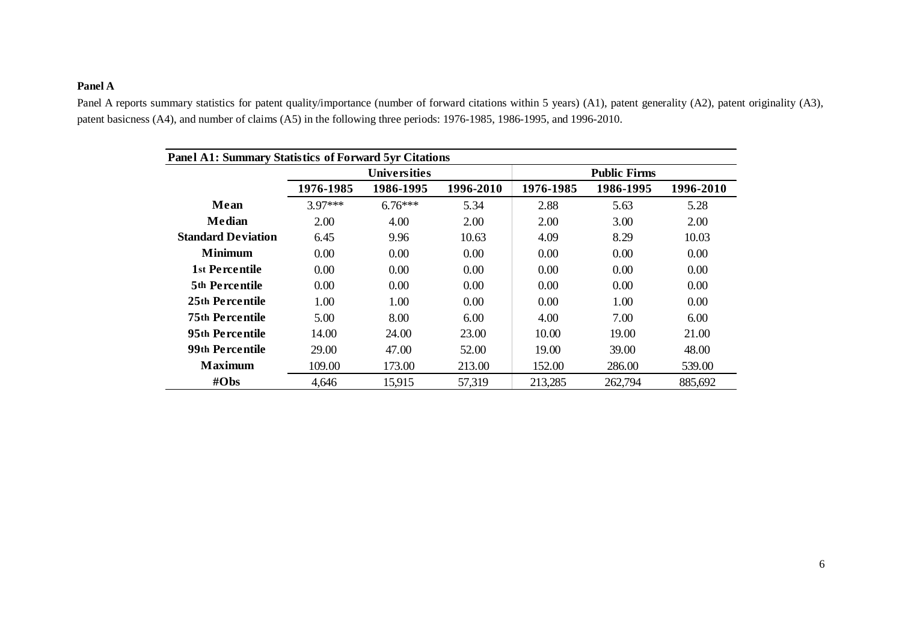# **Panel A**

Panel A reports summary statistics for patent quality/importance (number of forward citations within 5 years) (A1), patent generality (A2), patent originality (A3), patent basicness (A4), and number of claims (A5) in the following three periods: 1976-1985, 1986-1995, and 1996-2010.

|                           |           | <b>Universities</b> |           |           | <b>Public Firms</b> |           |
|---------------------------|-----------|---------------------|-----------|-----------|---------------------|-----------|
|                           | 1976-1985 | 1986-1995           | 1996-2010 | 1976-1985 | 1986-1995           | 1996-2010 |
| Mean                      | $3.97***$ | $6.76***$           | 5.34      | 2.88      | 5.63                | 5.28      |
| Median                    | 2.00      | 4.00                | 2.00      | 2.00      | 3.00                | 2.00      |
| <b>Standard Deviation</b> | 6.45      | 9.96                | 10.63     | 4.09      | 8.29                | 10.03     |
| <b>Minimum</b>            | 0.00      | 0.00                | 0.00      | 0.00      | 0.00                | 0.00      |
| 1st Percentile            | 0.00      | 0.00                | 0.00      | 0.00      | 0.00                | 0.00      |
| <b>5th Percentile</b>     | 0.00      | 0.00                | 0.00      | 0.00      | 0.00                | 0.00      |
| 25th Percentile           | 1.00      | 1.00                | 0.00      | 0.00      | 1.00                | 0.00      |
| <b>75th Percentile</b>    | 5.00      | 8.00                | 6.00      | 4.00      | 7.00                | 6.00      |
| 95th Percentile           | 14.00     | 24.00               | 23.00     | 10.00     | 19.00               | 21.00     |
| 99th Percentile           | 29.00     | 47.00               | 52.00     | 19.00     | 39.00               | 48.00     |
| <b>Maximum</b>            | 109.00    | 173.00              | 213.00    | 152.00    | 286.00              | 539.00    |
| $\#Obs$                   | 4,646     | 15,915              | 57,319    | 213,285   | 262,794             | 885,692   |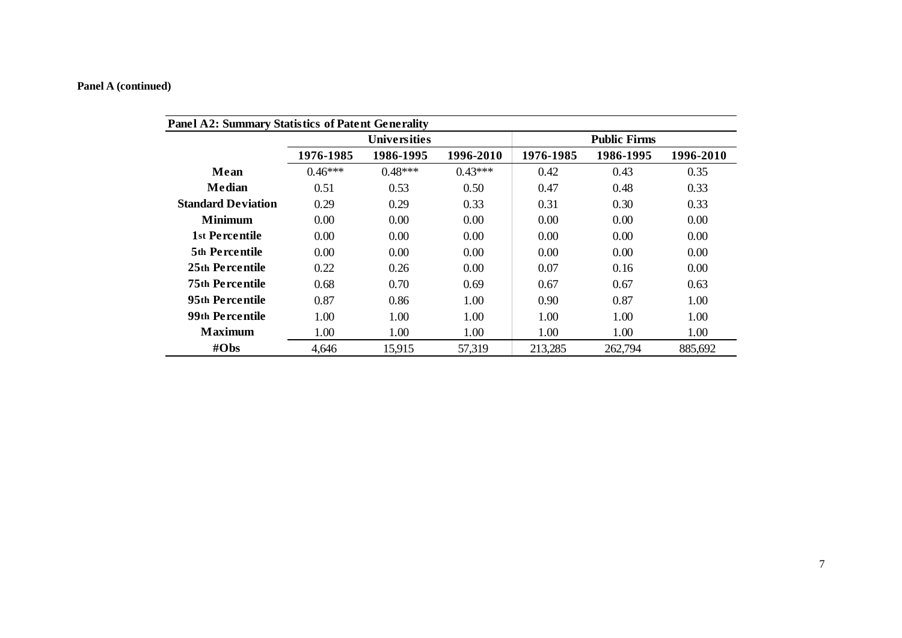|                           |           | <b>Universities</b> |           |           | <b>Public Firms</b> |           |
|---------------------------|-----------|---------------------|-----------|-----------|---------------------|-----------|
|                           | 1976-1985 | 1986-1995           | 1996-2010 | 1976-1985 | 1986-1995           | 1996-2010 |
| Mean                      | $0.46***$ | $0.48***$           | $0.43***$ | 0.42      | 0.43                | 0.35      |
| <b>Median</b>             | 0.51      | 0.53                | 0.50      | 0.47      | 0.48                | 0.33      |
| <b>Standard Deviation</b> | 0.29      | 0.29                | 0.33      | 0.31      | 0.30                | 0.33      |
| <b>Minimum</b>            | 0.00      | 0.00                | 0.00      | 0.00      | 0.00                | 0.00      |
| 1st Percentile            | 0.00      | 0.00                | 0.00      | 0.00      | 0.00                | 0.00      |
| 5th Percentile            | 0.00      | 0.00                | 0.00      | 0.00      | 0.00                | 0.00      |
| 25th Percentile           | 0.22      | 0.26                | 0.00      | 0.07      | 0.16                | 0.00      |
| <b>75th Percentile</b>    | 0.68      | 0.70                | 0.69      | 0.67      | 0.67                | 0.63      |
| 95th Percentile           | 0.87      | 0.86                | 1.00      | 0.90      | 0.87                | 1.00      |
| 99th Percentile           | 1.00      | 1.00                | 1.00      | 1.00      | 1.00                | 1.00      |
| <b>Maximum</b>            | 1.00      | 1.00                | 1.00      | 1.00      | 1.00                | 1.00      |
| $\#Obs$                   | 4,646     | 15,915              | 57,319    | 213,285   | 262,794             | 885,692   |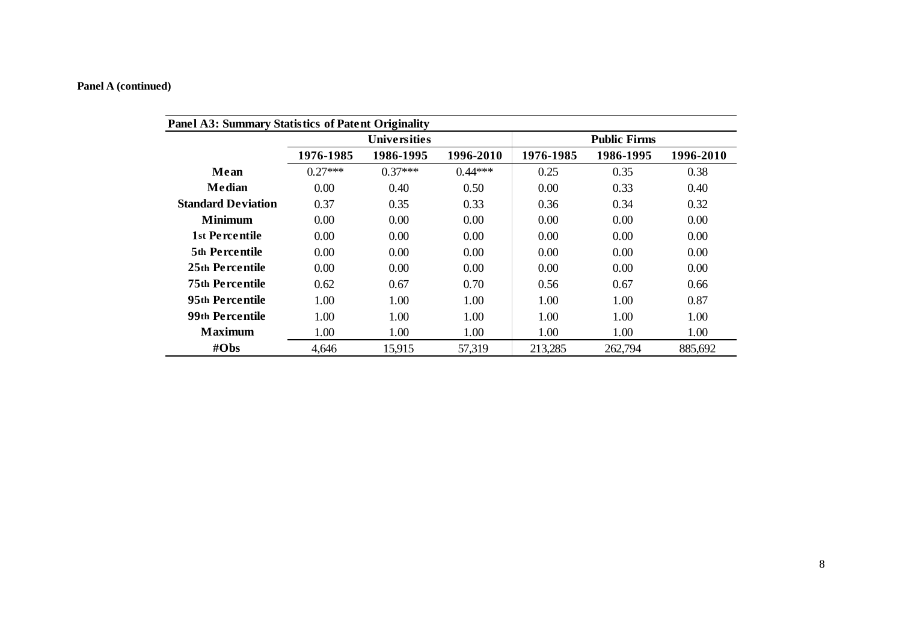|                           |           | <b>Universities</b> |           |           | <b>Public Firms</b> |           |
|---------------------------|-----------|---------------------|-----------|-----------|---------------------|-----------|
|                           | 1976-1985 | 1986-1995           | 1996-2010 | 1976-1985 | 1986-1995           | 1996-2010 |
| Mean                      | $0.27***$ | $0.37***$           | $0.44***$ | 0.25      | 0.35                | 0.38      |
| <b>Median</b>             | 0.00      | 0.40                | 0.50      | 0.00      | 0.33                | 0.40      |
| <b>Standard Deviation</b> | 0.37      | 0.35                | 0.33      | 0.36      | 0.34                | 0.32      |
| <b>Minimum</b>            | 0.00      | 0.00                | 0.00      | 0.00      | 0.00                | 0.00      |
| 1st Percentile            | 0.00      | 0.00                | 0.00      | 0.00      | 0.00                | 0.00      |
| 5th Percentile            | 0.00      | 0.00                | 0.00      | 0.00      | 0.00                | 0.00      |
| 25th Percentile           | 0.00      | 0.00                | 0.00      | 0.00      | 0.00                | 0.00      |
| <b>75th Percentile</b>    | 0.62      | 0.67                | 0.70      | 0.56      | 0.67                | 0.66      |
| 95th Percentile           | 1.00      | 1.00                | 1.00      | 1.00      | 1.00                | 0.87      |
| 99th Percentile           | 1.00      | 1.00                | 1.00      | 1.00      | 1.00                | 1.00      |
| <b>Maximum</b>            | 1.00      | 1.00                | 1.00      | 1.00      | 1.00                | 1.00      |
| $\#Obs$                   | 4,646     | 15,915              | 57,319    | 213,285   | 262,794             | 885,692   |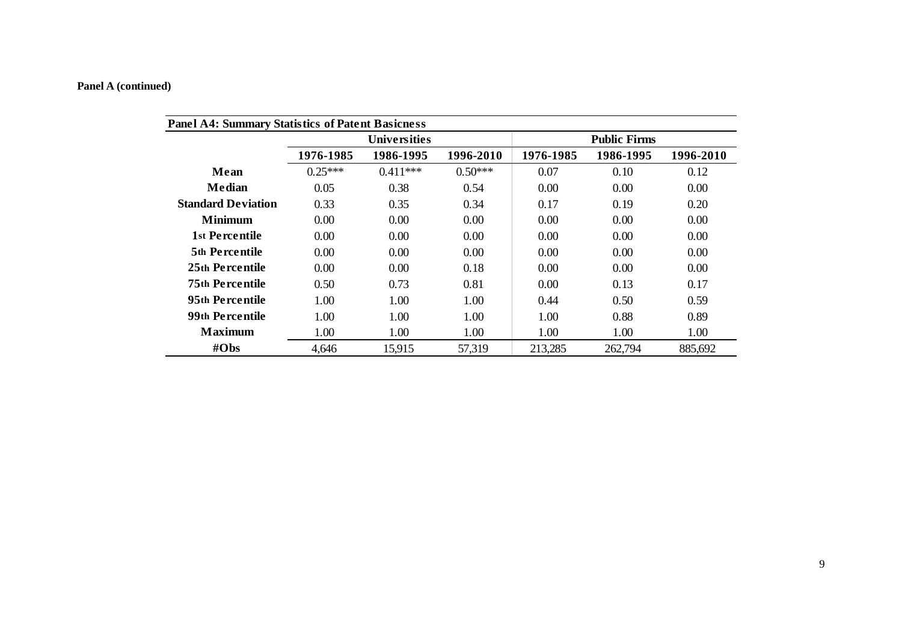|                           |           | <b>Universities</b> |           |           | <b>Public Firms</b> |           |
|---------------------------|-----------|---------------------|-----------|-----------|---------------------|-----------|
|                           | 1976-1985 | 1986-1995           | 1996-2010 | 1976-1985 | 1986-1995           | 1996-2010 |
| Mean                      | $0.25***$ | $0.411***$          | $0.50***$ | 0.07      | 0.10                | 0.12      |
| Median                    | 0.05      | 0.38                | 0.54      | 0.00      | 0.00                | 0.00      |
| <b>Standard Deviation</b> | 0.33      | 0.35                | 0.34      | 0.17      | 0.19                | 0.20      |
| <b>Minimum</b>            | 0.00      | 0.00                | 0.00      | 0.00      | 0.00                | 0.00      |
| 1st Percentile            | 0.00      | 0.00                | 0.00      | 0.00      | 0.00                | 0.00      |
| 5th Percentile            | 0.00      | 0.00                | 0.00      | 0.00      | 0.00                | 0.00      |
| 25th Percentile           | 0.00      | 0.00                | 0.18      | 0.00      | 0.00                | 0.00      |
| <b>75th Percentile</b>    | 0.50      | 0.73                | 0.81      | 0.00      | 0.13                | 0.17      |
| 95th Percentile           | 1.00      | 1.00                | 1.00      | 0.44      | 0.50                | 0.59      |
| 99th Percentile           | 1.00      | 1.00                | 1.00      | 1.00      | 0.88                | 0.89      |
| <b>Maximum</b>            | 1.00      | 1.00                | 1.00      | 1.00      | 1.00                | 1.00      |
| #Obs                      | 4,646     | 15,915              | 57,319    | 213,285   | 262,794             | 885,692   |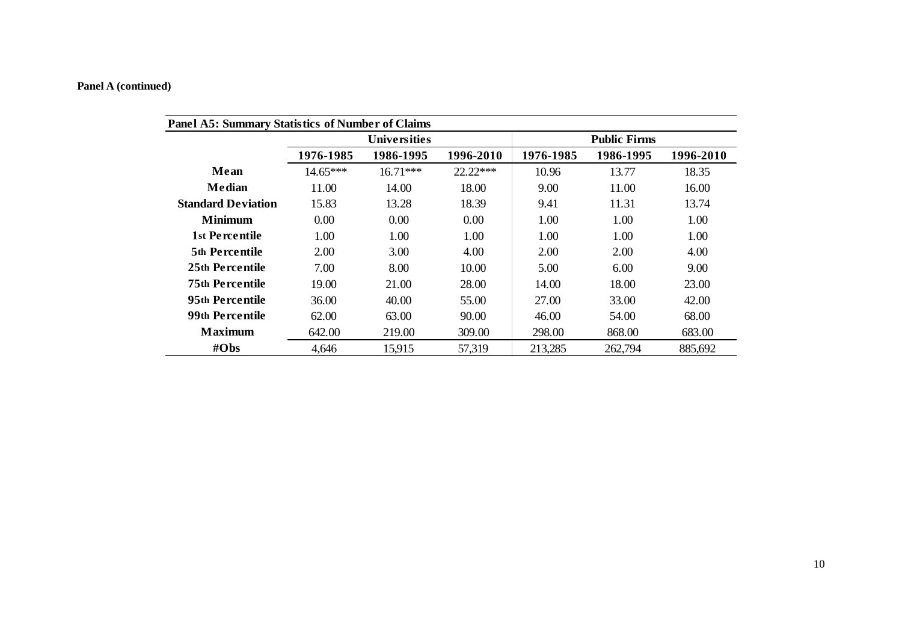|                           |            | Universities |           |           | <b>Public Firms</b> |           |
|---------------------------|------------|--------------|-----------|-----------|---------------------|-----------|
|                           | 1976-1985  | 1986-1995    | 1996-2010 | 1976-1985 | 1986-1995           | 1996-2010 |
| Mean                      | $14.65***$ | $16.71***$   | 22.22***  | 10.96     | 13.77               | 18.35     |
| Median                    | 11.00      | 14.00        | 18.00     | 9.00      | 11.00               | 16.00     |
| <b>Standard Deviation</b> | 15.83      | 13.28        | 18.39     | 9.41      | 11.31               | 13.74     |
| <b>Minimum</b>            | 0.00       | 0.00         | 0.00      | 1.00      | 1.00                | 1.00      |
| 1st Percentile            | 1.00       | 1.00         | 1.00      | 1.00      | 1.00                | 1.00      |
| <b>5th Percentile</b>     | 2.00       | 3.00         | 4.00      | 2.00      | 2.00                | 4.00      |
| 25th Percentile           | 7.00       | 8.00         | 10.00     | 5.00      | 6.00                | 9.00      |
| <b>75th Percentile</b>    | 19.00      | 21.00        | 28.00     | 14.00     | 18.00               | 23.00     |
| 95th Percentile           | 36.00      | 40.00        | 55.00     | 27.00     | 33.00               | 42.00     |
| 99th Percentile           | 62.00      | 63.00        | 90.00     | 46.00     | 54.00               | 68.00     |
| <b>Maximum</b>            | 642.00     | 219.00       | 309.00    | 298.00    | 868.00              | 683.00    |
| #Obs                      | 4,646      | 15.915       | 57,319    | 213,285   | 262,794             | 885,692   |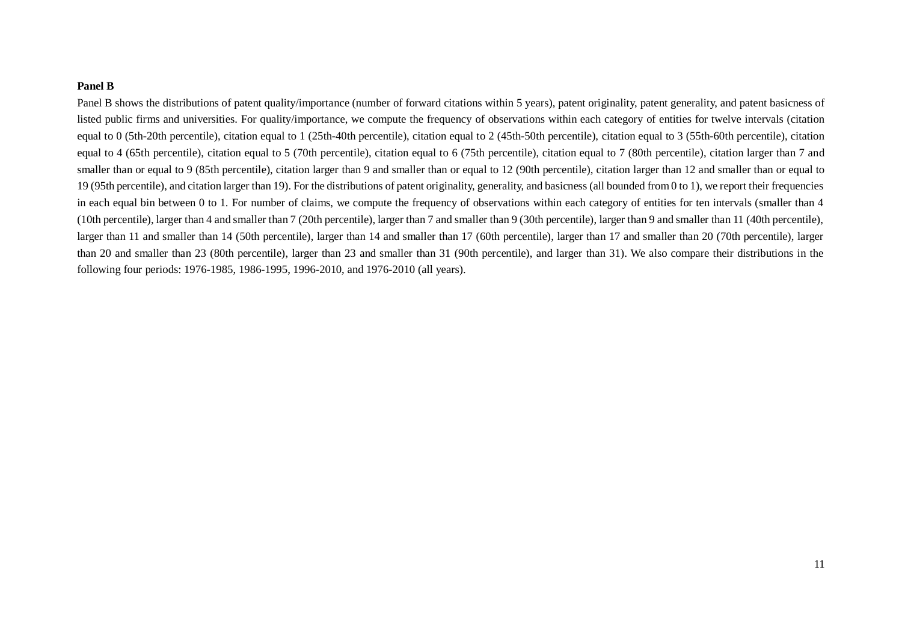#### **Panel B**

Panel B shows the distributions of patent quality/importance (number of forward citations within 5 years), patent originality, patent generality, and patent basicness of listed public firms and universities. For quality/importance, we compute the frequency of observations within each category of entities for twelve intervals (citation equal to 0 (5th-20th percentile), citation equal to 1 (25th-40th percentile), citation equal to 2 (45th-50th percentile), citation equal to 3 (55th-60th percentile), citation equal to 4 (65th percentile), citation equal to 5 (70th percentile), citation equal to 6 (75th percentile), citation equal to 7 (80th percentile), citation larger than 7 and smaller than or equal to 9 (85th percentile), citation larger than 9 and smaller than or equal to 12 (90th percentile), citation larger than 12 and smaller than or equal to 19 (95th percentile), and citation larger than 19). For the distributions of patent originality, generality, and basicness (all bounded from 0 to 1), we report their frequencies in each equal bin between 0 to 1. For number of claims, we compute the frequency of observations within each category of entities for ten intervals (smaller than 4 (10th percentile), larger than 4 and smaller than 7 (20th percentile), larger than 7 and smaller than 9 (30th percentile), larger than 9 and smaller than 11 (40th percentile), larger than 11 and smaller than 14 (50th percentile), larger than 14 and smaller than 17 (60th percentile), larger than 17 and smaller than 20 (70th percentile), larger than 20 and smaller than 23 (80th percentile), larger than 23 and smaller than 31 (90th percentile), and larger than 31). We also compare their distributions in the following four periods: 1976-1985, 1986-1995, 1996-2010, and 1976-2010 (all years).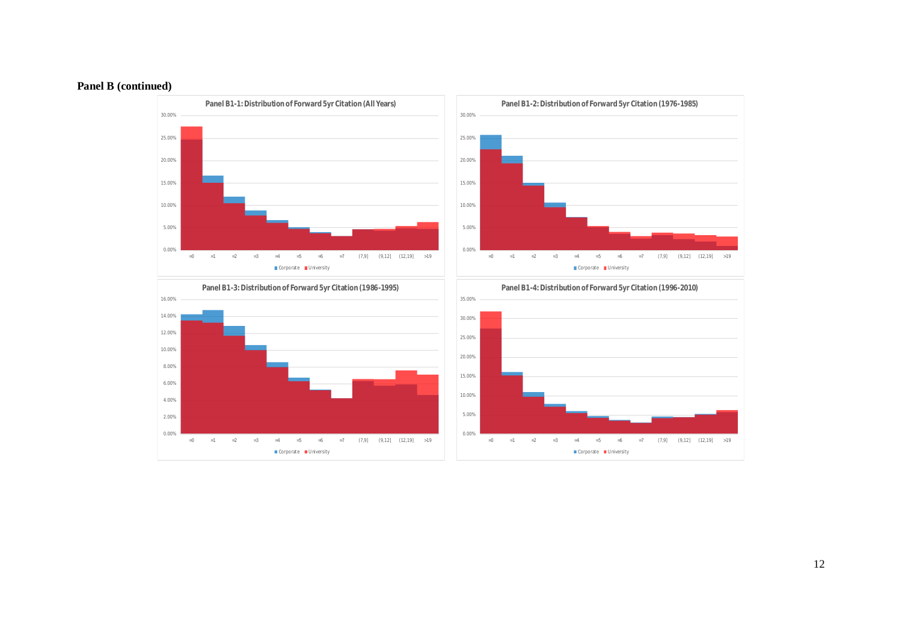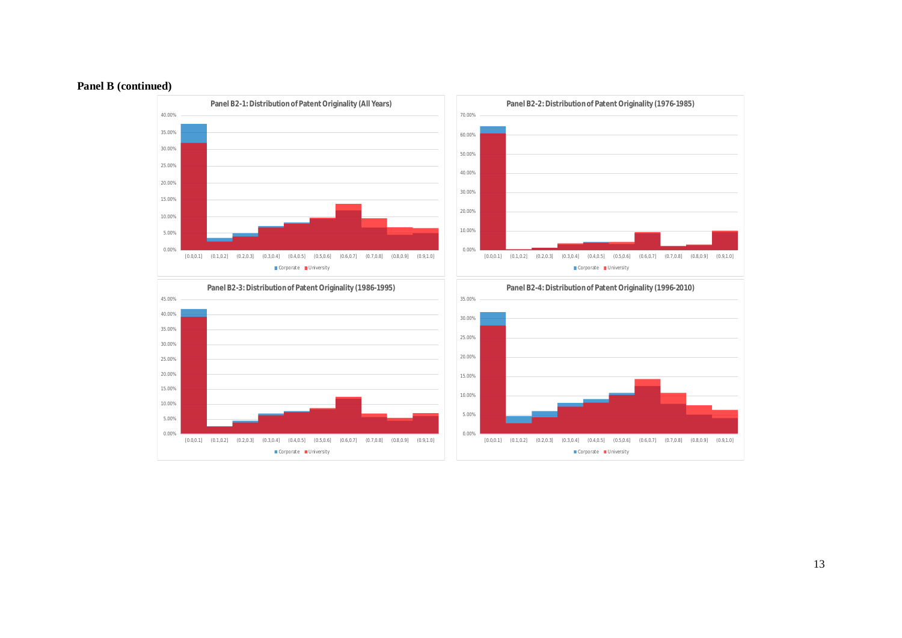



13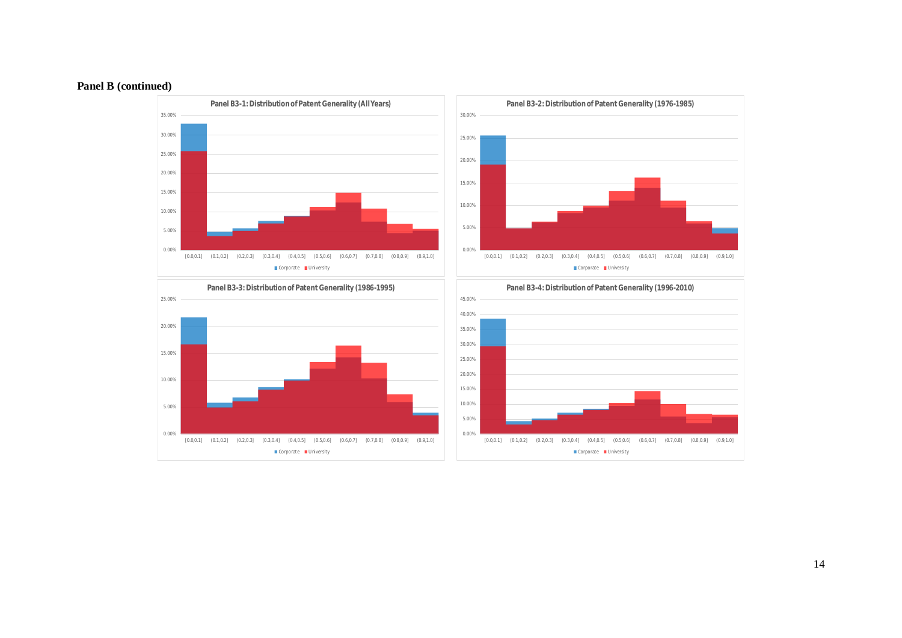

14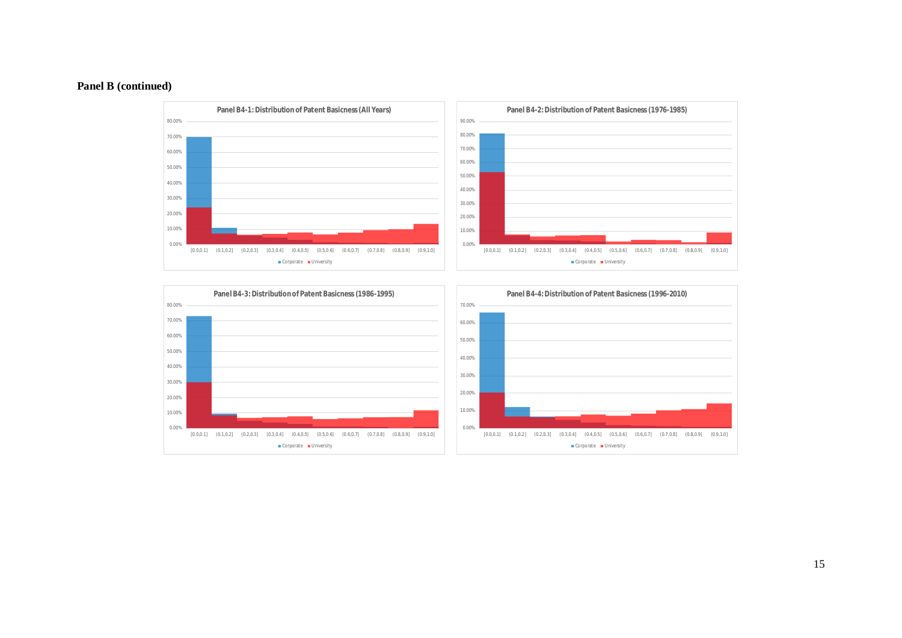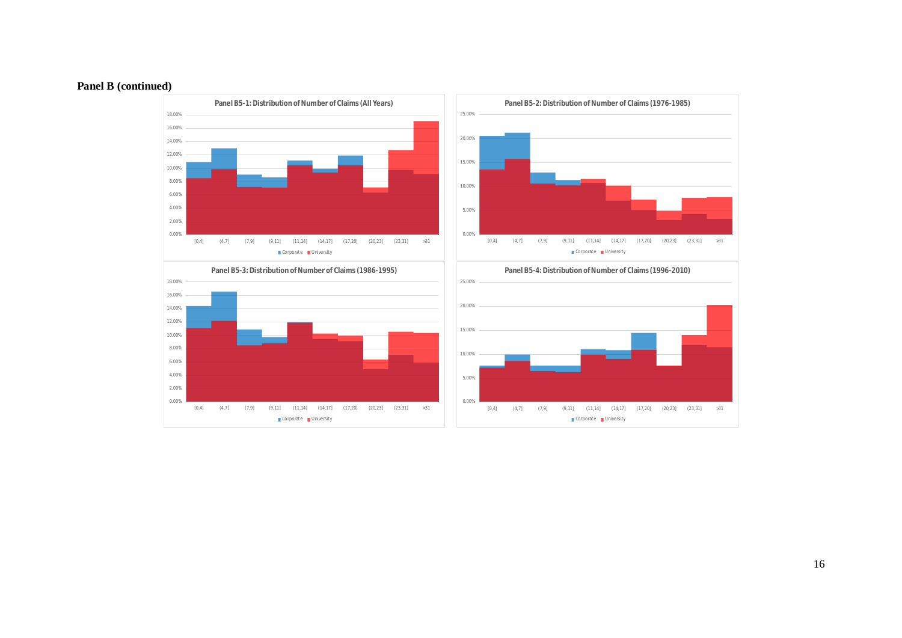

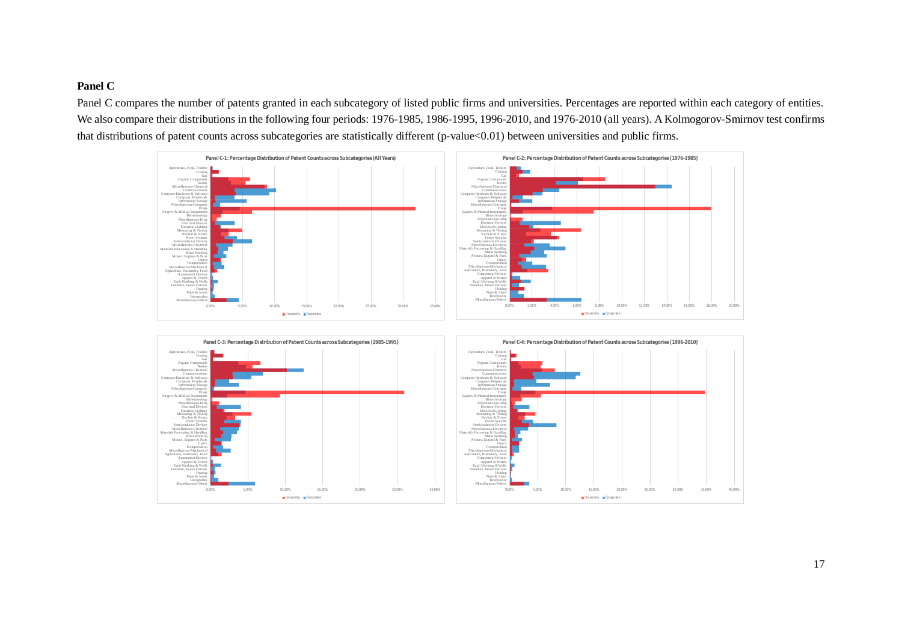# **Panel C**

Panel C compares the number of patents granted in each subcategory of listed public firms and universities. Percentages are reported within each category of entities. We also compare their distributions in the following four periods: 1976-1985, 1986-1995, 1996-2010, and 1976-2010 (all years). A Kolmogorov-Smirnov test confirms that distributions of patent counts across subcategories are statistically different (p-value<0.01) between universities and public firms.

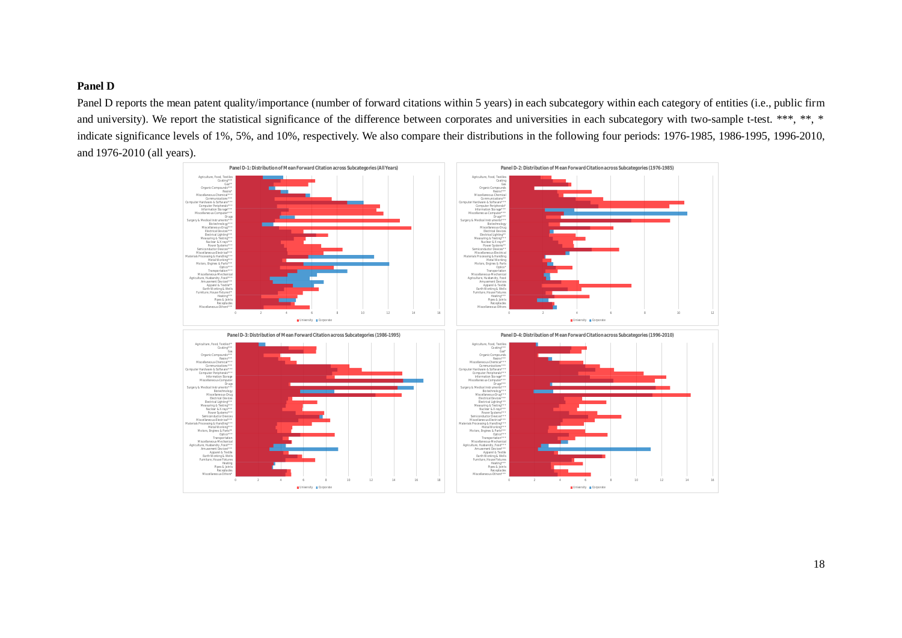# **Panel D**

Panel D reports the mean patent quality/importance (number of forward citations within 5 years) in each subcategory within each category of entities (i.e., public firm and university). We report the statistical significance of the difference between corporates and universities in each subcategory with two-sample t-test. \*\*\*, \*\*, \* indicate significance levels of 1%, 5%, and 10%, respectively. We also compare their distributions in the following four periods: 1976-1985, 1986-1995, 1996-2010, and 1976-2010 (all years).

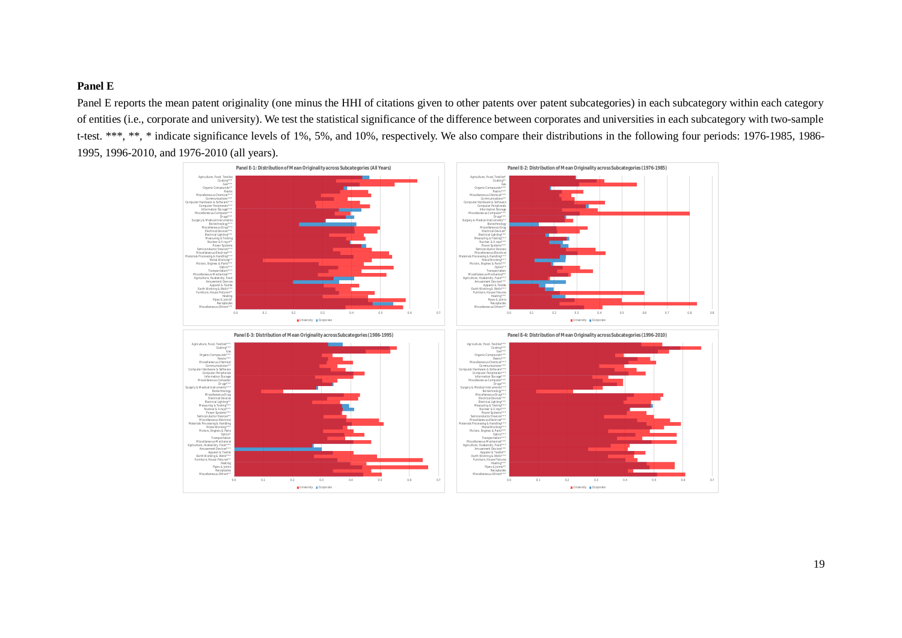# **Panel E**

Panel E reports the mean patent originality (one minus the HHI of citations given to other patents over patent subcategories) in each subcategory within each category of entities (i.e., corporate and university). We test the statistical significance of the difference between corporates and universities in each subcategory with two-sample t-test. \*\*\*, \*\*, \* indicate significance levels of 1%, 5%, and 10%, respectively. We also compare their distributions in the following four periods: 1976-1985, 1986- 1995, 1996-2010, and 1976-2010 (all years).

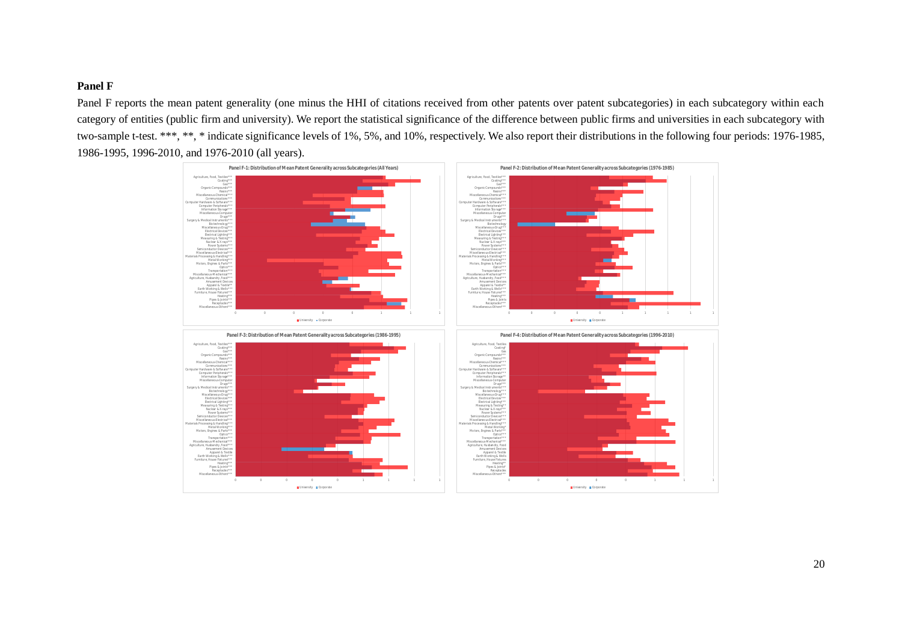# **Panel F**

Panel F reports the mean patent generality (one minus the HHI of citations received from other patents over patent subcategories) in each subcategory within each category of entities (public firm and university). We report the statistical significance of the difference between public firms and universities in each subcategory with two-sample t-test. \*\*\*, \*\*, \* indicate significance levels of 1%, 5%, and 10%, respectively. We also report their distributions in the following four periods: 1976-1985, 1986-1995, 1996-2010, and 1976-2010 (all years).

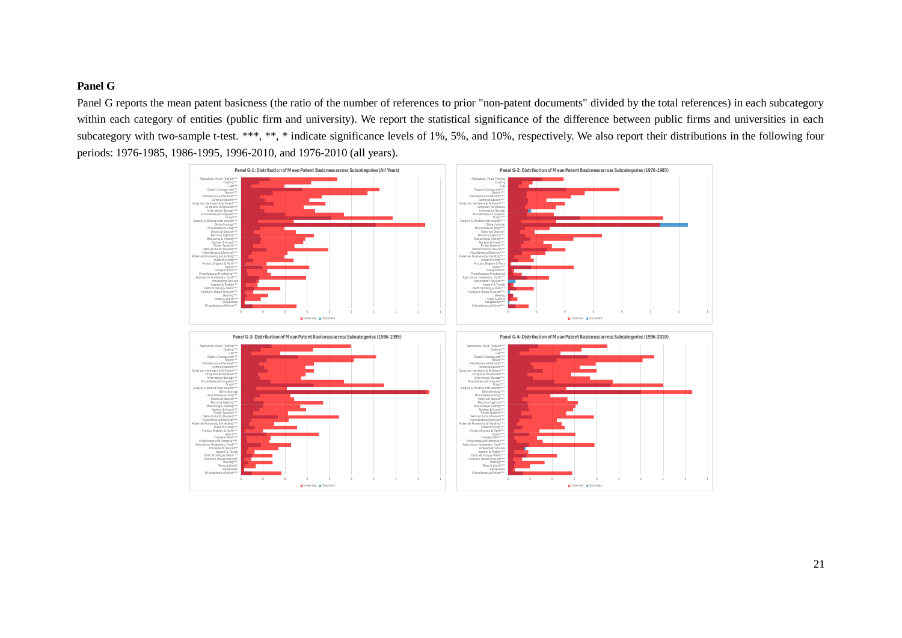# **Panel G**

Panel G reports the mean patent basicness (the ratio of the number of references to prior "non-patent documents" divided by the total references) in each subcategory within each category of entities (public firm and university). We report the statistical significance of the difference between public firms and universities in each subcategory with two-sample t-test. \*\*\*, \*\*, \* indicate significance levels of 1%, 5%, and 10%, respectively. We also report their distributions in the following four periods: 1976-1985, 1986-1995, 1996-2010, and 1976-2010 (all years).

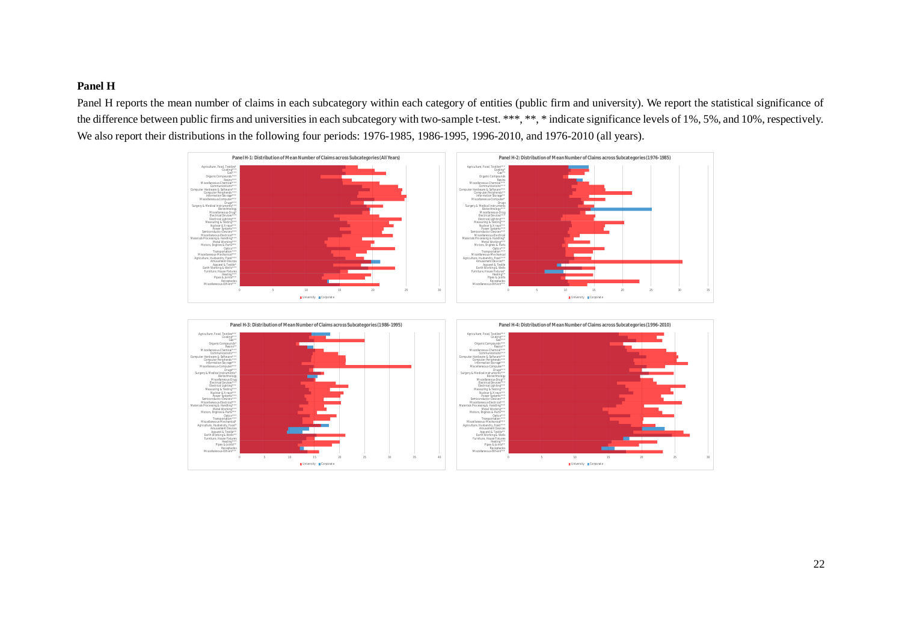# **Panel H**

Panel H reports the mean number of claims in each subcategory within each category of entities (public firm and university). We report the statistical significance of the difference between public firms and universities in each subcategory with two-sample t-test. \*\*\*, \*\*, \* indicate significance levels of 1%, 5%, and 10%, respectively. We also report their distributions in the following four periods: 1976-1985, 1986-1995, 1996-2010, and 1976-2010 (all years).



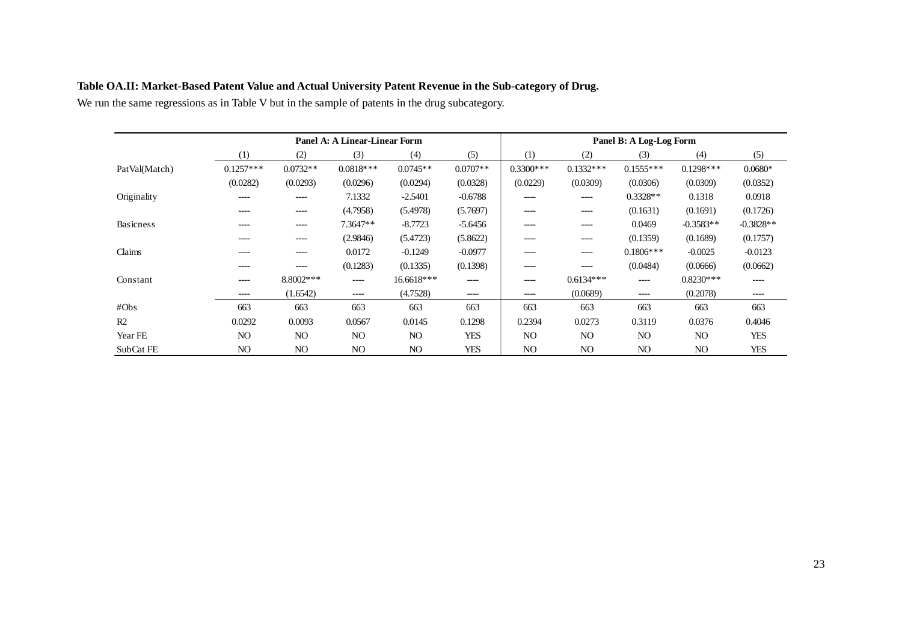|                  | Panel A: A Linear-Linear Form |                |                |                |            | Panel B: A Log-Log Form |                |                |             |             |
|------------------|-------------------------------|----------------|----------------|----------------|------------|-------------------------|----------------|----------------|-------------|-------------|
|                  | (1)                           | (2)            | (3)            | (4)            | (5)        | (1)                     | (2)            | (3)            | (4)         | (5)         |
| PatVal(Match)    | $0.1257***$                   | $0.0732**$     | $0.0818***$    | $0.0745**$     | $0.0707**$ | $0.3300***$             | $0.1332***$    | $0.1555***$    | $0.1298***$ | $0.0680*$   |
|                  | (0.0282)                      | (0.0293)       | (0.0296)       | (0.0294)       | (0.0328)   | (0.0229)                | (0.0309)       | (0.0306)       | (0.0309)    | (0.0352)    |
| Originality      | $---$                         | $- - - -$      | 7.1332         | $-2.5401$      | $-0.6788$  | ----                    | ----           | $0.3328**$     | 0.1318      | 0.0918      |
|                  | $--- -$                       | $--- -$        | (4.7958)       | (5.4978)       | (5.7697)   | ----                    | ----           | (0.1631)       | (0.1691)    | (0.1726)    |
| <b>Basicness</b> | ----                          | ----           | 7.3647**       | $-8.7723$      | $-5.6456$  | ----                    | ----           | 0.0469         | $-0.3583**$ | $-0.3828**$ |
|                  | -----                         | ----           | (2.9846)       | (5.4723)       | (5.8622)   | ----                    | ----           | (0.1359)       | (0.1689)    | (0.1757)    |
| Claims           | ----                          | ----           | 0.0172         | $-0.1249$      | $-0.0977$  | ----                    | ----           | $0.1806***$    | $-0.0025$   | $-0.0123$   |
|                  | ----                          | ----           | (0.1283)       | (0.1335)       | (0.1398)   | ----                    | ----           | (0.0484)       | (0.0666)    | (0.0662)    |
| Constant         | ----                          | 8.8002***      | ----           | 16.6618***     | ----       | ----                    | $0.6134***$    | ----           | $0.8230***$ | ----        |
|                  | $---$                         | (1.6542)       | $- - - -$      | (4.7528)       | ----       | ----                    | (0.0689)       | ----           | (0.2078)    | $- - - -$   |
| #Obs             | 663                           | 663            | 663            | 663            | 663        | 663                     | 663            | 663            | 663         | 663         |
| R <sub>2</sub>   | 0.0292                        | 0.0093         | 0.0567         | 0.0145         | 0.1298     | 0.2394                  | 0.0273         | 0.3119         | 0.0376      | 0.4046      |
| Year FE          | N <sub>O</sub>                | N <sub>O</sub> | NO.            | N <sub>O</sub> | <b>YES</b> | N <sub>O</sub>          | N <sub>O</sub> | N <sub>O</sub> | NO.         | <b>YES</b>  |
| SubCat FE        | NO                            | N <sub>O</sub> | N <sub>O</sub> | NO             | <b>YES</b> | N <sub>O</sub>          | N <sub>O</sub> | NO             | NO.         | <b>YES</b>  |

# **Table OA.II: Market-Based Patent Value and Actual University Patent Revenue in the Sub-category of Drug.**

We run the same regressions as in Table V but in the sample of patents in the drug subcategory.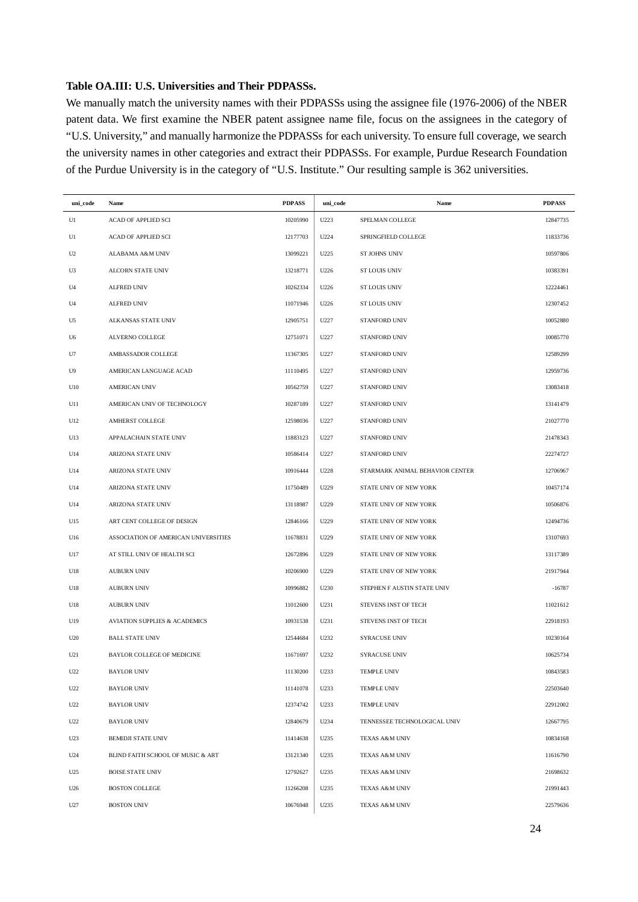# **Table OA.III: U.S. Universities and Their PDPASSs.**

We manually match the university names with their PDPASSs using the assignee file (1976-2006) of the NBER patent data. We first examine the NBER patent assignee name file, focus on the assignees in the category of "U.S. University," and manually harmonize the PDPASSs for each university. To ensure full coverage, we search the university names in other categories and extract their PDPASSs. For example, Purdue Research Foundation of the Purdue University is in the category of "U.S. Institute." Our resulting sample is 362 universities.

| uni_code       | Name                                     | <b>PDPASS</b> | uni_code | Name                            | <b>PDPASS</b> |
|----------------|------------------------------------------|---------------|----------|---------------------------------|---------------|
| U1             | <b>ACAD OF APPLIED SCI</b>               | 10205990      | U223     | SPELMAN COLLEGE                 | 12847735      |
| U1             | ACAD OF APPLIED SCI                      | 12177703      | U224     | SPRINGFIELD COLLEGE             | 11833736      |
| U <sub>2</sub> | <b>ALABAMA A&amp;M UNIV</b>              | 13099221      | U225     | <b>ST JOHNS UNIV</b>            | 10597806      |
| U3             | ALCORN STATE UNIV                        | 13218771      | U226     | <b>ST LOUIS UNIV</b>            | 10383391      |
| U4             | <b>ALFRED UNIV</b>                       | 10262334      | U226     | <b>ST LOUIS UNIV</b>            | 12224461      |
| U4             | <b>ALFRED UNIV</b>                       | 11071946      | U226     | <b>ST LOUIS UNIV</b>            | 12307452      |
| U5             | <b>ALKANSAS STATE UNIV</b>               | 12905751      | U227     | STANFORD UNIV                   | 10052880      |
| U6             | <b>ALVERNO COLLEGE</b>                   | 12751071      | U227     | STANFORD UNIV                   | 10085770      |
| U7             | AMBASSADOR COLLEGE                       | 11367305      | U227     | STANFORD UNIV                   | 12589299      |
| U9             | AMERICAN LANGUAGE ACAD                   | 11110495      | U227     | STANFORD UNIV                   | 12959736      |
| U10            | <b>AMERICAN UNIV</b>                     | 10562759      | U227     | STANFORD UNIV                   | 13083418      |
| U11            | AMERICAN UNIV OF TECHNOLOGY              | 10287189      | U227     | STANFORD UNIV                   | 13141479      |
| U12            | AMHERST COLLEGE                          | 12598036      | U227     | STANFORD UNIV                   | 21027770      |
| U13            | APPALACHAIN STATE UNIV                   | 11883123      | U227     | STANFORD UNIV                   | 21478343      |
| U14            | ARIZONA STATE UNIV                       | 10586414      | U227     | STANFORD UNIV                   | 22274727      |
| U14            | ARIZONA STATE UNIV                       | 10916444      | U228     | STARMARK ANIMAL BEHAVIOR CENTER | 12706967      |
| U14            | <b>ARIZONA STATE UNIV</b>                | 11750489      | U229     | STATE UNIV OF NEW YORK          | 10457174      |
| U14            | ARIZONA STATE UNIV                       | 13118987      | U229     | STATE UNIV OF NEW YORK          | 10506876      |
| U15            | ART CENT COLLEGE OF DESIGN               | 12846166      | U229     | STATE UNIV OF NEW YORK          | 12494736      |
| U16            | ASSOCIATION OF AMERICAN UNIVERSITIES     | 11678831      | U229     | STATE UNIV OF NEW YORK          | 13107693      |
| U17            | AT STILL UNIV OF HEALTH SCI              | 12672896      | U229     | STATE UNIV OF NEW YORK          | 13117389      |
| U18            | <b>AUBURN UNIV</b>                       | 10206900      | U229     | STATE UNIV OF NEW YORK          | 21917944      |
| U18            | <b>AUBURN UNIV</b>                       | 10996882      | U230     | STEPHEN F AUSTIN STATE UNIV     | $-16787$      |
| U18            | <b>AUBURN UNIV</b>                       | 11012600      | U231     | STEVENS INST OF TECH            | 11021612      |
| U19            | <b>AVIATION SUPPLIES &amp; ACADEMICS</b> | 10931538      | U231     | STEVENS INST OF TECH            | 22918193      |
| U20            | <b>BALL STATE UNIV</b>                   | 12544684      | U232     | <b>SYRACUSE UNIV</b>            | 10230164      |
| U21            | BAYLOR COLLEGE OF MEDICINE               | 11671697      | U232     | <b>SYRACUSE UNIV</b>            | 10625734      |
| U22            | BAYLOR UNIV                              | 11130200      | U233     | TEMPLE UNIV                     | 10843583      |
| U22            | <b>BAYLOR UNIV</b>                       | 11141078      | U233     | TEMPLE UNIV                     | 22503640      |
| U22            | <b>BAYLOR UNIV</b>                       | 12374742      | U233     | TEMPLE UNIV                     | 22912002      |
| U22            | <b>BAYLOR UNIV</b>                       | 12840679      | U234     | TENNESSEE TECHNOLOGICAL UNIV    | 12667795      |
| U23            | <b>BEMIDJI STATE UNIV</b>                | 11414638      | U235     | TEXAS A&M UNIV                  | 10834168      |
| U24            | BLIND FAITH SCHOOL OF MUSIC & ART        | 13121340      | U235     | TEXAS A&M UNIV                  | 11616790      |
| U25            | <b>BOISE STATE UNIV</b>                  | 12792627      | U235     | TEXAS A&M UNIV                  | 21698632      |
| U26            | <b>BOSTON COLLEGE</b>                    | 11266208      | U235     | <b>TEXAS A&amp;M UNIV</b>       | 21991443      |
| U27            | <b>BOSTON UNIV</b>                       | 10676948      | U235     | <b>TEXAS A&amp;M UNIV</b>       | 22579636      |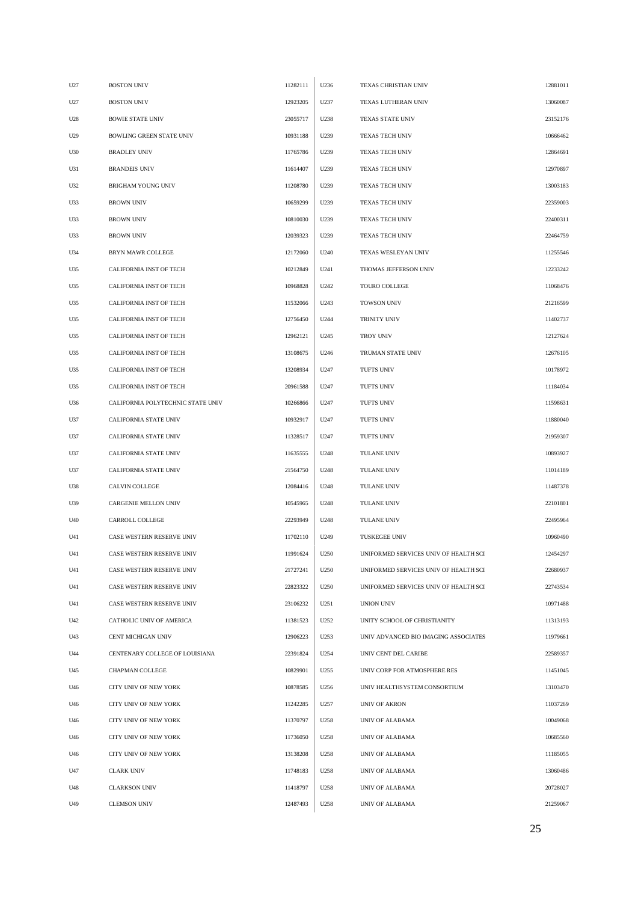| U27 | <b>BOSTON UNIV</b>                | 11282111 | U236 | TEXAS CHRISTIAN UNIV                  | 12881011 |
|-----|-----------------------------------|----------|------|---------------------------------------|----------|
| U27 | <b>BOSTON UNIV</b>                | 12923205 | U237 | TEXAS LUTHERAN UNIV                   | 13060087 |
| U28 | <b>BOWIE STATE UNIV</b>           | 23055717 | U238 | TEXAS STATE UNIV                      | 23152176 |
| U29 | <b>BOWLING GREEN STATE UNIV</b>   | 10931188 | U239 | <b>TEXAS TECH UNIV</b>                | 10666462 |
| U30 | <b>BRADLEY UNIV</b>               | 11765786 | U239 | TEXAS TECH UNIV                       | 12864691 |
| U31 | <b>BRANDEIS UNIV</b>              | 11614407 | U239 | TEXAS TECH UNIV                       | 12970897 |
| U32 | <b>BRIGHAM YOUNG UNIV</b>         | 11208780 | U239 | TEXAS TECH UNIV                       | 13003183 |
| U33 | <b>BROWN UNIV</b>                 | 10659299 | U239 | TEXAS TECH UNIV                       | 22359003 |
| U33 | <b>BROWN UNIV</b>                 | 10810030 | U239 | <b>TEXAS TECH UNIV</b>                | 22400311 |
| U33 | <b>BROWN UNIV</b>                 | 12039323 | U239 | TEXAS TECH UNIV                       | 22464759 |
| U34 | BRYN MAWR COLLEGE                 | 12172060 | U240 | TEXAS WESLEYAN UNIV                   | 11255546 |
| U35 | CALIFORNIA INST OF TECH           | 10212849 | U241 | THOMAS JEFFERSON UNIV                 | 12233242 |
| U35 | CALIFORNIA INST OF TECH           | 10968828 | U242 | TOURO COLLEGE                         | 11068476 |
| U35 | CALIFORNIA INST OF TECH           | 11532066 | U243 | <b>TOWSON UNIV</b>                    | 21216599 |
| U35 | CALIFORNIA INST OF TECH           | 12756450 | U244 | TRINITY UNIV                          | 11402737 |
| U35 | <b>CALIFORNIA INST OF TECH</b>    | 12962121 | U245 | <b>TROY UNIV</b>                      | 12127624 |
| U35 | CALIFORNIA INST OF TECH           | 13108675 | U246 | TRUMAN STATE UNIV                     | 12676105 |
| U35 | CALIFORNIA INST OF TECH           | 13208934 | U247 | <b>TUFTS UNIV</b>                     | 10178972 |
| U35 | CALIFORNIA INST OF TECH           | 20961588 | U247 | TUFTS UNIV                            | 11184034 |
| U36 | CALIFORNIA POLYTECHNIC STATE UNIV | 10266866 | U247 | TUFTS UNIV                            | 11598631 |
| U37 | CALIFORNIA STATE UNIV             | 10932917 | U247 | <b>TUFTS UNIV</b>                     | 11880040 |
| U37 | CALIFORNIA STATE UNIV             | 11328517 | U247 | <b>TUFTS UNIV</b>                     | 21959307 |
| U37 | CALIFORNIA STATE UNIV             | 11635555 | U248 | TULANE UNIV                           | 10893927 |
| U37 | CALIFORNIA STATE UNIV             | 21564750 | U248 | TULANE UNIV                           | 11014189 |
| U38 | CALVIN COLLEGE                    | 12084416 | U248 | TULANE UNIV                           | 11487378 |
| U39 | CARGENIE MELLON UNIV              | 10545965 | U248 | TULANE UNIV                           | 22101801 |
| U40 | CARROLL COLLEGE                   | 22293949 | U248 | TULANE UNIV                           | 22495964 |
| U41 | CASE WESTERN RESERVE UNIV         | 11702110 | U249 | <b>TUSKEGEE UNIV</b>                  | 10960490 |
| U41 | CASE WESTERN RESERVE UNIV         | 11991624 | U250 | UNIFORMED SERVICES UNIV OF HEALTH SCI | 12454297 |
| U41 | CASE WESTERN RESERVE UNIV         | 21727241 | U250 | UNIFORMED SERVICES UNIV OF HEALTH SCI | 22680937 |
| U41 | CASE WESTERN RESERVE UNIV         | 22823322 | U250 | UNIFORMED SERVICES UNIV OF HEALTH SCI | 22743534 |
| U41 | CASE WESTERN RESERVE UNIV         | 23106232 | U251 | UNION UNIV                            | 10971488 |
| U42 | CATHOLIC UNIV OF AMERICA          | 11381523 | U252 | UNITY SCHOOL OF CHRISTIANITY          | 11313193 |
| U43 | CENT MICHIGAN UNIV                | 12906223 | U253 | UNIV ADVANCED BIO IMAGING ASSOCIATES  | 11979661 |
| U44 | CENTENARY COLLEGE OF LOUISIANA    | 22391824 | U254 | UNIV CENT DEL CARIBE                  | 22589357 |
| U45 | CHAPMAN COLLEGE                   | 10829901 | U255 | UNIV CORP FOR ATMOSPHERE RES          | 11451045 |
| U46 | CITY UNIV OF NEW YORK             | 10878585 | U256 | UNIV HEALTHS YSTEM CONSORTIUM         | 13103470 |
| U46 | CITY UNIV OF NEW YORK             | 11242285 | U257 | UNIV OF AKRON                         | 11037269 |
| U46 | CITY UNIV OF NEW YORK             | 11370797 | U258 | UNIV OF ALABAMA                       | 10049068 |
| U46 | CITY UNIV OF NEW YORK             | 11736050 | U258 | UNIV OF ALABAMA                       | 10685560 |
| U46 | CITY UNIV OF NEW YORK             | 13138208 | U258 | UNIV OF ALABAMA                       | 11185055 |
| U47 | <b>CLARK UNIV</b>                 | 11748183 | U258 | UNIV OF ALABAMA                       | 13060486 |
| U48 | <b>CLARKSON UNIV</b>              | 11418797 | U258 | UNIV OF ALABAMA                       | 20728027 |
| U49 | <b>CLEMSON UNIV</b>               | 12487493 | U258 | UNIV OF ALABAMA                       | 21259067 |
|     |                                   |          |      |                                       |          |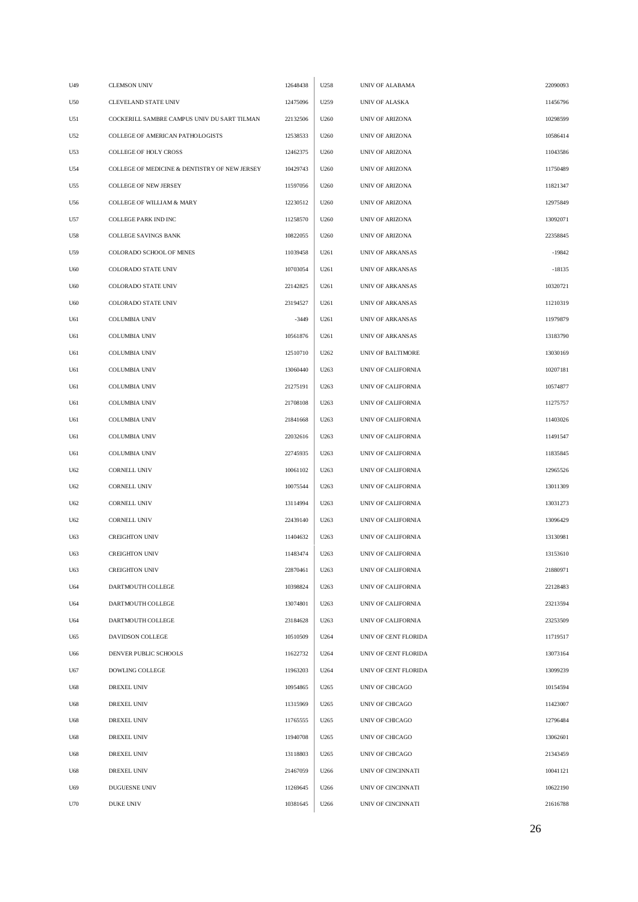| U49 | <b>CLEMSON UNIV</b>                           | 12648438 | U258 | UNIV OF ALABAMA         | 22090093 |
|-----|-----------------------------------------------|----------|------|-------------------------|----------|
| U50 | CLEVELAND STATE UNIV                          | 12475096 | U259 | UNIV OF ALASKA          | 11456796 |
| U51 | COCKERILL SAMBRE CAMPUS UNIV DU SART TILMAN   | 22132506 | U260 | <b>UNIV OF ARIZONA</b>  | 10298599 |
| U52 | COLLEGE OF AMERICAN PATHOLOGISTS              | 12538533 | U260 | <b>UNIV OF ARIZONA</b>  | 10586414 |
| U53 | <b>COLLEGE OF HOLY CROSS</b>                  | 12462375 | U260 | <b>UNIV OF ARIZONA</b>  | 11043586 |
| U54 | COLLEGE OF MEDICINE & DENTISTRY OF NEW JERSEY | 10429743 | U260 | UNIV OF ARIZONA         | 11750489 |
| U55 | COLLEGE OF NEW JERSEY                         | 11597056 | U260 | UNIV OF ARIZONA         | 11821347 |
| U56 | <b>COLLEGE OF WILLIAM &amp; MARY</b>          | 12230512 | U260 | UNIV OF ARIZONA         | 12975849 |
| U57 | COLLEGE PARK IND INC                          | 11258570 | U260 | UNIV OF ARIZONA         | 13092071 |
| U58 | COLLEGE SAVINGS BANK                          | 10822055 | U260 | <b>UNIV OF ARIZONA</b>  | 22358845 |
| U59 | COLORADO SCHOOL OF MINES                      | 11039458 | U261 | <b>UNIV OF ARKANSAS</b> | $-19842$ |
| U60 | COLORADO STATE UNIV                           | 10703054 | U261 | UNIV OF ARKANSAS        | $-18135$ |
| U60 | <b>COLORADO STATE UNIV</b>                    | 22142825 | U261 | <b>UNIV OF ARKANSAS</b> | 10320721 |
| U60 | COLORADO STATE UNIV                           | 23194527 | U261 | UNIV OF ARKANSAS        | 11210319 |
| U61 | <b>COLUMBIA UNIV</b>                          | $-3449$  | U261 | <b>UNIV OF ARKANSAS</b> | 11979879 |
| U61 | <b>COLUMBIA UNIV</b>                          | 10561876 | U261 | UNIV OF ARKANSAS        | 13183790 |
| U61 | <b>COLUMBIA UNIV</b>                          | 12510710 | U262 | UNIV OF BALTIMORE       | 13030169 |
| U61 | <b>COLUMBIA UNIV</b>                          | 13060440 | U263 | UNIV OF CALIFORNIA      | 10207181 |
| U61 | <b>COLUMBIA UNIV</b>                          | 21275191 | U263 | UNIV OF CALIFORNIA      | 10574877 |
| U61 | <b>COLUMBIA UNIV</b>                          | 21708108 | U263 | UNIV OF CALIFORNIA      | 11275757 |
| U61 | <b>COLUMBIA UNIV</b>                          | 21841668 | U263 | UNIV OF CALIFORNIA      | 11403026 |
| U61 | <b>COLUMBIA UNIV</b>                          | 22032616 | U263 | UNIV OF CALIFORNIA      | 11491547 |
| U61 | <b>COLUMBIA UNIV</b>                          | 22745935 | U263 | UNIV OF CALIFORNIA      | 11835845 |
| U62 | <b>CORNELL UNIV</b>                           | 10061102 | U263 | UNIV OF CALIFORNIA      | 12965526 |
| U62 | <b>CORNELL UNIV</b>                           | 10075544 | U263 | UNIV OF CALIFORNIA      | 13011309 |
| U62 | <b>CORNELL UNIV</b>                           | 13114994 | U263 | UNIV OF CALIFORNIA      | 13031273 |
| U62 | <b>CORNELL UNIV</b>                           | 22439140 | U263 | UNIV OF CALIFORNIA      | 13096429 |
| U63 | <b>CREIGHTON UNIV</b>                         | 11404632 | U263 | UNIV OF CALIFORNIA      | 13130981 |
| U63 | <b>CREIGHTON UNIV</b>                         | 11483474 | U263 | UNIV OF CALIFORNIA      | 13153610 |
| U63 | <b>CREIGHTON UNIV</b>                         | 22870461 | U263 | UNIV OF CALIFORNIA      | 21880971 |
| U64 | DARTMOUTH COLLEGE                             | 10398824 | U263 | UNIV OF CALIFORNIA      | 22128483 |
| U64 | DARTMOUTH COLLEGE                             | 13074801 | U263 | UNIV OF CALIFORNIA      | 23213594 |
| U64 | DARTMOUTH COLLEGE                             | 23184628 | U263 | UNIV OF CALIFORNIA      | 23253509 |
| U65 | DAVIDSON COLLEGE                              | 10510509 | U264 | UNIV OF CENT FLORIDA    | 11719517 |
| U66 | DENVER PUBLIC SCHOOLS                         | 11622732 | U264 | UNIV OF CENT FLORIDA    | 13073164 |
| U67 | DOWLING COLLEGE                               | 11963203 | U264 | UNIV OF CENT FLORIDA    | 13099239 |
| U68 | DREXEL UNIV                                   | 10954865 | U265 | UNIV OF CHICAGO         | 10154594 |
| U68 | DREXEL UNIV                                   | 11315969 | U265 | UNIV OF CHICAGO         | 11423007 |
| U68 | DREXEL UNIV                                   | 11765555 | U265 | UNIV OF CHICAGO         | 12796484 |
| U68 | DREXEL UNIV                                   | 11940708 | U265 | UNIV OF CHICAGO         | 13062601 |
| U68 | DREXEL UNIV                                   | 13118803 | U265 | UNIV OF CHICAGO         | 21343459 |
| U68 | DREXEL UNIV                                   | 21467059 | U266 | UNIV OF CINCINNATI      | 10041121 |
| U69 | DUGUESNE UNIV                                 | 11269645 | U266 | UNIV OF CINCINNATI      | 10622190 |
| U70 | DUKE UNIV                                     | 10381645 | U266 | UNIV OF CINCINNATI      | 21616788 |
|     |                                               |          |      |                         |          |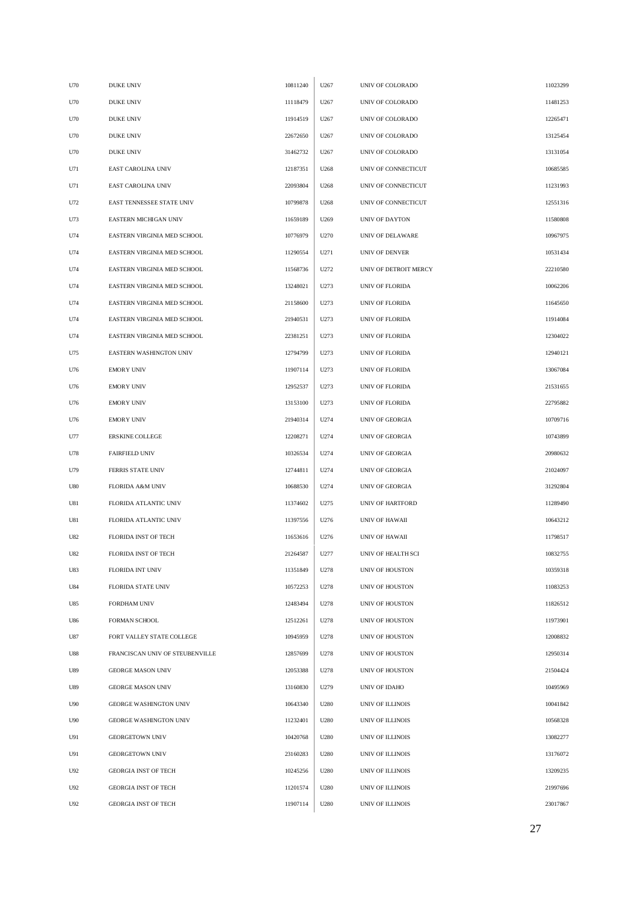| U70        | <b>DUKE UNIV</b>                | 10811240 | U267 | UNIV OF COLORADO       | 11023299 |
|------------|---------------------------------|----------|------|------------------------|----------|
| U70        | <b>DUKE UNIV</b>                | 11118479 | U267 | UNIV OF COLORADO       | 11481253 |
| U70        | <b>DUKE UNIV</b>                | 11914519 | U267 | UNIV OF COLORADO       | 12265471 |
| U70        | <b>DUKE UNIV</b>                | 22672650 | U267 | UNIV OF COLORADO       | 13125454 |
| U70        | <b>DUKE UNIV</b>                | 31462732 | U267 | UNIV OF COLORADO       | 13131054 |
| U71        | EAST CAROLINA UNIV              | 12187351 | U268 | UNIV OF CONNECTICUT    | 10685585 |
| U71        | EAST CAROLINA UNIV              | 22093804 | U268 | UNIV OF CONNECTICUT    | 11231993 |
| U72        | EAST TENNESSEE STATE UNIV       | 10799878 | U268 | UNIV OF CONNECTICUT    | 12551316 |
| U73        | EASTERN MICHIGAN UNIV           | 11659189 | U269 | <b>UNIV OF DAYTON</b>  | 11580808 |
| U74        | EASTERN VIRGINIA MED SCHOOL     | 10776979 | U270 | UNIV OF DELAWARE       | 10967975 |
| U74        | EASTERN VIRGINIA MED SCHOOL     | 11290554 | U271 | UNIV OF DENVER         | 10531434 |
| U74        | EASTERN VIRGINIA MED SCHOOL     | 11568736 | U272 | UNIV OF DETROIT MERCY  | 22210580 |
| U74        | EASTERN VIRGINIA MED SCHOOL     | 13248021 | U273 | <b>UNIV OF FLORIDA</b> | 10062206 |
| U74        | EASTERN VIRGINIA MED SCHOOL     | 21158600 | U273 | UNIV OF FLORIDA        | 11645650 |
| U74        | EASTERN VIRGINIA MED SCHOOL     | 21940531 | U273 | UNIV OF FLORIDA        | 11914084 |
| U74        | EASTERN VIRGINIA MED SCHOOL     | 22381251 | U273 | UNIV OF FLORIDA        | 12304022 |
| U75        | EASTERN WASHINGTON UNIV         | 12794799 | U273 | UNIV OF FLORIDA        | 12940121 |
| U76        | <b>EMORY UNIV</b>               | 11907114 | U273 | UNIV OF FLORIDA        | 13067084 |
| U76        | <b>EMORY UNIV</b>               | 12952537 | U273 | UNIV OF FLORIDA        | 21531655 |
| U76        | <b>EMORY UNIV</b>               | 13153100 | U273 | UNIV OF FLORIDA        | 22795882 |
| U76        | <b>EMORY UNIV</b>               | 21940314 | U274 | UNIV OF GEORGIA        | 10709716 |
| U77        | ERSKINE COLLEGE                 | 12208271 | U274 | UNIV OF GEORGIA        | 10743899 |
| U78        | <b>FAIRFIELD UNIV</b>           | 10326534 | U274 | UNIV OF GEORGIA        | 20980632 |
| U79        | FERRIS STATE UNIV               | 12744811 | U274 | UNIV OF GEORGIA        | 21024097 |
| U80        | FLORIDA A&M UNIV                | 10688530 | U274 | UNIV OF GEORGIA        | 31292804 |
| U81        | FLORIDA ATLANTIC UNIV           | 11374602 | U275 | UNIV OF HARTFORD       | 11289490 |
| U81        | FLORIDA ATLANTIC UNIV           | 11397556 | U276 | UNIV OF HAWAII         | 10643212 |
| U82        | FLORIDA INST OF TECH            | 11653616 | U276 | <b>UNIV OF HAWAII</b>  | 11798517 |
| U82        | FLORIDA INST OF TECH            | 21264587 | U277 | UNIV OF HEALTH SCI     | 10832755 |
| U83        | FLORIDA INT UNIV                | 11351849 | U278 | UNIV OF HOUSTON        | 10359318 |
| <b>U84</b> | <b>FLORIDA STATE UNIV</b>       | 10572253 | U278 | UNIV OF HOUSTON        | 11083253 |
| U85        | FORDHAM UNIV                    | 12483494 | U278 | UNIV OF HOUSTON        | 11826512 |
| U86        | FORMAN SCHOOL                   | 12512261 | U278 | UNIV OF HOUSTON        | 11973901 |
| U87        | FORT VALLEY STATE COLLEGE       | 10945959 | U278 | UNIV OF HOUSTON        | 12008832 |
| U88        | FRANCISCAN UNIV OF STEUBENVILLE | 12857699 | U278 | UNIV OF HOUSTON        | 12950314 |
| U89        | <b>GEORGE MASON UNIV</b>        | 12053388 | U278 | UNIV OF HOUSTON        | 21504424 |
| U89        | <b>GEORGE MASON UNIV</b>        | 13160830 | U279 | UNIV OF IDAHO          | 10495969 |
| U90        | GEORGE WASHINGTON UNIV          | 10643340 | U280 | UNIV OF ILLINOIS       | 10041842 |
| U90        | GEORGE WASHINGTON UNIV          | 11232401 | U280 | UNIV OF ILLINOIS       | 10568328 |
| U91        | <b>GEORGETOWN UNIV</b>          | 10420768 | U280 | UNIV OF ILLINOIS       | 13082277 |
| U91        | <b>GEORGETOWN UNIV</b>          | 23160283 | U280 | UNIV OF ILLINOIS       | 13176072 |
| U92        | <b>GEORGIA INST OF TECH</b>     | 10245256 | U280 | UNIV OF ILLINOIS       | 13209235 |
| U92        | <b>GEORGIA INST OF TECH</b>     | 11201574 | U280 | UNIV OF ILLINOIS       | 21997696 |
| U92        | <b>GEORGIA INST OF TECH</b>     | 11907114 | U280 | UNIV OF ILLINOIS       | 23017867 |
|            |                                 |          |      |                        |          |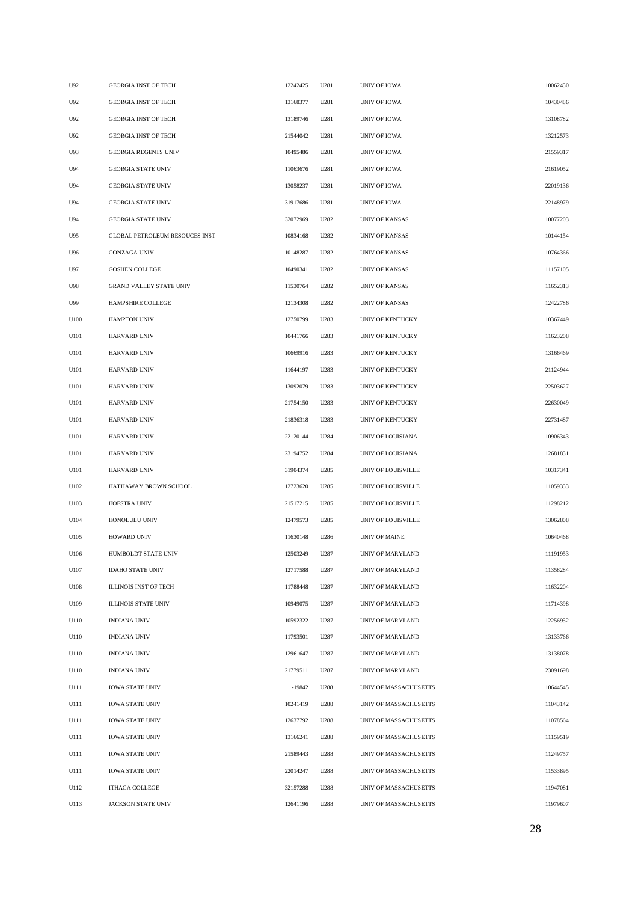| U92  | <b>GEORGIA INST OF TECH</b>           | 12242425 | U281 | UNIV OF IOWA          | 10062450 |
|------|---------------------------------------|----------|------|-----------------------|----------|
| U92  | <b>GEORGIA INST OF TECH</b>           | 13168377 | U281 | UNIV OF IOWA          | 10430486 |
| U92  | <b>GEORGIA INST OF TECH</b>           | 13189746 | U281 | UNIV OF IOWA          | 13108782 |
| U92  | <b>GEORGIA INST OF TECH</b>           | 21544042 | U281 | UNIV OF IOWA          | 13212573 |
| U93  | <b>GEORGIA REGENTS UNIV</b>           | 10495486 | U281 | UNIV OF IOWA          | 21559317 |
| U94  | <b>GEORGIA STATE UNIV</b>             | 11063676 | U281 | UNIV OF IOWA          | 21619052 |
| U94  | <b>GEORGIA STATE UNIV</b>             | 13058237 | U281 | UNIV OF IOWA          | 22019136 |
| U94  | <b>GEORGIA STATE UNIV</b>             | 31917686 | U281 | UNIV OF IOWA          | 22148979 |
| U94  | <b>GEORGIA STATE UNIV</b>             | 32072969 | U282 | UNIV OF KANSAS        | 10077203 |
| U95  | <b>GLOBAL PETROLEUM RESOUCES INST</b> | 10834168 | U282 | <b>UNIV OF KANSAS</b> | 10144154 |
| U96  | <b>GONZAGA UNIV</b>                   | 10148287 | U282 | <b>UNIV OF KANSAS</b> | 10764366 |
| U97  | GOSHEN COLLEGE                        | 10490341 | U282 | UNIV OF KANSAS        | 11157105 |
| U98  | GRAND VALLEY STATE UNIV               | 11530764 | U282 | UNIV OF KANSAS        | 11652313 |
| U99  | HAMPSHIRE COLLEGE                     | 12134308 | U282 | <b>UNIV OF KANSAS</b> | 12422786 |
| U100 | <b>HAMPTON UNIV</b>                   | 12750799 | U283 | UNIV OF KENTUCKY      | 10367449 |
| U101 | HARVARD UNIV                          | 10441766 | U283 | UNIV OF KENTUCKY      | 11623208 |
| U101 | <b>HARVARD UNIV</b>                   | 10669916 | U283 | UNIV OF KENTUCKY      | 13166469 |
| U101 | HARVARD UNIV                          | 11644197 | U283 | UNIV OF KENTUCKY      | 21124944 |
| U101 | HARVARD UNIV                          | 13092079 | U283 | UNIV OF KENTUCKY      | 22503627 |
| U101 | HARVARD UNIV                          | 21754150 | U283 | UNIV OF KENTUCKY      | 22630049 |
| U101 | HARVARD UNIV                          | 21836318 | U283 | UNIV OF KENTUCKY      | 22731487 |
| U101 | HARVARD UNIV                          | 22120144 | U284 | UNIV OF LOUISIANA     | 10906343 |
| U101 | HARVARD UNIV                          | 23194752 | U284 | UNIV OF LOUISIANA     | 12681831 |
| U101 | HARVARD UNIV                          | 31904374 | U285 | UNIV OF LOUISVILLE    | 10317341 |
| U102 | HATHAWAY BROWN SCHOOL                 | 12723620 | U285 | UNIV OF LOUISVILLE    | 11059353 |
| U103 | HOFSTRA UNIV                          | 21517215 | U285 | UNIV OF LOUISVILLE    | 11298212 |
| U104 | HONOLULU UNIV                         | 12479573 | U285 | UNIV OF LOUISVILLE    | 13062808 |
| U105 | HOWARD UNIV                           | 11630148 | U286 | UNIV OF MAINE         | 10640468 |
| U106 | HUMBOLDT STATE UNIV                   | 12503249 | U287 | UNIV OF MARYLAND      | 11191953 |
| U107 | <b>IDAHO STATE UNIV</b>               | 12717588 | U287 | UNIV OF MARYLAND      | 11358284 |
| U108 | <b>ILLINOIS INST OF TECH</b>          | 11788448 | U287 | UNIV OF MARYLAND      | 11632204 |
| U109 | <b>ILLINOIS STATE UNIV</b>            | 10949075 | U287 | UNIV OF MARYLAND      | 11714398 |
| U110 | <b>INDIANA UNIV</b>                   | 10592322 | U287 | UNIV OF MARYLAND      | 12256952 |
| U110 | INDIANA UNIV                          | 11793501 | U287 | UNIV OF MARYLAND      | 13133766 |
| U110 | <b>INDIANA UNIV</b>                   | 12961647 | U287 | UNIV OF MARYLAND      | 13138078 |
| U110 | <b>INDIANA UNIV</b>                   | 21779511 | U287 | UNIV OF MARYLAND      | 23091698 |
| U111 | <b>IOWA STATE UNIV</b>                | $-19842$ | U288 | UNIV OF MASSACHUSETTS | 10644545 |
| U111 | <b>IOWA STATE UNIV</b>                | 10241419 | U288 | UNIV OF MASSACHUSETTS | 11043142 |
| U111 | <b>IOWA STATE UNIV</b>                | 12637792 | U288 | UNIV OF MASSACHUSETTS | 11078564 |
| U111 | <b>IOWA STATE UNIV</b>                | 13166241 | U288 | UNIV OF MASSACHUSETTS | 11159519 |
| U111 | <b>IOWA STATE UNIV</b>                | 21589443 | U288 | UNIV OF MASSACHUSETTS | 11249757 |
| U111 | <b>IOWA STATE UNIV</b>                | 22014247 | U288 | UNIV OF MASSACHUSETTS | 11533895 |
| U112 | ITHACA COLLEGE                        | 32157288 | U288 | UNIV OF MASSACHUSETTS | 11947081 |
| U113 | JACKSON STATE UNIV                    | 12641196 | U288 | UNIV OF MASSACHUSETTS | 11979607 |
|      |                                       |          |      |                       |          |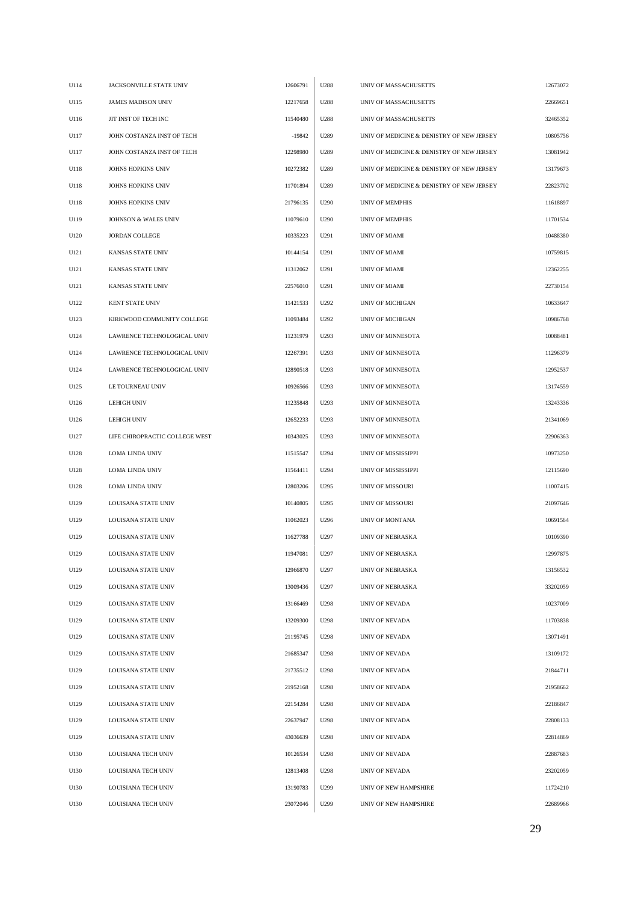| U114 | JACKSONVILLE STATE UNIV        | 12606791 | U288 | UNIV OF MASSACHUSETTS                     | 12673072 |
|------|--------------------------------|----------|------|-------------------------------------------|----------|
| U115 | <b>JAMES MADISON UNIV</b>      | 12217658 | U288 | UNIV OF MASSACHUSETTS                     | 22669651 |
| U116 | JIT INST OF TECH INC           | 11540480 | U288 | UNIV OF MASSACHUSETTS                     | 32465352 |
| U117 | JOHN COSTANZA INST OF TECH     | $-19842$ | U289 | UNIV OF MEDICINE & DENISTRY OF NEW JERSEY | 10805756 |
| U117 | JOHN COSTANZA INST OF TECH     | 12298980 | U289 | UNIV OF MEDICINE & DENISTRY OF NEW JERSEY | 13081942 |
| U118 | JOHNS HOPKINS UNIV             | 10272382 | U289 | UNIV OF MEDICINE & DENISTRY OF NEW JERSEY | 13179673 |
| U118 | JOHNS HOPKINS UNIV             | 11701894 | U289 | UNIV OF MEDICINE & DENISTRY OF NEW JERSEY | 22823702 |
| U118 | <b>JOHNS HOPKINS UNIV</b>      | 21796135 | U290 | <b>UNIV OF MEMPHIS</b>                    | 11618897 |
| U119 | JOHNSON & WALES UNIV           | 11079610 | U290 | <b>UNIV OF MEMPHIS</b>                    | 11701534 |
| U120 | <b>JORDAN COLLEGE</b>          | 10335223 | U291 | UNIV OF MIAMI                             | 10488380 |
| U121 | KANSAS STATE UNIV              | 10144154 | U291 | UNIV OF MIAMI                             | 10759815 |
| U121 | KANSAS STATE UNIV              | 11312062 | U291 | UNIV OF MIAMI                             | 12362255 |
| U121 | KANSAS STATE UNIV              | 22576010 | U291 | UNIV OF MIAMI                             | 22730154 |
| U122 | <b>KENT STATE UNIV</b>         | 11421533 | U292 | UNIV OF MICHIGAN                          | 10633647 |
| U123 | KIRKWOOD COMMUNITY COLLEGE     | 11093484 | U292 | UNIV OF MICHIGAN                          | 10986768 |
| U124 | LAWRENCE TECHNOLOGICAL UNIV    | 11231979 | U293 | UNIV OF MINNESOTA                         | 10088481 |
| U124 | LAWRENCE TECHNOLOGICAL UNIV    | 12267391 | U293 | UNIV OF MINNESOTA                         | 11296379 |
| U124 | LAWRENCE TECHNOLOGICAL UNIV    | 12890518 | U293 | UNIV OF MINNESOTA                         | 12952537 |
| U125 | LE TOURNEAU UNIV               | 10926566 | U293 | UNIV OF MINNESOTA                         | 13174559 |
| U126 | <b>LEHIGH UNIV</b>             | 11235848 | U293 | UNIV OF MINNESOTA                         | 13243336 |
| U126 | <b>LEHIGH UNIV</b>             | 12652233 | U293 | UNIV OF MINNESOTA                         | 21341069 |
| U127 | LIFE CHIROPRACTIC COLLEGE WEST | 10343025 | U293 | UNIV OF MINNESOTA                         | 22906363 |
| U128 | LOMA LINDA UNIV                | 11515547 | U294 | UNIV OF MISSISSIPPI                       | 10973250 |
| U128 | LOMA LINDA UNIV                | 11564411 | U294 | UNIV OF MISSISSIPPI                       | 12115690 |
| U128 | LOMA LINDA UNIV                | 12803206 | U295 | <b>UNIV OF MISSOURI</b>                   | 11007415 |
| U129 | LOUISANA STATE UNIV            | 10140805 | U295 | UNIV OF MISSOURI                          | 21097646 |
| U129 | <b>LOUISANA STATE UNIV</b>     | 11062023 | U296 | UNIV OF MONTANA                           | 10691564 |
| U129 | LOUISANA STATE UNIV            | 11627788 | U297 | UNIV OF NEBRASKA                          | 10109390 |
| U129 | LOUISANA STATE UNIV            | 11947081 | U297 | UNIV OF NEBRASKA                          | 12997875 |
| U129 | LOUISANA STATE UNIV            | 12966870 | U297 | UNIV OF NEBRASKA                          | 13156532 |
| U129 | <b>LOUISANA STATE UNIV</b>     | 13009436 | U297 | UNIV OF NEBRASKA                          | 33202059 |
| U129 | LOUISANA STATE UNIV            | 13166469 | U298 | UNIV OF NEVADA                            | 10237009 |
| U129 | LOUISANA STATE UNIV            | 13209300 | U298 | UNIV OF NEVADA                            | 11703838 |
| U129 | LOUISANA STATE UNIV            | 21195745 | U298 | UNIV OF NEVADA                            | 13071491 |
| U129 | LOUISANA STATE UNIV            | 21685347 | U298 | UNIV OF NEVADA                            | 13109172 |
| U129 | LOUISANA STATE UNIV            | 21735512 | U298 | UNIV OF NEVADA                            | 21844711 |
| U129 | LOUISANA STATE UNIV            | 21952168 | U298 | UNIV OF NEVADA                            | 21958662 |
| U129 | LOUISANA STATE UNIV            | 22154284 | U298 | UNIV OF NEVADA                            | 22186847 |
| U129 | LOUISANA STATE UNIV            | 22637947 | U298 | UNIV OF NEVADA                            | 22808133 |
| U129 | LOUISANA STATE UNIV            | 43036639 | U298 | UNIV OF NEVADA                            | 22814869 |
| U130 | LOUISIANA TECH UNIV            | 10126534 | U298 | UNIV OF NEVADA                            | 22887683 |
| U130 | LOUISIANA TECH UNIV            | 12813408 | U298 | UNIV OF NEVADA                            | 23202059 |
| U130 | LOUISIANA TECH UNIV            | 13190783 | U299 | UNIV OF NEW HAMPSHIRE                     | 11724210 |
| U130 | LOUISIANA TECH UNIV            | 23072046 | U299 | UNIV OF NEW HAMPSHIRE                     | 22689966 |
|      |                                |          |      |                                           |          |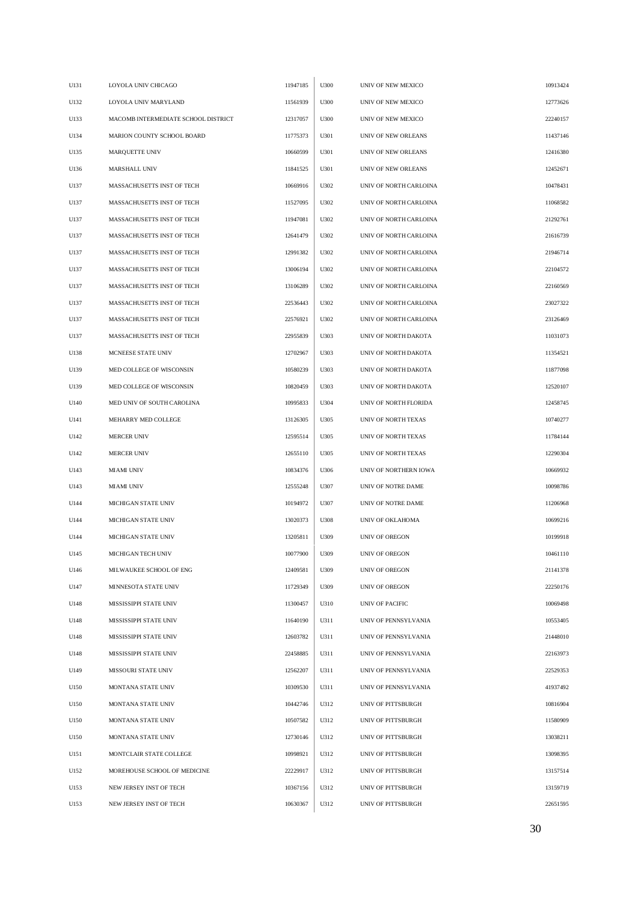| U131 | LOYOLA UNIV CHICAGO                 | 11947185 | U300 | UNIV OF NEW MEXICO     | 10913424 |
|------|-------------------------------------|----------|------|------------------------|----------|
| U132 | LOYOLA UNIV MARYLAND                | 11561939 | U300 | UNIV OF NEW MEXICO     | 12773626 |
| U133 | MACOMB INTERMEDIATE SCHOOL DISTRICT | 12317057 | U300 | UNIV OF NEW MEXICO     | 22240157 |
| U134 | MARION COUNTY SCHOOL BOARD          | 11775373 | U301 | UNIV OF NEW ORLEANS    | 11437146 |
| U135 | MARQUETTE UNIV                      | 10660599 | U301 | UNIV OF NEW ORLEANS    | 12416380 |
| U136 | <b>MARSHALL UNIV</b>                | 11841525 | U301 | UNIV OF NEW ORLEANS    | 12452671 |
| U137 | MASSACHUSETTS INST OF TECH          | 10669916 | U302 | UNIV OF NORTH CARLOINA | 10478431 |
| U137 | MASSACHUSETTS INST OF TECH          | 11527095 | U302 | UNIV OF NORTH CARLOINA | 11068582 |
| U137 | MASSACHUSETTS INST OF TECH          | 11947081 | U302 | UNIV OF NORTH CARLOINA | 21292761 |
| U137 | MASSACHUSETTS INST OF TECH          | 12641479 | U302 | UNIV OF NORTH CARLOINA | 21616739 |
| U137 | MASSACHUSETTS INST OF TECH          | 12991382 | U302 | UNIV OF NORTH CARLOINA | 21946714 |
| U137 | MASSACHUSETTS INST OF TECH          | 13006194 | U302 | UNIV OF NORTH CARLOINA | 22104572 |
| U137 | MASSACHUSETTS INST OF TECH          | 13106289 | U302 | UNIV OF NORTH CARLOINA | 22160569 |
| U137 | MASSACHUSETTS INST OF TECH          | 22536443 | U302 | UNIV OF NORTH CARLOINA | 23027322 |
| U137 | MASSACHUSETTS INST OF TECH          | 22576921 | U302 | UNIV OF NORTH CARLOINA | 23126469 |
| U137 | MASSACHUSETTS INST OF TECH          | 22955839 | U303 | UNIV OF NORTH DAKOTA   | 11031073 |
| U138 | MCNEESE STATE UNIV                  | 12702967 | U303 | UNIV OF NORTH DAKOTA   | 11354521 |
| U139 | MED COLLEGE OF WISCONSIN            | 10580239 | U303 | UNIV OF NORTH DAKOTA   | 11877098 |
| U139 | MED COLLEGE OF WISCONSIN            | 10820459 | U303 | UNIV OF NORTH DAKOTA   | 12520107 |
| U140 | MED UNIV OF SOUTH CAROLINA          | 10995833 | U304 | UNIV OF NORTH FLORIDA  | 12458745 |
| U141 | MEHARRY MED COLLEGE                 | 13126305 | U305 | UNIV OF NORTH TEXAS    | 10740277 |
| U142 | <b>MERCER UNIV</b>                  | 12595514 | U305 | UNIV OF NORTH TEXAS    | 11784144 |
| U142 | <b>MERCER UNIV</b>                  | 12655110 | U305 | UNIV OF NORTH TEXAS    | 12290304 |
| U143 | MIAMI UNIV                          | 10834376 | U306 | UNIV OF NORTHERN IOWA  | 10669932 |
| U143 | MIAMI UNIV                          | 12555248 | U307 | UNIV OF NOTRE DAME     | 10098786 |
| U144 | MICHIGAN STATE UNIV                 | 10194972 | U307 | UNIV OF NOTRE DAME     | 11206968 |
| U144 | MICHIGAN STATE UNIV                 | 13020373 | U308 | UNIV OF OKLAHOMA       | 10699216 |
| U144 | <b>MICHIGAN STATE UNIV</b>          | 13205811 | U309 | <b>UNIV OF OREGON</b>  | 10199918 |
| U145 | MICHIGAN TECH UNIV                  | 10077900 | U309 | UNIV OF OREGON         | 10461110 |
| U146 | MILWAUKEE SCHOOL OF ENG             | 12409581 | U309 | <b>UNIV OF OREGON</b>  | 21141378 |
| U147 | MINNESOTA STATE UNIV                | 11729349 | U309 | UNIV OF OREGON         | 22250176 |
| U148 | MISSISSIPPI STATE UNIV              | 11300457 | U310 | UNIV OF PACIFIC        | 10069498 |
| U148 | MISSISSIPPI STATE UNIV              | 11640190 | U311 | UNIV OF PENNSYLVANIA   | 10553405 |
| U148 | MISSISSIPPI STATE UNIV              | 12603782 | U311 | UNIV OF PENNSYLVANIA   | 21448010 |
| U148 | MISSISSIPPI STATE UNIV              | 22458885 | U311 | UNIV OF PENNSYLVANIA   | 22163973 |
| U149 | MISSOURI STATE UNIV                 | 12562207 | U311 | UNIV OF PENNSYLVANIA   | 22529353 |
| U150 | MONTANA STATE UNIV                  | 10309530 | U311 | UNIV OF PENNSYLVANIA   | 41937492 |
| U150 | MONTANA STATE UNIV                  | 10442746 | U312 | UNIV OF PITTSBURGH     | 10816904 |
| U150 | MONTANA STATE UNIV                  | 10507582 | U312 | UNIV OF PITTSBURGH     | 11580909 |
| U150 | MONTANA STATE UNIV                  | 12730146 | U312 | UNIV OF PITTSBURGH     | 13038211 |
| U151 | MONTCLAIR STATE COLLEGE             | 10998921 | U312 | UNIV OF PITTSBURGH     | 13098395 |
| U152 | MOREHOUSE SCHOOL OF MEDICINE        | 22229917 | U312 | UNIV OF PITTSBURGH     | 13157514 |
| U153 | NEW JERSEY INST OF TECH             | 10367156 | U312 | UNIV OF PITTSBURGH     | 13159719 |
| U153 | NEW JERSEY INST OF TECH             | 10630367 | U312 | UNIV OF PITTSBURGH     | 22651595 |
|      |                                     |          |      |                        |          |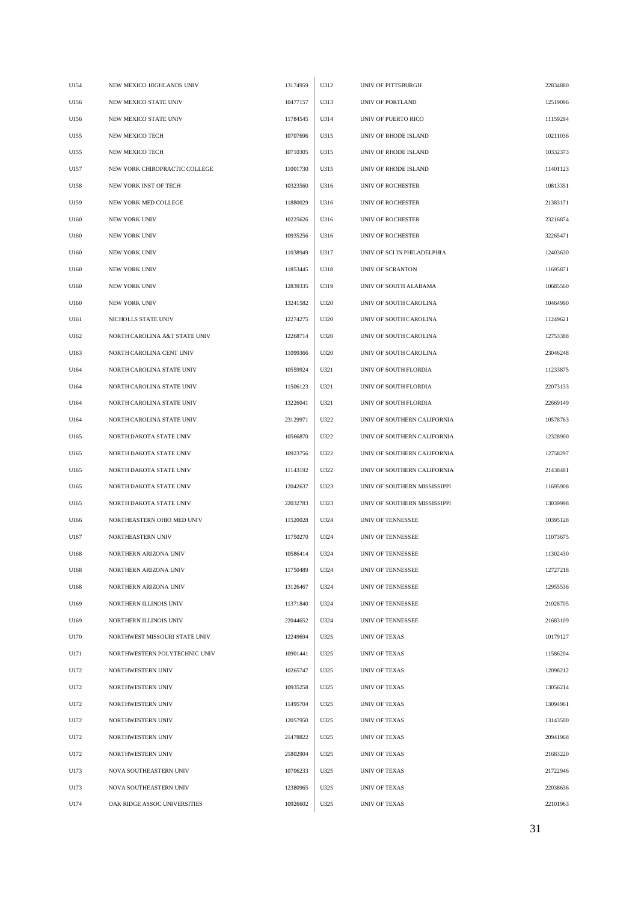| U154 | NEW MEXICO HIGHLANDS UNIV     | 13174959 | U312 | UNIV OF PITTSBURGH           | 22834880 |
|------|-------------------------------|----------|------|------------------------------|----------|
| U156 | NEW MEXICO STATE UNIV         | 10477157 | U313 | UNIV OF PORTLAND             | 12519096 |
| U156 | NEW MEXICO STATE UNIV         | 11784545 | U314 | UNIV OF PUERTO RICO          | 11159294 |
| U155 | NEW MEXICO TECH               | 10707696 | U315 | UNIV OF RHODE ISLAND         | 10211036 |
| U155 | NEW MEXICO TECH               | 10710305 | U315 | UNIV OF RHODE ISLAND         | 10332373 |
| U157 | NEW YORK CHIROPRACTIC COLLEGE | 11001730 | U315 | UNIV OF RHODE ISLAND         | 11401123 |
| U158 | NEW YORK INST OF TECH         | 10323560 | U316 | UNIV OF ROCHESTER            | 10813351 |
| U159 | NEW YORK MED COLLEGE          | 11880029 | U316 | UNIV OF ROCHESTER            | 21383171 |
| U160 | <b>NEW YORK UNIV</b>          | 10225626 | U316 | UNIV OF ROCHESTER            | 23216874 |
| U160 | NEW YORK UNIV                 | 10935256 | U316 | UNIV OF ROCHESTER            | 32265471 |
| U160 | NEW YORK UNIV                 | 11038949 | U317 | UNIV OF SCI IN PHILADELPHIA  | 12403630 |
| U160 | <b>NEW YORK UNIV</b>          | 11853445 | U318 | UNIV OF SCRANTON             | 11695871 |
| U160 | NEW YORK UNIV                 | 12839335 | U319 | UNIV OF SOUTH ALABAMA        | 10685560 |
| U160 | <b>NEW YORK UNIV</b>          | 13241582 | U320 | UNIV OF SOUTH CAROLINA       | 10464990 |
| U161 | NICHOLLS STATE UNIV           | 12274275 | U320 | UNIV OF SOUTH CAROLINA       | 11249621 |
| U162 | NORTH CAROLINA A&T STATE UNIV | 12268714 | U320 | UNIV OF SOUTH CAROLINA       | 12753388 |
| U163 | NORTH CAROLINA CENT UNIV      | 11099366 | U320 | UNIV OF SOUTH CAROLINA       | 23046248 |
| U164 | NORTH CAROLINA STATE UNIV     | 10559924 | U321 | UNIV OF SOUTH FLORDIA        | 11233875 |
| U164 | NORTH CAROLINA STATE UNIV     | 11506123 | U321 | UNIV OF SOUTH FLORDIA        | 22073133 |
| U164 | NORTH CAROLINA STATE UNIV     | 13226041 | U321 | UNIV OF SOUTH FLORDIA        | 22669149 |
| U164 | NORTH CAROLINA STATE UNIV     | 23129971 | U322 | UNIV OF SOUTHERN CALIFORNIA  | 10578763 |
| U165 | NORTH DAKOTA STATE UNIV       | 10566870 | U322 | UNIV OF SOUTHERN CALIFORNIA  | 12328900 |
| U165 | NORTH DAKOTA STATE UNIV       | 10923756 | U322 | UNIV OF SOUTHERN CALIFORNIA  | 12758297 |
| U165 | NORTH DAKOTA STATE UNIV       | 11143192 | U322 | UNIV OF SOUTHERN CALIFORNIA  | 21438481 |
| U165 | NORTH DAKOTA STATE UNIV       | 12042637 | U323 | UNIV OF SOUTHERN MISSISSIPPI | 11695908 |
| U165 | NORTH DAKOTA STATE UNIV       | 22032783 | U323 | UNIV OF SOUTHERN MISSISSIPPI | 13039998 |
| U166 | NORTHEASTERN OHIO MED UNIV    | 11520028 | U324 | UNIV OF TENNESSEE            | 10395128 |
| U167 | NORTHEASTERN UNIV             | 11750270 | U324 | UNIV OF TENNESSEE            | 11073675 |
| U168 | NORTHERN ARIZONA UNIV         | 10586414 | U324 | UNIV OF TENNESSEE            | 11302430 |
| U168 | NORTHERN ARIZONA UNIV         | 11750489 | U324 | UNIV OF TENNESSEE            | 12727218 |
| U168 | NORTHERN ARIZONA UNIV         | 13126467 | U324 | UNIV OF TENNESSEE            | 12955536 |
| U169 | NORTHERN ILLINOIS UNIV        | 11371840 | U324 | UNIV OF TENNESSEE            | 21028705 |
| U169 | NORTHERN ILLINOIS UNIV        | 22044652 | U324 | UNIV OF TENNESSEE            | 21683109 |
| U170 | NORTHWEST MISSOURI STATE UNIV | 12249694 | U325 | UNIV OF TEXAS                | 10179127 |
| U171 | NORTHWESTERN POLYTECHNIC UNIV | 10901441 | U325 | UNIV OF TEXAS                | 11586204 |
| U172 | NORTHWESTERN UNIV             | 10265747 | U325 | UNIV OF TEXAS                | 12098212 |
| U172 | NORTHWESTERN UNIV             | 10935258 | U325 | UNIV OF TEXAS                | 13056214 |
| U172 | NORTHWESTERN UNIV             | 11495704 | U325 | UNIV OF TEXAS                | 13094961 |
| U172 | NORTHWESTERN UNIV             | 12057950 | U325 | UNIV OF TEXAS                | 13143500 |
| U172 | NORTHWESTERN UNIV             | 21478822 | U325 | UNIV OF TEXAS                | 20941968 |
| U172 | NORTHWESTERN UNIV             | 21802904 | U325 | UNIV OF TEXAS                | 21683220 |
| U173 | NOVA SOUTHEASTERN UNIV        | 10706233 | U325 | UNIV OF TEXAS                | 21722946 |
| U173 | NOVA SOUTHEASTERN UNIV        | 12380965 | U325 | UNIV OF TEXAS                | 22038636 |
| U174 | OAK RIDGE ASSOC UNIVERSITIES  | 10926602 | U325 | UNIV OF TEXAS                | 22101963 |
|      |                               |          |      |                              |          |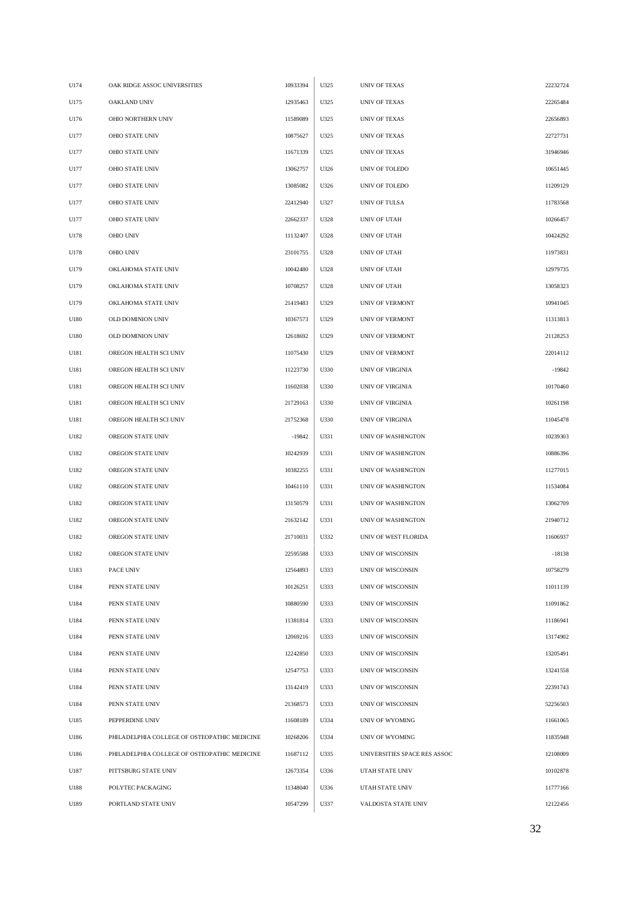| U174 | OAK RIDGE ASSOC UNIVERSITIES                 | 10933394 | U325 | <b>UNIV OF TEXAS</b>         | 22232724 |
|------|----------------------------------------------|----------|------|------------------------------|----------|
| U175 | OAKLAND UNIV                                 | 12935463 | U325 | UNIV OF TEXAS                | 22265484 |
| U176 | OHIO NORTHERN UNIV                           | 11589089 | U325 | UNIV OF TEXAS                | 22656893 |
| U177 | <b>OHIO STATE UNIV</b>                       | 10875627 | U325 | UNIV OF TEXAS                | 22727731 |
| U177 | OHIO STATE UNIV                              | 11671339 | U325 | <b>UNIV OF TEXAS</b>         | 31946946 |
| U177 | OHIO STATE UNIV                              | 13062757 | U326 | UNIV OF TOLEDO               | 10651445 |
| U177 | <b>OHIO STATE UNIV</b>                       | 13085082 | U326 | UNIV OF TOLEDO               | 11209129 |
| U177 | OHIO STATE UNIV                              | 22412940 | U327 | UNIV OF TULSA                | 11783568 |
| U177 | <b>OHIO STATE UNIV</b>                       | 22662337 | U328 | UNIV OF UTAH                 | 10266457 |
| U178 | OHIO UNIV                                    | 11132407 | U328 | UNIV OF UTAH                 | 10424292 |
| U178 | <b>OHIO UNIV</b>                             | 23101755 | U328 | UNIV OF UTAH                 | 11973831 |
| U179 | OKLAHOMA STATE UNIV                          | 10042480 | U328 | UNIV OF UTAH                 | 12979735 |
| U179 | OKLAHOMA STATE UNIV                          | 10708257 | U328 | UNIV OF UTAH                 | 13058323 |
| U179 | OKLAHOMA STATE UNIV                          | 21419483 | U329 | UNIV OF VERMONT              | 10941045 |
| U180 | OLD DOMINION UNIV                            | 10367573 | U329 | UNIV OF VERMONT              | 11313813 |
| U180 | OLD DOMINION UNIV                            | 12618692 | U329 | <b>UNIV OF VERMONT</b>       | 21128253 |
| U181 | OREGON HEALTH SCI UNIV                       | 11075430 | U329 | UNIV OF VERMONT              | 22014112 |
| U181 | OREGON HEALTH SCI UNIV                       | 11223730 | U330 | UNIV OF VIRGINIA             | $-19842$ |
| U181 | OREGON HEALTH SCI UNIV                       | 11602038 | U330 | <b>UNIV OF VIRGINIA</b>      | 10170460 |
| U181 | OREGON HEALTH SCI UNIV                       | 21729163 | U330 | UNIV OF VIRGINIA             | 10261198 |
| U181 | OREGON HEALTH SCI UNIV                       | 21752368 | U330 | UNIV OF VIRGINIA             | 11045478 |
| U182 | OREGON STATE UNIV                            | $-19842$ | U331 | UNIV OF WASHINGTON           | 10239303 |
| U182 | OREGON STATE UNIV                            | 10242939 | U331 | UNIV OF WASHINGTON           | 10886396 |
| U182 | OREGON STATE UNIV                            | 10382255 | U331 | <b>UNIV OF WASHINGTON</b>    | 11277015 |
| U182 | OREGON STATE UNIV                            | 10461110 | U331 | UNIV OF WASHINGTON           | 11534084 |
| U182 | OREGON STATE UNIV                            | 13150579 | U331 | UNIV OF WASHINGTON           | 13062709 |
| U182 | OREGON STATE UNIV                            | 21632142 | U331 | UNIV OF WASHINGTON           | 21940712 |
| U182 | OREGON STATE UNIV                            | 21710031 | U332 | UNIV OF WEST FLORIDA         | 11606937 |
| U182 | OREGON STATE UNIV                            | 22595588 | U333 | UNIV OF WISCONSIN            | $-18138$ |
| U183 | PACE UNIV                                    | 12564893 | U333 | UNIV OF WISCONSIN            | 10758279 |
| U184 | PENN STATE UNIV                              | 10126251 | U333 | UNIV OF WISCONSIN            | 11011139 |
| U184 | PENN STATE UNIV                              | 10880590 | U333 | UNIV OF WISCONSIN            | 11091862 |
| U184 | PENN STATE UNIV                              | 11381814 | U333 | UNIV OF WISCONSIN            | 11186941 |
| U184 | PENN STATE UNIV                              | 12069216 | U333 | UNIV OF WISCONSIN            | 13174902 |
| U184 | PENN STATE UNIV                              | 12242850 | U333 | UNIV OF WISCONSIN            | 13205491 |
| U184 | PENN STATE UNIV                              | 12547753 | U333 | UNIV OF WISCONSIN            | 13241558 |
| U184 | PENN STATE UNIV                              | 13142419 | U333 | UNIV OF WISCONSIN            | 22391743 |
| U184 | PENN STATE UNIV                              | 21368573 | U333 | UNIV OF WISCONSIN            | 52256503 |
| U185 | PEPPERDINE UNIV                              | 11608189 | U334 | UNIV OF WYOMING              | 11661065 |
| U186 | PHILADELPHIA COLLEGE OF OSTEOPATHIC MEDICINE | 10268206 | U334 | UNIV OF WYOMING              | 11835948 |
| U186 | PHILADELPHIA COLLEGE OF OSTEOPATHIC MEDICINE | 11687112 | U335 | UNIVERSITIES SPACE RES ASSOC | 12108009 |
| U187 | PITTSBURG STATE UNIV                         | 12673354 | U336 | UTAH STATE UNIV              | 10102878 |
| U188 | POLYTEC PACKAGING                            | 11348040 | U336 | UTAH STATE UNIV              | 11777166 |
| U189 | PORTLAND STATE UNIV                          | 10547299 | U337 | VALDOSTA STATE UNIV          | 12122456 |
|      |                                              |          |      |                              |          |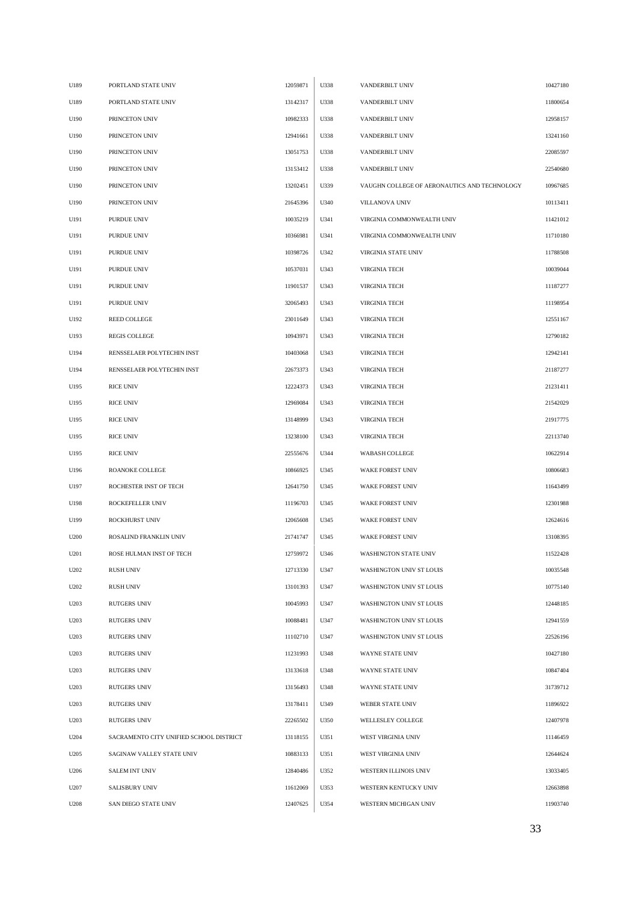| U189 | PORTLAND STATE UNIV                     | 12059871 | U338 | VANDERBILT UNIV                              | 10427180 |
|------|-----------------------------------------|----------|------|----------------------------------------------|----------|
| U189 | PORTLAND STATE UNIV                     | 13142317 | U338 | VANDERBILT UNIV                              | 11800654 |
| U190 | PRINCETON UNIV                          | 10982333 | U338 | VANDERBILT UNIV                              | 12958157 |
| U190 | PRINCETON UNIV                          | 12941661 | U338 | VANDERBILT UNIV                              | 13241160 |
| U190 | PRINCETON UNIV                          | 13051753 | U338 | VANDERBILT UNIV                              | 22085597 |
| U190 | PRINCETON UNIV                          | 13153412 | U338 | VANDERBILT UNIV                              | 22540680 |
| U190 | PRINCETON UNIV                          | 13202451 | U339 | VAUGHN COLLEGE OF AERONAUTICS AND TECHNOLOGY | 10967685 |
| U190 | PRINCETON UNIV                          | 21645396 | U340 | VILLANOVA UNIV                               | 10113411 |
| U191 | PURDUE UNIV                             | 10035219 | U341 | VIRGINIA COMMONWEALTH UNIV                   | 11421012 |
| U191 | PURDUE UNIV                             | 10366981 | U341 | VIRGINIA COMMONWEALTH UNIV                   | 11710180 |
| U191 | PURDUE UNIV                             | 10398726 | U342 | VIRGINIA STATE UNIV                          | 11788508 |
| U191 | PURDUE UNIV                             | 10537031 | U343 | <b>VIRGINIA TECH</b>                         | 10039044 |
| U191 | PURDUE UNIV                             | 11901537 | U343 | <b>VIRGINIA TECH</b>                         | 11187277 |
| U191 | PURDUE UNIV                             | 32065493 | U343 | <b>VIRGINIA TECH</b>                         | 11198954 |
| U192 | REED COLLEGE                            | 23011649 | U343 | <b>VIRGINIA TECH</b>                         | 12551167 |
| U193 | <b>REGIS COLLEGE</b>                    | 10943971 | U343 | <b>VIRGINIA TECH</b>                         | 12790182 |
| U194 | RENSSELAER POLYTECHIN INST              | 10403068 | U343 | <b>VIRGINIA TECH</b>                         | 12942141 |
| U194 | RENSSELAER POLYTECHIN INST              | 22673373 | U343 | <b>VIRGINIA TECH</b>                         | 21187277 |
| U195 | <b>RICE UNIV</b>                        | 12224373 | U343 | <b>VIRGINIA TECH</b>                         | 21231411 |
| U195 | <b>RICE UNIV</b>                        | 12969084 | U343 | <b>VIRGINIA TECH</b>                         | 21542029 |
| U195 | <b>RICE UNIV</b>                        | 13148999 | U343 | <b>VIRGINIA TECH</b>                         | 21917775 |
| U195 | <b>RICE UNIV</b>                        | 13238100 | U343 | <b>VIRGINIA TECH</b>                         | 22113740 |
| U195 | <b>RICE UNIV</b>                        | 22555676 | U344 | WABASH COLLEGE                               | 10622914 |
| U196 | ROANOKE COLLEGE                         | 10866925 | U345 | WAKE FOREST UNIV                             | 10806683 |
| U197 | ROCHESTER INST OF TECH                  | 12641750 | U345 | WAKE FOREST UNIV                             | 11643499 |
| U198 | ROCKEFELLER UNIV                        | 11196703 | U345 | <b>WAKE FOREST UNIV</b>                      | 12301988 |
| U199 | ROCKHURST UNIV                          | 12065608 | U345 | WAKE FOREST UNIV                             | 12624616 |
| U200 | ROSALIND FRANKLIN UNIV                  | 21741747 | U345 | <b>WAKE FOREST UNIV</b>                      | 13108395 |
| U201 | ROSE HULMAN INST OF TECH                | 12759972 | U346 | WASHINGTON STATE UNIV                        | 11522428 |
| U202 | <b>RUSH UNIV</b>                        | 12713330 | U347 | WASHINGTON UNIV ST LOUIS                     | 10035548 |
| U202 | <b>RUSH UNIV</b>                        | 13101393 | U347 | WASHINGTON UNIV ST LOUIS                     | 10775140 |
| U203 | <b>RUTGERS UNIV</b>                     | 10045993 | U347 | WASHINGTON UNIV ST LOUIS                     | 12448185 |
| U203 | <b>RUTGERS UNIV</b>                     | 10088481 | U347 | WASHINGTON UNIV ST LOUIS                     | 12941559 |
| U203 | <b>RUTGERS UNIV</b>                     | 11102710 | U347 | WASHINGTON UNIV ST LOUIS                     | 22526196 |
| U203 | <b>RUTGERS UNIV</b>                     | 11231993 | U348 | WAYNE STATE UNIV                             | 10427180 |
| U203 | <b>RUTGERS UNIV</b>                     | 13133618 | U348 | WAYNE STATE UNIV                             | 10847404 |
| U203 | <b>RUTGERS UNIV</b>                     | 13156493 | U348 | WAYNE STATE UNIV                             | 31739712 |
| U203 | <b>RUTGERS UNIV</b>                     | 13178411 | U349 | WEBER STATE UNIV                             | 11896922 |
| U203 | <b>RUTGERS UNIV</b>                     | 22265502 | U350 | WELLESLEY COLLEGE                            | 12407978 |
| U204 | SACRAMENTO CITY UNIFIED SCHOOL DISTRICT | 13118155 | U351 | WEST VIRGINIA UNIV                           | 11146459 |
| U205 | SAGINAW VALLEY STATE UNIV               | 10883133 | U351 | WEST VIRGINIA UNIV                           | 12644624 |
| U206 | <b>SALEM INT UNIV</b>                   | 12840486 | U352 | WESTERN ILLINOIS UNIV                        | 13033405 |
| U207 | <b>SALISBURY UNIV</b>                   | 11612069 | U353 | WESTERN KENTUCKY UNIV                        | 12663898 |
| U208 | SAN DIEGO STATE UNIV                    | 12407625 | U354 | WESTERN MICHIGAN UNIV                        | 11903740 |
|      |                                         |          |      |                                              |          |